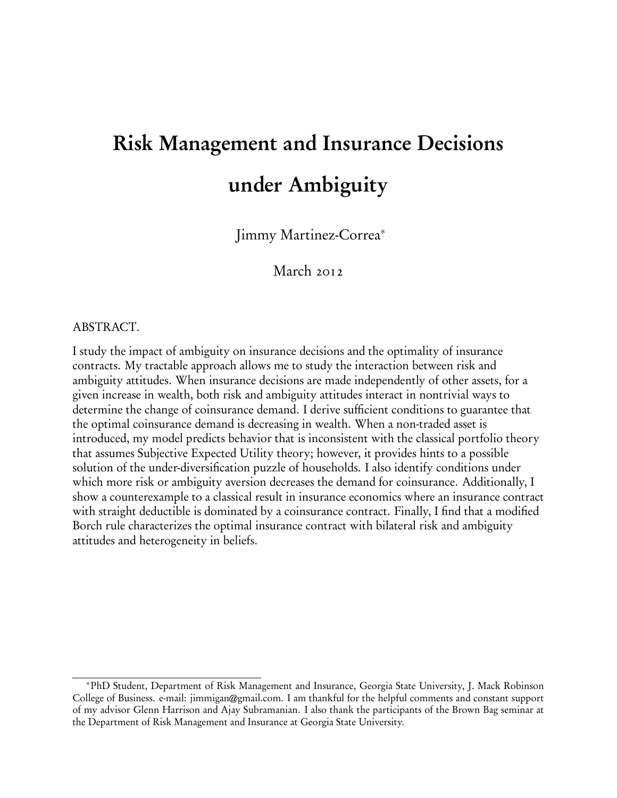# Risk Management and Insurance Decisions under Ambiguity

Jimmy Martinez-Correa<sup>∗</sup>

March 2012

# ABSTRACT.

I study the impact of ambiguity on insurance decisions and the optimality of insurance contracts. My tractable approach allows me to study the interaction between risk and ambiguity attitudes. When insurance decisions are made independently of other assets, for a given increase in wealth, both risk and ambiguity attitudes interact in nontrivial ways to determine the change of coinsurance demand. I derive sufficient conditions to guarantee that the optimal coinsurance demand is decreasing in wealth. When a non-traded asset is introduced, my model predicts behavior that is inconsistent with the classical portfolio theory that assumes Subjective Expected Utility theory; however, it provides hints to a possible solution of the under-diversification puzzle of households. I also identify conditions under which more risk or ambiguity aversion decreases the demand for coinsurance. Additionally, I show a counterexample to a classical result in insurance economics where an insurance contract with straight deductible is dominated by a coinsurance contract. Finally, I find that a modified Borch rule characterizes the optimal insurance contract with bilateral risk and ambiguity attitudes and heterogeneity in beliefs.

<sup>∗</sup>PhD Student, Department of Risk Management and Insurance, Georgia State University, J. Mack Robinson College of Business. e-mail: jimmigan@gmail.com. I am thankful for the helpful comments and constant support of my advisor Glenn Harrison and Ajay Subramanian. I also thank the participants of the Brown Bag seminar at the Department of Risk Management and Insurance at Georgia State University.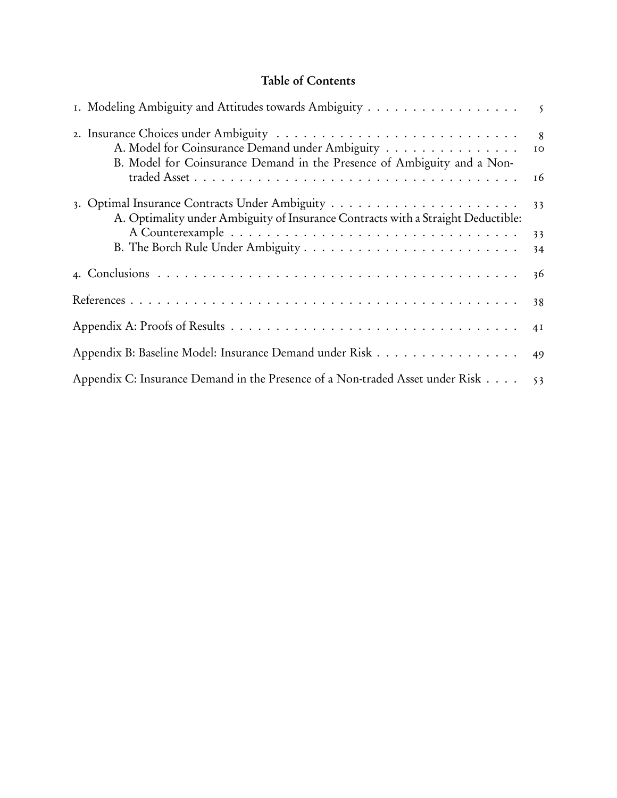# Table of Contents

| I. Modeling Ambiguity and Attitudes towards Ambiguity                                                                      | $\overline{5}$             |
|----------------------------------------------------------------------------------------------------------------------------|----------------------------|
| A. Model for Coinsurance Demand under Ambiguity<br>B. Model for Coinsurance Demand in the Presence of Ambiguity and a Non- | $\overline{8}$<br>IO<br>16 |
| A. Optimality under Ambiguity of Insurance Contracts with a Straight Deductible:                                           | 33                         |
|                                                                                                                            | 33<br>34                   |
|                                                                                                                            | 36                         |
|                                                                                                                            | 38                         |
|                                                                                                                            | 4I                         |
| Appendix B: Baseline Model: Insurance Demand under Risk 49                                                                 |                            |
| Appendix C: Insurance Demand in the Presence of a Non-traded Asset under Risk 53                                           |                            |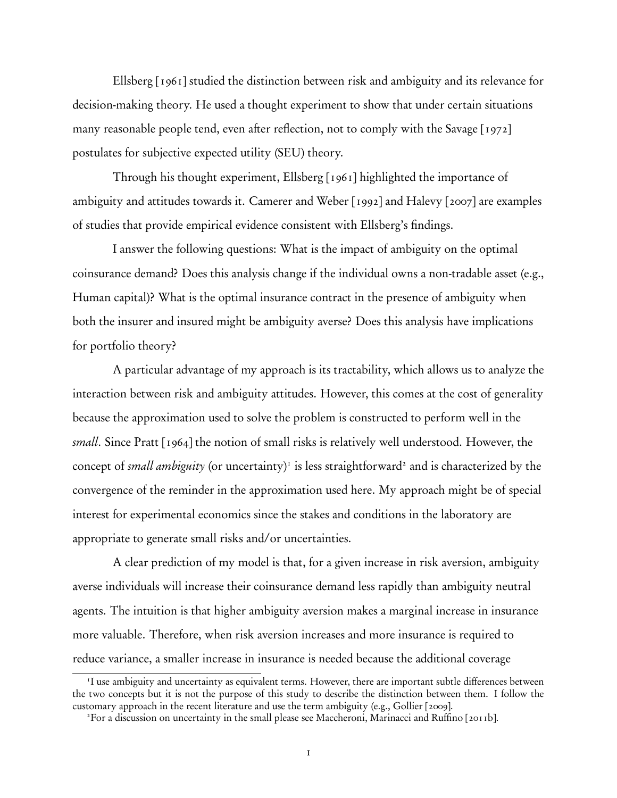Ellsberg [1961] studied the distinction between risk and ambiguity and its relevance for decision-making theory. He used a thought experiment to show that under certain situations many reasonable people tend, even after reflection, not to comply with the Savage [1972] postulates for subjective expected utility (SEU) theory.

Through his thought experiment, Ellsberg [1961] highlighted the importance of ambiguity and attitudes towards it. Camerer and Weber [1992] and Halevy [2007] are examples of studies that provide empirical evidence consistent with Ellsberg's findings.

I answer the following questions: What is the impact of ambiguity on the optimal coinsurance demand? Does this analysis change if the individual owns a non-tradable asset (e.g., Human capital)? What is the optimal insurance contract in the presence of ambiguity when both the insurer and insured might be ambiguity averse? Does this analysis have implications for portfolio theory?

A particular advantage of my approach is its tractability, which allows us to analyze the interaction between risk and ambiguity attitudes. However, this comes at the cost of generality because the approximation used to solve the problem is constructed to perform well in the *small*. Since Pratt [1964] the notion of small risks is relatively well understood. However, the concept of *small ambiguity* (or uncertainty)<sup>1</sup> is less straightforward<sup>2</sup> and is characterized by the convergence of the reminder in the approximation used here. My approach might be of special interest for experimental economics since the stakes and conditions in the laboratory are appropriate to generate small risks and/or uncertainties.

A clear prediction of my model is that, for a given increase in risk aversion, ambiguity averse individuals will increase their coinsurance demand less rapidly than ambiguity neutral agents. The intuition is that higher ambiguity aversion makes a marginal increase in insurance more valuable. Therefore, when risk aversion increases and more insurance is required to reduce variance, a smaller increase in insurance is needed because the additional coverage

<sup>&</sup>lt;sup>1</sup>I use ambiguity and uncertainty as equivalent terms. However, there are important subtle differences between the two concepts but it is not the purpose of this study to describe the distinction between them. I follow the customary approach in the recent literature and use the term ambiguity (e.g., Gollier [2009].

<sup>2</sup>For a discussion on uncertainty in the small please see Maccheroni, Marinacci and Ruffino [2011b].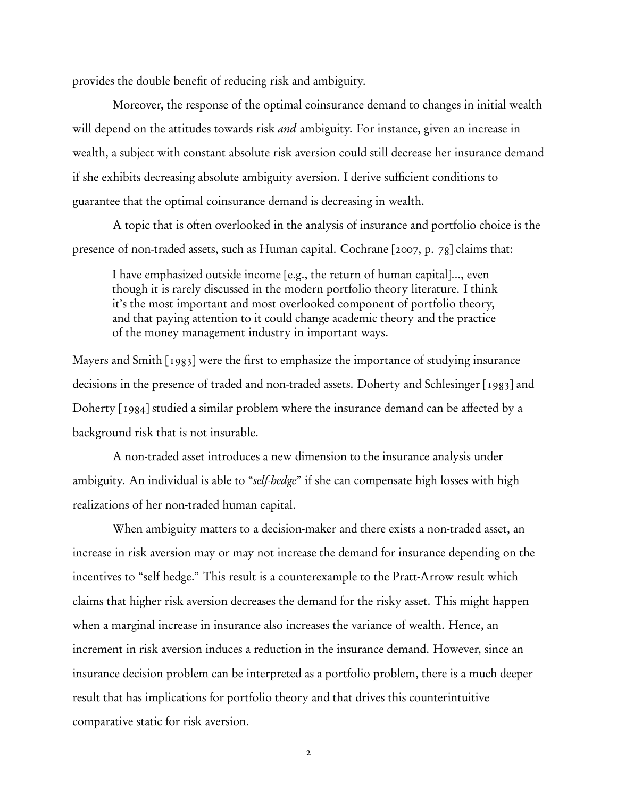provides the double benefit of reducing risk and ambiguity.

Moreover, the response of the optimal coinsurance demand to changes in initial wealth will depend on the attitudes towards risk *and* ambiguity. For instance, given an increase in wealth, a subject with constant absolute risk aversion could still decrease her insurance demand if she exhibits decreasing absolute ambiguity aversion. I derive sufficient conditions to guarantee that the optimal coinsurance demand is decreasing in wealth.

A topic that is often overlooked in the analysis of insurance and portfolio choice is the presence of non-traded assets, such as Human capital. Cochrane [2007, p. 78] claims that:

I have emphasized outside income [e.g., the return of human capital]..., even though it is rarely discussed in the modern portfolio theory literature. I think it's the most important and most overlooked component of portfolio theory, and that paying attention to it could change academic theory and the practice of the money management industry in important ways.

Mayers and Smith [1983] were the first to emphasize the importance of studying insurance decisions in the presence of traded and non-traded assets. Doherty and Schlesinger [1983] and Doherty [1984] studied a similar problem where the insurance demand can be affected by a background risk that is not insurable.

A non-traded asset introduces a new dimension to the insurance analysis under ambiguity. An individual is able to "*self-hedge*" if she can compensate high losses with high realizations of her non-traded human capital.

When ambiguity matters to a decision-maker and there exists a non-traded asset, an increase in risk aversion may or may not increase the demand for insurance depending on the incentives to "self hedge." This result is a counterexample to the Pratt-Arrow result which claims that higher risk aversion decreases the demand for the risky asset. This might happen when a marginal increase in insurance also increases the variance of wealth. Hence, an increment in risk aversion induces a reduction in the insurance demand. However, since an insurance decision problem can be interpreted as a portfolio problem, there is a much deeper result that has implications for portfolio theory and that drives this counterintuitive comparative static for risk aversion.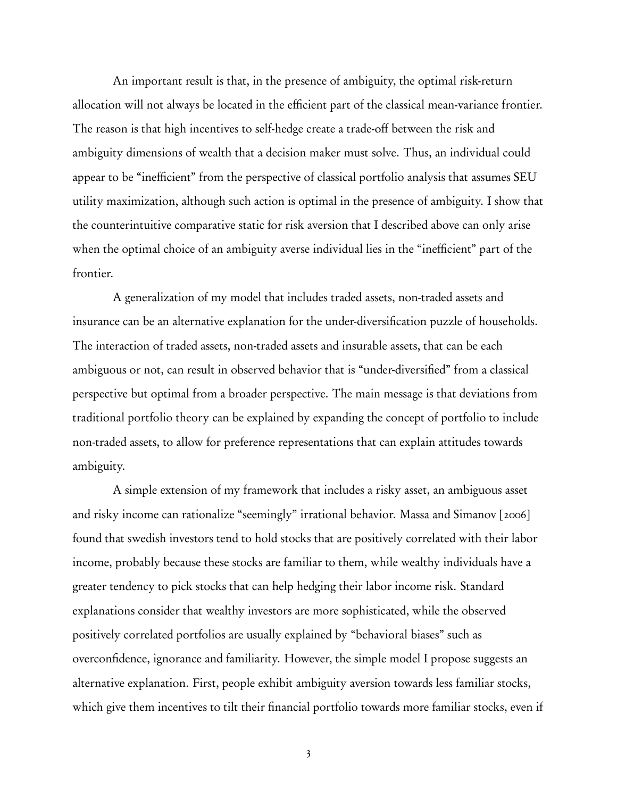An important result is that, in the presence of ambiguity, the optimal risk-return allocation will not always be located in the efficient part of the classical mean-variance frontier. The reason is that high incentives to self-hedge create a trade-off between the risk and ambiguity dimensions of wealth that a decision maker must solve. Thus, an individual could appear to be "inefficient" from the perspective of classical portfolio analysis that assumes SEU utility maximization, although such action is optimal in the presence of ambiguity. I show that the counterintuitive comparative static for risk aversion that I described above can only arise when the optimal choice of an ambiguity averse individual lies in the "inefficient" part of the frontier.

A generalization of my model that includes traded assets, non-traded assets and insurance can be an alternative explanation for the under-diversification puzzle of households. The interaction of traded assets, non-traded assets and insurable assets, that can be each ambiguous or not, can result in observed behavior that is "under-diversified" from a classical perspective but optimal from a broader perspective. The main message is that deviations from traditional portfolio theory can be explained by expanding the concept of portfolio to include non-traded assets, to allow for preference representations that can explain attitudes towards ambiguity.

A simple extension of my framework that includes a risky asset, an ambiguous asset and risky income can rationalize "seemingly" irrational behavior. Massa and Simanov [2006] found that swedish investors tend to hold stocks that are positively correlated with their labor income, probably because these stocks are familiar to them, while wealthy individuals have a greater tendency to pick stocks that can help hedging their labor income risk. Standard explanations consider that wealthy investors are more sophisticated, while the observed positively correlated portfolios are usually explained by "behavioral biases" such as overconfidence, ignorance and familiarity. However, the simple model I propose suggests an alternative explanation. First, people exhibit ambiguity aversion towards less familiar stocks, which give them incentives to tilt their financial portfolio towards more familiar stocks, even if

3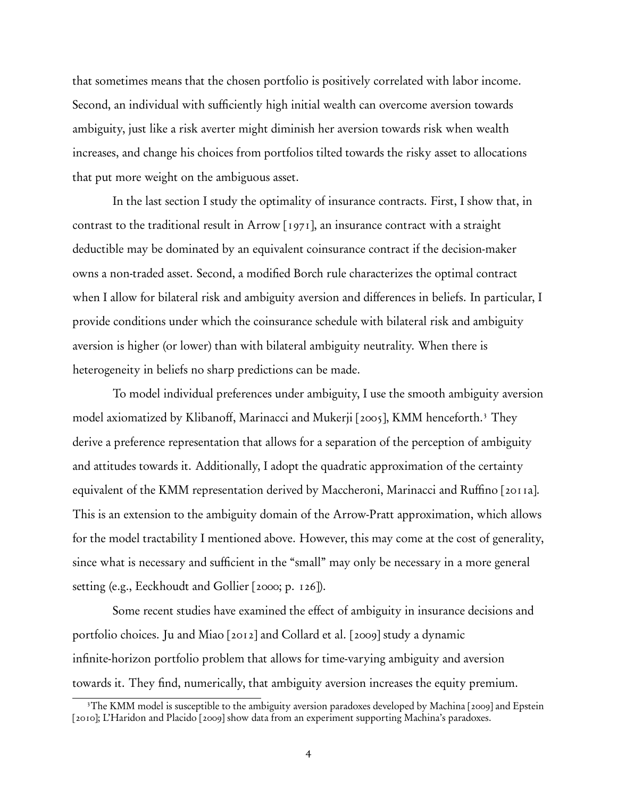that sometimes means that the chosen portfolio is positively correlated with labor income. Second, an individual with sufficiently high initial wealth can overcome aversion towards ambiguity, just like a risk averter might diminish her aversion towards risk when wealth increases, and change his choices from portfolios tilted towards the risky asset to allocations that put more weight on the ambiguous asset.

In the last section I study the optimality of insurance contracts. First, I show that, in contrast to the traditional result in Arrow [1971], an insurance contract with a straight deductible may be dominated by an equivalent coinsurance contract if the decision-maker owns a non-traded asset. Second, a modified Borch rule characterizes the optimal contract when I allow for bilateral risk and ambiguity aversion and differences in beliefs. In particular, I provide conditions under which the coinsurance schedule with bilateral risk and ambiguity aversion is higher (or lower) than with bilateral ambiguity neutrality. When there is heterogeneity in beliefs no sharp predictions can be made.

To model individual preferences under ambiguity, I use the smooth ambiguity aversion model axiomatized by Klibanoff, Marinacci and Mukerji [2005], KMM henceforth.3 They derive a preference representation that allows for a separation of the perception of ambiguity and attitudes towards it. Additionally, I adopt the quadratic approximation of the certainty equivalent of the KMM representation derived by Maccheroni, Marinacci and Ruffino [2011a]. This is an extension to the ambiguity domain of the Arrow-Pratt approximation, which allows for the model tractability I mentioned above. However, this may come at the cost of generality, since what is necessary and sufficient in the "small" may only be necessary in a more general setting (e.g., Eeckhoudt and Gollier [2000; p. 126]).

Some recent studies have examined the effect of ambiguity in insurance decisions and portfolio choices. Ju and Miao [2012] and Collard et al. [2009] study a dynamic infinite-horizon portfolio problem that allows for time-varying ambiguity and aversion towards it. They find, numerically, that ambiguity aversion increases the equity premium.

<sup>&</sup>lt;sup>3</sup>The KMM model is susceptible to the ambiguity aversion paradoxes developed by Machina [2009] and Epstein [2010]; L'Haridon and Placido [2009] show data from an experiment supporting Machina's paradoxes.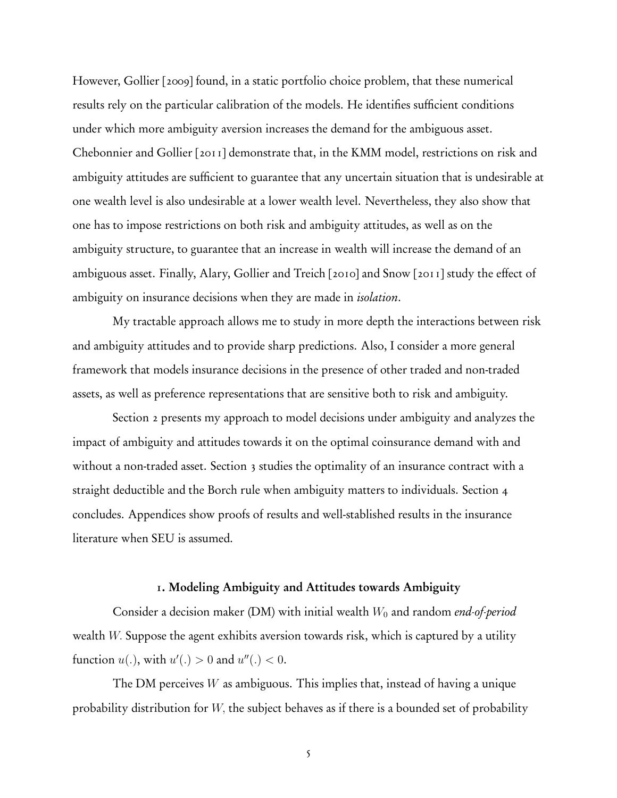However, Gollier [2009] found, in a static portfolio choice problem, that these numerical results rely on the particular calibration of the models. He identifies sufficient conditions under which more ambiguity aversion increases the demand for the ambiguous asset. Chebonnier and Gollier [2011] demonstrate that, in the KMM model, restrictions on risk and ambiguity attitudes are sufficient to guarantee that any uncertain situation that is undesirable at one wealth level is also undesirable at a lower wealth level. Nevertheless, they also show that one has to impose restrictions on both risk and ambiguity attitudes, as well as on the ambiguity structure, to guarantee that an increase in wealth will increase the demand of an ambiguous asset. Finally, Alary, Gollier and Treich [2010] and Snow [2011] study the effect of ambiguity on insurance decisions when they are made in *isolation*.

My tractable approach allows me to study in more depth the interactions between risk and ambiguity attitudes and to provide sharp predictions. Also, I consider a more general framework that models insurance decisions in the presence of other traded and non-traded assets, as well as preference representations that are sensitive both to risk and ambiguity.

Section 2 presents my approach to model decisions under ambiguity and analyzes the impact of ambiguity and attitudes towards it on the optimal coinsurance demand with and without a non-traded asset. Section 3 studies the optimality of an insurance contract with a straight deductible and the Borch rule when ambiguity matters to individuals. Section 4 concludes. Appendices show proofs of results and well-stablished results in the insurance literature when SEU is assumed.

# 1. Modeling Ambiguity and Attitudes towards Ambiguity

Consider a decision maker (DM) with initial wealth *W*<sup>0</sup> and random *end-of-period* wealth *W.* Suppose the agent exhibits aversion towards risk, which is captured by a utility function  $u(.)$ , with  $u'(.) > 0$  and  $u''(.) < 0$ .

The DM perceives *W* as ambiguous. This implies that, instead of having a unique probability distribution for *W,* the subject behaves as if there is a bounded set of probability

5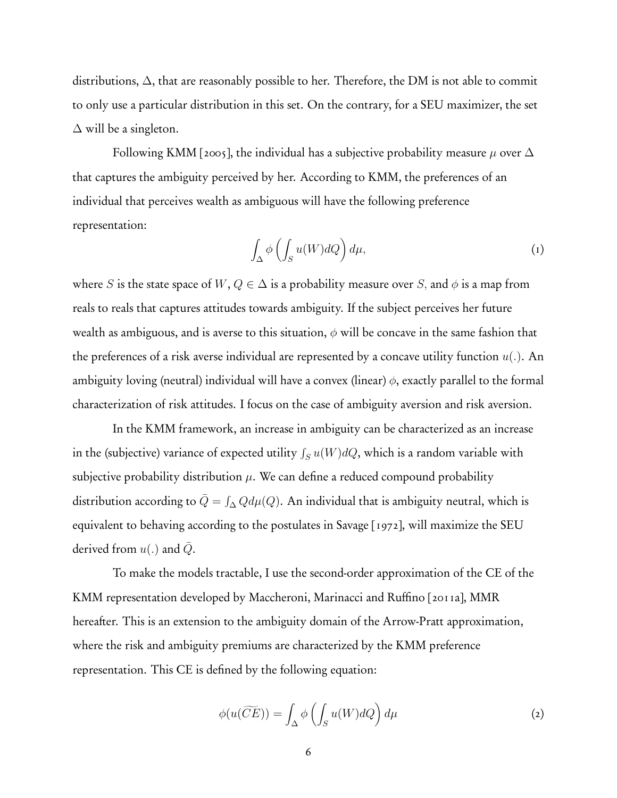distributions,  $\Delta$ , that are reasonably possible to her. Therefore, the DM is not able to commit to only use a particular distribution in this set. On the contrary, for a SEU maximizer, the set  $\Delta$  will be a singleton.

Following KMM [2005], the individual has a subjective probability measure  $\mu$  over  $\Delta$ that captures the ambiguity perceived by her. According to KMM, the preferences of an individual that perceives wealth as ambiguous will have the following preference representation:

$$
\int_{\Delta} \phi \left( \int_{S} u(W) dQ \right) d\mu, \tag{1}
$$

where *S* is the state space of  $W, Q \in \Delta$  is a probability measure over *S*, and  $\phi$  is a map from reals to reals that captures attitudes towards ambiguity. If the subject perceives her future wealth as ambiguous, and is averse to this situation, *φ* will be concave in the same fashion that the preferences of a risk averse individual are represented by a concave utility function *u*(*.*). An ambiguity loving (neutral) individual will have a convex (linear) *φ*, exactly parallel to the formal characterization of risk attitudes. I focus on the case of ambiguity aversion and risk aversion.

In the KMM framework, an increase in ambiguity can be characterized as an increase in the (subjective) variance of expected utility  $\int_S u(W)dQ$ , which is a random variable with subjective probability distribution  $\mu$ . We can define a reduced compound probability distribution according to  $\bar{Q} = \int_{\Delta} Q d\mu(Q)$ . An individual that is ambiguity neutral, which is equivalent to behaving according to the postulates in Savage [1972], will maximize the SEU derived from  $u(.)$  and  $Q$ .

To make the models tractable, I use the second-order approximation of the CE of the KMM representation developed by Maccheroni, Marinacci and Ruffino [2011a], MMR hereafter. This is an extension to the ambiguity domain of the Arrow-Pratt approximation, where the risk and ambiguity premiums are characterized by the KMM preference representation. This CE is defined by the following equation:

$$
\phi(u(\widetilde{CE})) = \int_{\Delta} \phi\left(\int_{S} u(W)dQ\right) d\mu \tag{2}
$$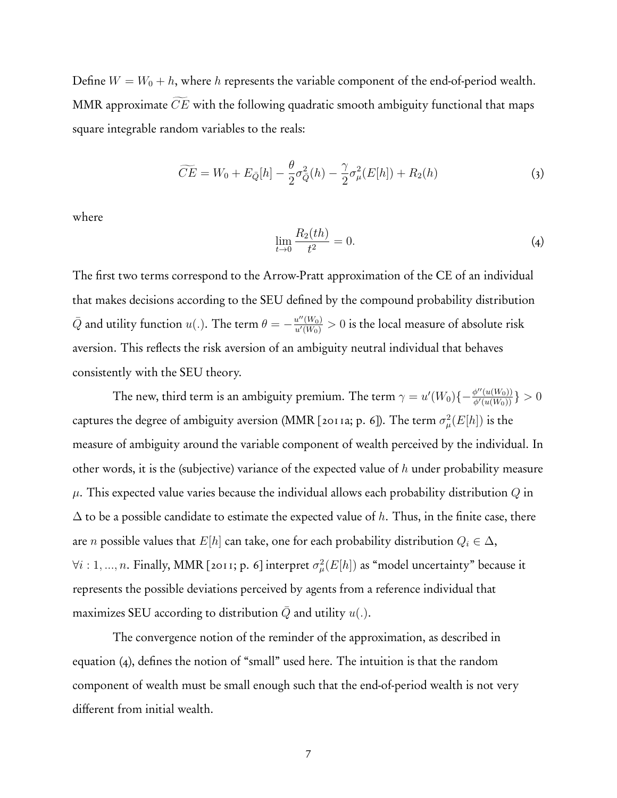Define  $W = W_0 + h$ , where *h* represents the variable component of the end-of-period wealth. MMR approximate *CE* with the following quadratic smooth ambiguity functional that maps square integrable random variables to the reals:

$$
\widetilde{CE} = W_0 + E_{\bar{Q}}[h] - \frac{\theta}{2}\sigma_{\bar{Q}}^2(h) - \frac{\gamma}{2}\sigma_{\mu}^2(E[h]) + R_2(h) \tag{3}
$$

where

$$
\lim_{t \to 0} \frac{R_2(th)}{t^2} = 0.
$$
\n(4)

The first two terms correspond to the Arrow-Pratt approximation of the CE of an individual that makes decisions according to the SEU defined by the compound probability distribution  $\bar{Q}$  and utility function  $u(.)$ . The term  $\theta = -\frac{u''(W_0)}{u'(W_0)}>0$  is the local measure of absolute risk aversion. This reflects the risk aversion of an ambiguity neutral individual that behaves consistently with the SEU theory.

The new, third term is an ambiguity premium. The term  $\gamma=u'(W_0)\{-\frac{\phi''(u(W_0))}{\phi'(u(W_0))}\}>0$ captures the degree of ambiguity aversion (MMR [2011a; p. 6]). The term  $\sigma^2_{\mu}(E[h])$  is the measure of ambiguity around the variable component of wealth perceived by the individual. In other words, it is the (subjective) variance of the expected value of *h* under probability measure *µ*. This expected value varies because the individual allows each probability distribution *Q* in ∆ to be a possible candidate to estimate the expected value of *h*. Thus, in the finite case, there are *n* possible values that *E*[*h*] can take, one for each probability distribution  $Q_i \in \Delta$ ,  $\forall i: 1, ..., n$ . Finally, MMR [2011; p. 6] interpret  $\sigma^2_\mu(E[h])$  as "model uncertainty" because it represents the possible deviations perceived by agents from a reference individual that maximizes SEU according to distribution  $Q$  and utility  $u(.)$ .

The convergence notion of the reminder of the approximation, as described in equation (4), defines the notion of "small" used here. The intuition is that the random component of wealth must be small enough such that the end-of-period wealth is not very different from initial wealth.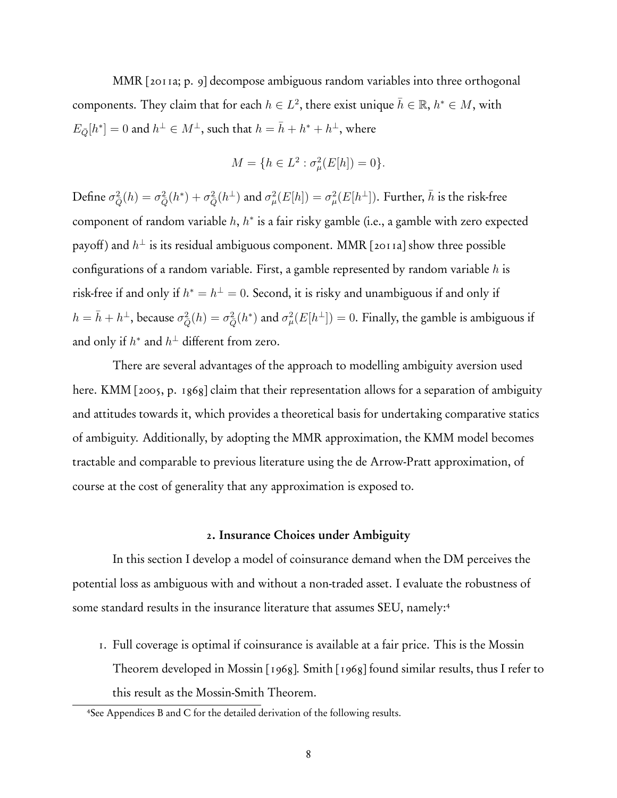MMR [2011a; p. 9] decompose ambiguous random variables into three orthogonal components. They claim that for each  $h \in L^2$ , there exist unique  $\bar{h} \in \mathbb{R}$ ,  $h^* \in M$ , with  $E_{\bar{Q}}[h^*]=0$  and  $h^{\perp} \in M^{\perp}$ , such that  $h=\bar{h}+h^*+h^{\perp}$ , where

$$
M = \{ h \in L^2 : \sigma^2_\mu(E[h]) = 0 \}.
$$

 $\partial^2_{\bar{Q}}(h) = \sigma^2_{\bar{Q}}(h^*) + \sigma^2_{\bar{Q}}(h^{\perp})$  and  $\sigma^2_{\mu}(E[h]) = \sigma^2_{\mu}(E[h^{\perp}]).$  Further,  $\bar{h}$  is the risk-free component of random variable *h*, *h*<sup>∗</sup> is a fair risky gamble (i.e., a gamble with zero expected payoff) and  $h^{\perp}$  is its residual ambiguous component. MMR [2011a] show three possible configurations of a random variable. First, a gamble represented by random variable *h* is risk-free if and only if  $h^* = h^{\perp} = 0$ . Second, it is risky and unambiguous if and only if  $h = \bar{h} + h^{\perp}$ , because  $\sigma_{\bar{Q}}^2(h) = \sigma_{\bar{Q}}^2(h^*)$  and  $\sigma_{\mu}^2(E[h^{\perp}]) = 0$ . Finally, the gamble is ambiguous if and only if  $h^*$  and  $h^{\perp}$  different from zero.

There are several advantages of the approach to modelling ambiguity aversion used here. KMM [2005, p. 1868] claim that their representation allows for a separation of ambiguity and attitudes towards it, which provides a theoretical basis for undertaking comparative statics of ambiguity. Additionally, by adopting the MMR approximation, the KMM model becomes tractable and comparable to previous literature using the de Arrow-Pratt approximation, of course at the cost of generality that any approximation is exposed to.

#### 2. Insurance Choices under Ambiguity

In this section I develop a model of coinsurance demand when the DM perceives the potential loss as ambiguous with and without a non-traded asset. I evaluate the robustness of some standard results in the insurance literature that assumes SEU, namely:<sup>4</sup>

1. Full coverage is optimal if coinsurance is available at a fair price. This is the Mossin Theorem developed in Mossin [1968]. Smith [1968] found similar results, thus I refer to this result as the Mossin-Smith Theorem.

<sup>4</sup>See Appendices B and C for the detailed derivation of the following results.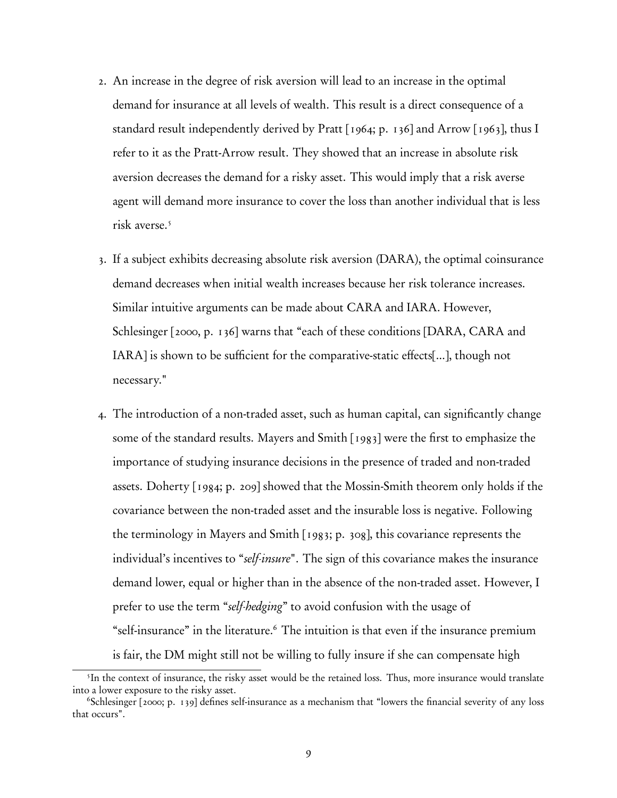- 2. An increase in the degree of risk aversion will lead to an increase in the optimal demand for insurance at all levels of wealth. This result is a direct consequence of a standard result independently derived by Pratt [1964; p. 136] and Arrow [1963], thus I refer to it as the Pratt-Arrow result. They showed that an increase in absolute risk aversion decreases the demand for a risky asset. This would imply that a risk averse agent will demand more insurance to cover the loss than another individual that is less risk averse.<sup>5</sup>
- 3. If a subject exhibits decreasing absolute risk aversion (DARA), the optimal coinsurance demand decreases when initial wealth increases because her risk tolerance increases. Similar intuitive arguments can be made about CARA and IARA. However, Schlesinger [2000, p. 136] warns that "each of these conditions [DARA, CARA and IARA] is shown to be sufficient for the comparative-static effects[...], though not necessary."
- 4. The introduction of a non-traded asset, such as human capital, can significantly change some of the standard results. Mayers and Smith [1983] were the first to emphasize the importance of studying insurance decisions in the presence of traded and non-traded assets. Doherty [1984; p. 209] showed that the Mossin-Smith theorem only holds if the covariance between the non-traded asset and the insurable loss is negative. Following the terminology in Mayers and Smith [1983; p. 308], this covariance represents the individual's incentives to "*self-insure*". The sign of this covariance makes the insurance demand lower, equal or higher than in the absence of the non-traded asset. However, I prefer to use the term "*self-hedging*" to avoid confusion with the usage of "self-insurance" in the literature.6 The intuition is that even if the insurance premium is fair, the DM might still not be willing to fully insure if she can compensate high

<sup>&</sup>lt;sup>5</sup>In the context of insurance, the risky asset would be the retained loss. Thus, more insurance would translate into a lower exposure to the risky asset.

<sup>&</sup>lt;sup>6</sup>Schlesinger [2000; p. 139] defines self-insurance as a mechanism that "lowers the financial severity of any loss that occurs".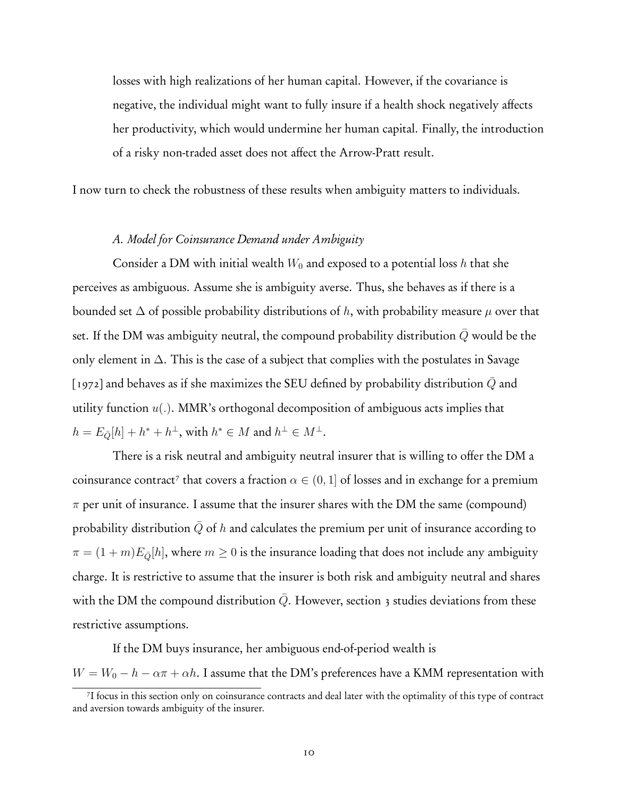losses with high realizations of her human capital. However, if the covariance is negative, the individual might want to fully insure if a health shock negatively affects her productivity, which would undermine her human capital. Finally, the introduction of a risky non-traded asset does not affect the Arrow-Pratt result.

I now turn to check the robustness of these results when ambiguity matters to individuals.

# *A. Model for Coinsurance Demand under Ambiguity*

Consider a DM with initial wealth  $W_0$  and exposed to a potential loss h that she perceives as ambiguous. Assume she is ambiguity averse. Thus, she behaves as if there is a bounded set  $\Delta$  of possible probability distributions of h, with probability measure  $\mu$  over that set. If the DM was ambiguity neutral, the compound probability distribution  $\overline{Q}$  would be the only element in  $\Delta$ . This is the case of a subject that complies with the postulates in Savage [1972] and behaves as if she maximizes the SEU defined by probability distribution  $Q$  and utility function *u*(*.*). MMR's orthogonal decomposition of ambiguous acts implies that  $h = E_{\overline{Q}}[h] + h^* + h^{\perp}$ , with  $h^* \in M$  and  $h^{\perp} \in M^{\perp}$ .

There is a risk neutral and ambiguity neutral insurer that is willing to offer the DM a coinsurance contract<sup>7</sup> that covers a fraction  $\alpha \in (0, 1]$  of losses and in exchange for a premium  $\pi$  per unit of insurance. I assume that the insurer shares with the DM the same (compound) probability distribution  $\overline{Q}$  of *h* and calculates the premium per unit of insurance according to  $\pi = (1 + m)E_{\overline{Q}}[h]$ , where  $m \geq 0$  is the insurance loading that does not include any ambiguity charge. It is restrictive to assume that the insurer is both risk and ambiguity neutral and shares with the DM the compound distribution  $Q$ . However, section 3 studies deviations from these restrictive assumptions.

If the DM buys insurance, her ambiguous end-of-period wealth is  $W = W_0 - h - \alpha \pi + \alpha h$ . I assume that the DM's preferences have a KMM representation with

<sup>7</sup>I focus in this section only on coinsurance contracts and deal later with the optimality of this type of contract and aversion towards ambiguity of the insurer.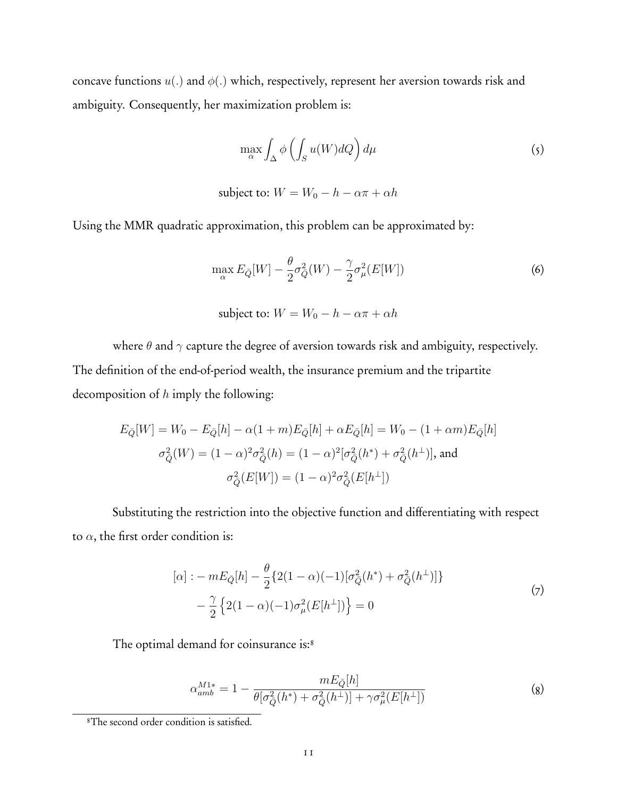concave functions *u*(*.*) and *φ*(*.*) which, respectively, represent her aversion towards risk and ambiguity. Consequently, her maximization problem is:

$$
\max_{\alpha} \int_{\Delta} \phi \left( \int_{S} u(W) dQ \right) d\mu \tag{5}
$$

subject to:  $W = W_0 - h - \alpha \pi + \alpha h$ 

Using the MMR quadratic approximation, this problem can be approximated by:

$$
\max_{\alpha} E_{\bar{Q}}[W] - \frac{\theta}{2}\sigma_{\bar{Q}}^2(W) - \frac{\gamma}{2}\sigma_{\mu}^2(E[W])\tag{6}
$$

subject to:  $W = W_0 - h - \alpha \pi + \alpha h$ 

where  $\theta$  and  $\gamma$  capture the degree of aversion towards risk and ambiguity, respectively. The definition of the end-of-period wealth, the insurance premium and the tripartite decomposition of *h* imply the following:

$$
E_{\bar{Q}}[W] = W_0 - E_{\bar{Q}}[h] - \alpha (1+m)E_{\bar{Q}}[h] + \alpha E_{\bar{Q}}[h] = W_0 - (1+\alpha m)E_{\bar{Q}}[h]
$$

$$
\sigma_{\bar{Q}}^2(W) = (1-\alpha)^2 \sigma_{\bar{Q}}^2(h) = (1-\alpha)^2 [\sigma_{\bar{Q}}^2(h^*) + \sigma_{\bar{Q}}^2(h^{\perp})], \text{ and}
$$

$$
\sigma_{\bar{Q}}^2(E[W]) = (1-\alpha)^2 \sigma_{\bar{Q}}^2(E[h^{\perp}])
$$

Substituting the restriction into the objective function and differentiating with respect to  $\alpha$ , the first order condition is:

$$
[\alpha] : -mE_{\bar{Q}}[h] - \frac{\theta}{2} \{2(1-\alpha)(-1)[\sigma_{\bar{Q}}^2(h^*) + \sigma_{\bar{Q}}^2(h^{\perp})]\} - \frac{\gamma}{2} \{2(1-\alpha)(-1)\sigma_{\mu}^2(E[h^{\perp}])\} = 0
$$
\n(7)

The optimal demand for coinsurance is:<sup>8</sup>

$$
\alpha_{amb}^{M1*} = 1 - \frac{mE_{\bar{Q}}[h]}{\theta[\sigma_{\bar{Q}}^2(h^*) + \sigma_{\bar{Q}}^2(h^{\perp})] + \gamma \sigma_{\mu}^2(E[h^{\perp}])}
$$
(8)

<sup>8</sup>The second order condition is satisfied.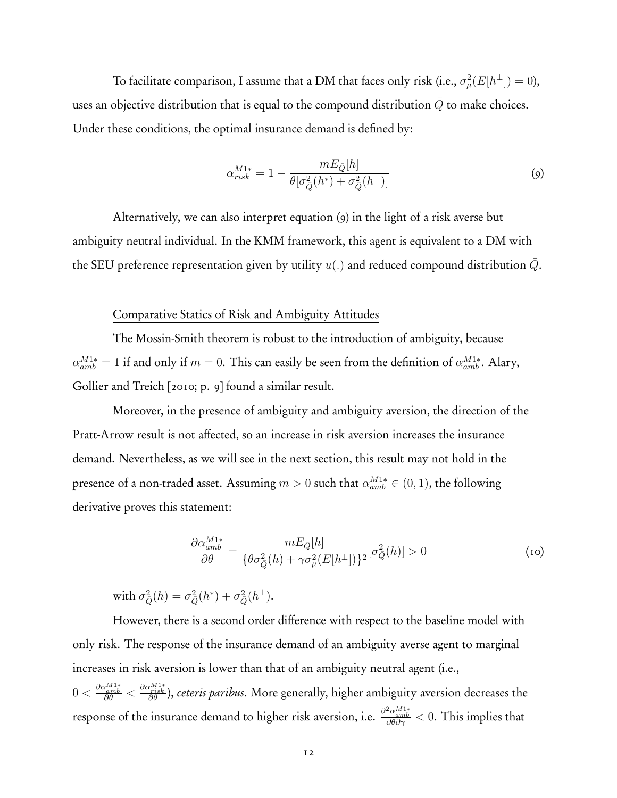To facilitate comparison, I assume that a DM that faces only risk (i.e.,  $\sigma^2_\mu(E[h^\perp])=0$ ), uses an objective distribution that is equal to the compound distribution Q to make choices. Under these conditions, the optimal insurance demand is defined by:

$$
\alpha_{risk}^{M1*} = 1 - \frac{mE_{\bar{Q}}[h]}{\theta[\sigma_{\bar{Q}}^2(h^*) + \sigma_{\bar{Q}}^2(h^{\perp})]}
$$
(9)

Alternatively, we can also interpret equation (9) in the light of a risk averse but ambiguity neutral individual. In the KMM framework, this agent is equivalent to a DM with the SEU preference representation given by utility  $u(.)$  and reduced compound distribution  $\overline{Q}$ .

#### Comparative Statics of Risk and Ambiguity Attitudes

The Mossin-Smith theorem is robust to the introduction of ambiguity, because  $\alpha_{amb}^{M1*} = 1$  if and only if  $m = 0$ . This can easily be seen from the definition of  $\alpha_{amb}^{M1*}$ . Alary, Gollier and Treich [2010; p. 9] found a similar result.

Moreover, in the presence of ambiguity and ambiguity aversion, the direction of the Pratt-Arrow result is not affected, so an increase in risk aversion increases the insurance demand. Nevertheless, as we will see in the next section, this result may not hold in the presence of a non-traded asset. Assuming  $m > 0$  such that  $\alpha_{amb}^{M1*} \in (0, 1)$ , the following derivative proves this statement:

$$
\frac{\partial \alpha_{amb}^{M1*}}{\partial \theta} = \frac{mE_{\bar{Q}}[h]}{\{\theta \sigma_{\bar{Q}}^2(h) + \gamma \sigma_{\mu}^2(E[h^{\perp}])\}^2} [\sigma_{\bar{Q}}^2(h)] > 0
$$
\n(10)

 $\text{with } \sigma_{\bar{Q}}^2(h) = \sigma_{\bar{Q}}^2(h^*) + \sigma_{\bar{Q}}^2(h^{\perp}).$ 

However, there is a second order difference with respect to the baseline model with only risk. The response of the insurance demand of an ambiguity averse agent to marginal increases in risk aversion is lower than that of an ambiguity neutral agent (i.e., 0 *< ∂αM*1<sup>∗</sup> *amb ∂θ < ∂αM*1<sup>∗</sup> *risk ∂θ* ), *ceteris paribus*. More generally, higher ambiguity aversion decreases the response of the insurance demand to higher risk aversion, i.e. *<sup>∂</sup>*2*αM*1<sup>∗</sup> *amb ∂θ∂γ <* 0. This implies that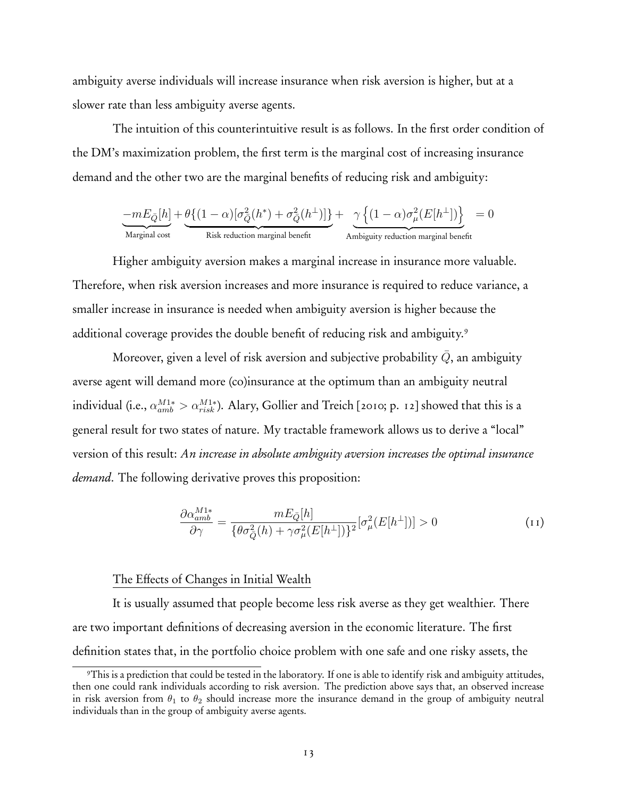ambiguity averse individuals will increase insurance when risk aversion is higher, but at a slower rate than less ambiguity averse agents.

The intuition of this counterintuitive result is as follows. In the first order condition of the DM's maximization problem, the first term is the marginal cost of increasing insurance demand and the other two are the marginal benefits of reducing risk and ambiguity:

$$
\underbrace{-mE_{\bar{Q}}[h]}_{\text{Marginal cost}} + \underbrace{\theta\{(1-\alpha)[\sigma^2_{\bar{Q}}(h^*) + \sigma^2_{\bar{Q}}(h^{\bot})]\}}_{\text{Risk reduction marginal benefit}} + \underbrace{\gamma\left\{(1-\alpha)\sigma^2_{\mu}(E[h^{\bot}])\right\}}_{\text{Ambiguity reduction marginal benefit}} = 0
$$

Higher ambiguity aversion makes a marginal increase in insurance more valuable. Therefore, when risk aversion increases and more insurance is required to reduce variance, a smaller increase in insurance is needed when ambiguity aversion is higher because the additional coverage provides the double benefit of reducing risk and ambiguity.<sup>9</sup>

Moreover, given a level of risk aversion and subjective probability  $Q$ , an ambiguity averse agent will demand more (co)insurance at the optimum than an ambiguity neutral individual (i.e.,  $\alpha_{amb}^{M1*} > \alpha_{risk}^{M1*}$ ). Alary, Gollier and Treich [2010; p. 12] showed that this is a general result for two states of nature. My tractable framework allows us to derive a "local" version of this result: *An increase in absolute ambiguity aversion increases the optimal insurance demand*. The following derivative proves this proposition:

$$
\frac{\partial \alpha_{amb}^{M1*}}{\partial \gamma} = \frac{mE_{\bar{Q}}[h]}{\{\theta \sigma_{\bar{Q}}^2(h) + \gamma \sigma_{\mu}^2(E[h^{\perp}])\}^2} [\sigma_{\mu}^2(E[h^{\perp}])] > 0 \tag{11}
$$

#### The Effects of Changes in Initial Wealth

It is usually assumed that people become less risk averse as they get wealthier. There are two important definitions of decreasing aversion in the economic literature. The first definition states that, in the portfolio choice problem with one safe and one risky assets, the

<sup>&</sup>lt;sup>9</sup>This is a prediction that could be tested in the laboratory. If one is able to identify risk and ambiguity attitudes, then one could rank individuals according to risk aversion. The prediction above says that, an observed increase in risk aversion from  $\theta_1$  to  $\theta_2$  should increase more the insurance demand in the group of ambiguity neutral individuals than in the group of ambiguity averse agents.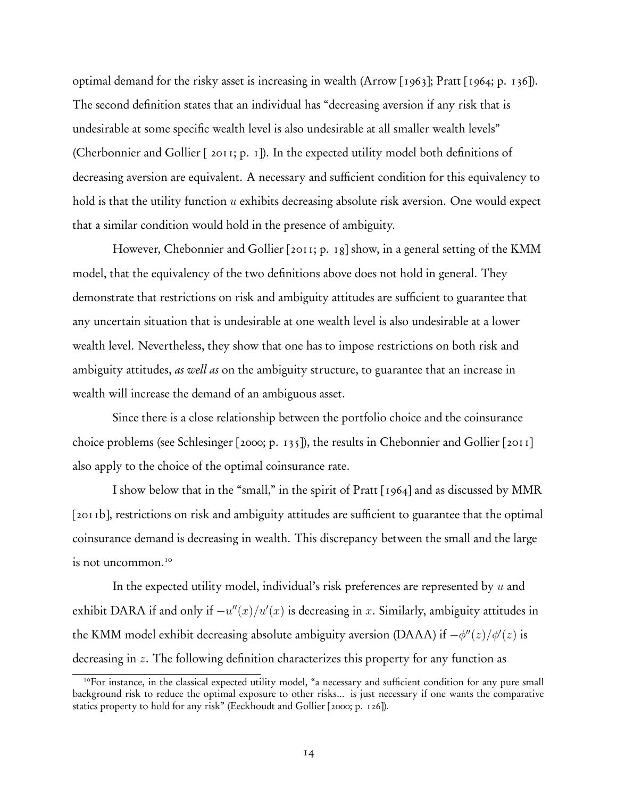optimal demand for the risky asset is increasing in wealth (Arrow [1963]; Pratt [1964; p. 136]). The second definition states that an individual has "decreasing aversion if any risk that is undesirable at some specific wealth level is also undesirable at all smaller wealth levels" (Cherbonnier and Gollier [ 2011; p. 1]). In the expected utility model both definitions of decreasing aversion are equivalent. A necessary and sufficient condition for this equivalency to hold is that the utility function *u* exhibits decreasing absolute risk aversion. One would expect that a similar condition would hold in the presence of ambiguity.

However, Chebonnier and Gollier [2011; p. 18] show, in a general setting of the KMM model, that the equivalency of the two definitions above does not hold in general. They demonstrate that restrictions on risk and ambiguity attitudes are sufficient to guarantee that any uncertain situation that is undesirable at one wealth level is also undesirable at a lower wealth level. Nevertheless, they show that one has to impose restrictions on both risk and ambiguity attitudes, *as well as* on the ambiguity structure, to guarantee that an increase in wealth will increase the demand of an ambiguous asset.

Since there is a close relationship between the portfolio choice and the coinsurance choice problems (see Schlesinger [2000; p. 135]), the results in Chebonnier and Gollier [2011] also apply to the choice of the optimal coinsurance rate.

I show below that in the "small," in the spirit of Pratt [1964] and as discussed by MMR [2011b], restrictions on risk and ambiguity attitudes are sufficient to guarantee that the optimal coinsurance demand is decreasing in wealth. This discrepancy between the small and the large is not uncommon.<sup>10</sup>

In the expected utility model, individual's risk preferences are represented by *u* and exhibit DARA if and only if  $-u''(x)/u'(x)$  is decreasing in *x*. Similarly, ambiguity attitudes in the KMM model exhibit decreasing absolute ambiguity aversion (DAAA) if  $-\phi''(z)/\phi'(z)$  is decreasing in *z*. The following definition characterizes this property for any function as

<sup>&</sup>lt;sup>10</sup>For instance, in the classical expected utility model, "a necessary and sufficient condition for any pure small background risk to reduce the optimal exposure to other risks... is just necessary if one wants the comparative statics property to hold for any risk" (Eeckhoudt and Gollier [2000; p. 126]).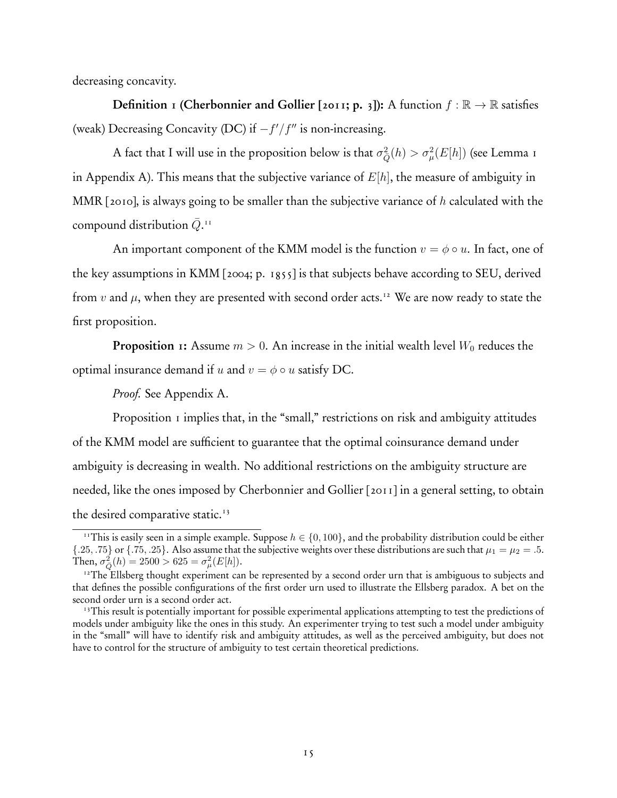decreasing concavity.

**Definition** 1 (Cherbonnier and Gollier [2011; p. 3]): A function  $f : \mathbb{R} \to \mathbb{R}$  satisfies (weak) Decreasing Concavity (DC) if −*f*! */f*!! is non-increasing.

A fact that I will use in the proposition below is that  $\sigma_{\bar{Q}}^2(h) > \sigma_{\mu}^2(E[h])$  (see Lemma 1 in Appendix A). This means that the subjective variance of *E*[*h*], the measure of ambiguity in MMR [2010], is always going to be smaller than the subjective variance of *h* calculated with the compound distribution  $\bar{Q}.$ <sup>11</sup>

An important component of the KMM model is the function  $v = \phi \circ u$ . In fact, one of the key assumptions in KMM [2004; p. 1855] is that subjects behave according to SEU, derived from *v* and  $\mu$ , when they are presented with second order acts.<sup>12</sup> We are now ready to state the first proposition.

**Proposition 1:** Assume  $m > 0$ . An increase in the initial wealth level  $W_0$  reduces the optimal insurance demand if *u* and  $v = \phi \circ u$  satisfy DC.

*Proof.* See Appendix A.

Proposition 1 implies that, in the "small," restrictions on risk and ambiguity attitudes of the KMM model are sufficient to guarantee that the optimal coinsurance demand under ambiguity is decreasing in wealth. No additional restrictions on the ambiguity structure are needed, like the ones imposed by Cherbonnier and Gollier [2011] in a general setting, to obtain the desired comparative static.<sup>13</sup>

<sup>&</sup>lt;sup>11</sup>This is easily seen in a simple example. Suppose  $h \in \{0, 100\}$ , and the probability distribution could be either { $.25, .75$ } or { $.75, .25$ }. Also assume that the subjective weights over these distributions are such that  $\mu_1 = \mu_2 = .5$ . Then,  $\sigma_{\bar{Q}}^2(h) = 2500 > 625 = \sigma_{\mu}^2(E[h]).$ 

<sup>&</sup>lt;sup>12</sup>The Ellsberg thought experiment can be represented by a second order urn that is ambiguous to subjects and that defines the possible configurations of the first order urn used to illustrate the Ellsberg paradox. A bet on the second order urn is a second order act.

<sup>&</sup>lt;sup>13</sup>This result is potentially important for possible experimental applications attempting to test the predictions of models under ambiguity like the ones in this study. An experimenter trying to test such a model under ambiguity in the "small" will have to identify risk and ambiguity attitudes, as well as the perceived ambiguity, but does not have to control for the structure of ambiguity to test certain theoretical predictions.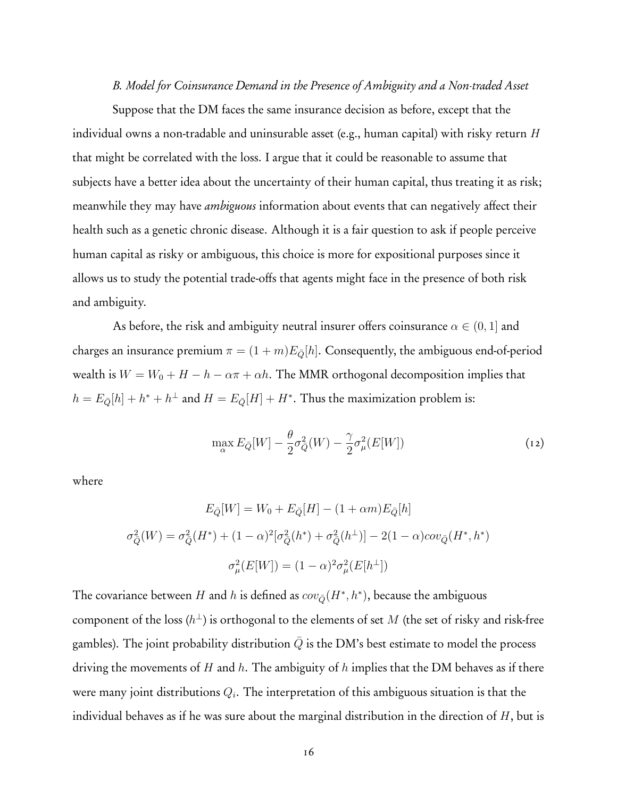*B. Model for Coinsurance Demand in the Presence of Ambiguity and a Non-traded Asset*

Suppose that the DM faces the same insurance decision as before, except that the individual owns a non-tradable and uninsurable asset (e.g., human capital) with risky return *H* that might be correlated with the loss. I argue that it could be reasonable to assume that subjects have a better idea about the uncertainty of their human capital, thus treating it as risk; meanwhile they may have *ambiguous* information about events that can negatively affect their health such as a genetic chronic disease. Although it is a fair question to ask if people perceive human capital as risky or ambiguous, this choice is more for expositional purposes since it allows us to study the potential trade-offs that agents might face in the presence of both risk and ambiguity.

As before, the risk and ambiguity neutral insurer offers coinsurance  $\alpha \in (0,1]$  and charges an insurance premium  $\pi = (1 + m)E_{\overline{Q}}[h]$ . Consequently, the ambiguous end-of-period wealth is  $W = W_0 + H - h - \alpha \pi + \alpha h$ . The MMR orthogonal decomposition implies that  $h = E_{\bar{Q}}[h] + h^* + h^{\perp}$  and  $H = E_{\bar{Q}}[H] + H^*$ . Thus the maximization problem is:

$$
\max_{\alpha} E_{\bar{Q}}[W] - \frac{\theta}{2}\sigma_{\bar{Q}}^2(W) - \frac{\gamma}{2}\sigma_{\mu}^2(E[W])
$$
\n(12)

where

$$
E_{\bar{Q}}[W] = W_0 + E_{\bar{Q}}[H] - (1 + \alpha m)E_{\bar{Q}}[h]
$$

$$
\sigma_{\bar{Q}}^2(W) = \sigma_{\bar{Q}}^2(H^*) + (1 - \alpha)^2[\sigma_{\bar{Q}}^2(h^*) + \sigma_{\bar{Q}}^2(h^{\perp})] - 2(1 - \alpha)\text{cov}_{\bar{Q}}(H^*, h^*)
$$

$$
\sigma_{\mu}^2(E[W]) = (1 - \alpha)^2 \sigma_{\mu}^2(E[h^{\perp}])
$$

The covariance between *H* and *h* is defined as  $cov_{\bar{Q}}(H^*, h^*)$ , because the ambiguous component of the loss  $(h^{\perp})$  is orthogonal to the elements of set *M* (the set of risky and risk-free gambles). The joint probability distribution  $Q$  is the DM's best estimate to model the process driving the movements of *H* and *h*. The ambiguity of *h* implies that the DM behaves as if there were many joint distributions *Qi*. The interpretation of this ambiguous situation is that the individual behaves as if he was sure about the marginal distribution in the direction of *H*, but is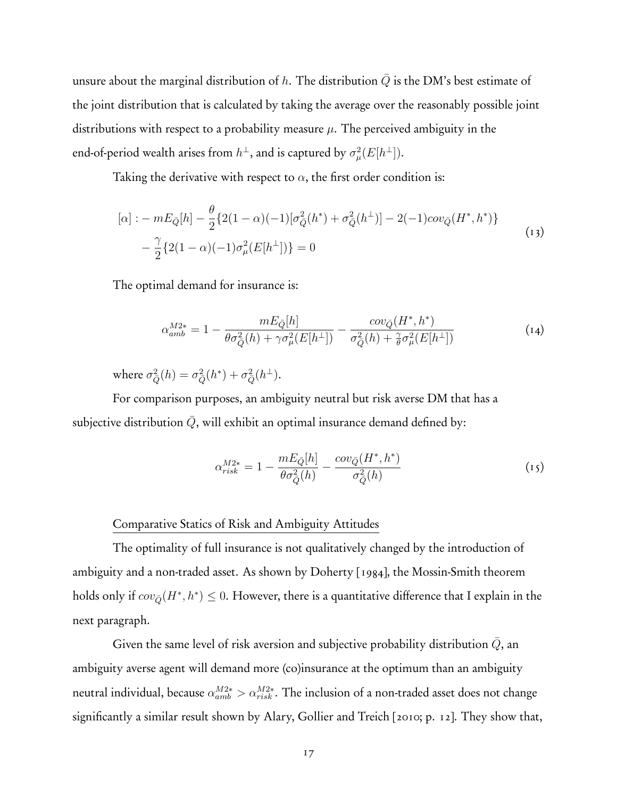unsure about the marginal distribution of  $h$ . The distribution  $Q$  is the DM's best estimate of the joint distribution that is calculated by taking the average over the reasonably possible joint distributions with respect to a probability measure *µ*. The perceived ambiguity in the end-of-period wealth arises from  $h^\perp$ , and is captured by  $\sigma_\mu^2(E[h^\perp]).$ 

Taking the derivative with respect to  $\alpha$ , the first order condition is:

$$
[\alpha] : -mE_{\bar{Q}}[h] - \frac{\theta}{2} \{ 2(1-\alpha)(-1)[\sigma_{\bar{Q}}^2(h^*) + \sigma_{\bar{Q}}^2(h^{\perp})] - 2(-1)cov_{\bar{Q}}(H^*, h^*) \} - \frac{\gamma}{2} \{ 2(1-\alpha)(-1)\sigma_{\mu}^2(E[h^{\perp}]) \} = 0
$$
\n(13)

The optimal demand for insurance is:

$$
\alpha_{amb}^{M2*} = 1 - \frac{mE_{\bar{Q}}[h]}{\theta \sigma_{\bar{Q}}^2(h) + \gamma \sigma_{\mu}^2(E[h^{\perp}])} - \frac{cov_{\bar{Q}}(H^*, h^*)}{\sigma_{\bar{Q}}^2(h) + \frac{\gamma}{\theta} \sigma_{\mu}^2(E[h^{\perp}])}
$$
(14)

where  $\sigma_{\bar{Q}}^2(h) = \sigma_{\bar{Q}}^2(h^*) + \sigma_{\bar{Q}}^2(h^{\perp}).$ 

For comparison purposes, an ambiguity neutral but risk averse DM that has a subjective distribution  $\overline{Q}$ , will exhibit an optimal insurance demand defined by:

$$
\alpha_{risk}^{M2*} = 1 - \frac{mE_{\bar{Q}}[h]}{\theta \sigma_{\bar{Q}}^2(h)} - \frac{cov_{\bar{Q}}(H^*, h^*)}{\sigma_{\bar{Q}}^2(h)}\tag{15}
$$

#### Comparative Statics of Risk and Ambiguity Attitudes

The optimality of full insurance is not qualitatively changed by the introduction of ambiguity and a non-traded asset. As shown by Doherty [1984], the Mossin-Smith theorem holds only if  $cov_{\bar{Q}}(H^*, h^*) \leq 0$ . However, there is a quantitative difference that I explain in the next paragraph.

Given the same level of risk aversion and subjective probability distribution  $\bar{Q}$ , an ambiguity averse agent will demand more (co)insurance at the optimum than an ambiguity neutral individual, because  $\alpha_{amb}^{M2*} > \alpha_{risk}^{M2*}$ . The inclusion of a non-traded asset does not change significantly a similar result shown by Alary, Gollier and Treich [2010; p. 12]. They show that,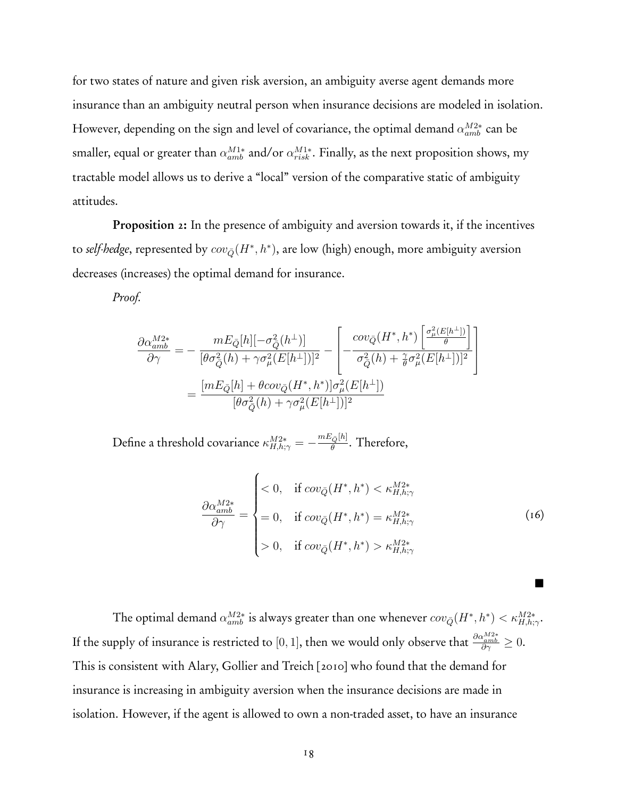for two states of nature and given risk aversion, an ambiguity averse agent demands more insurance than an ambiguity neutral person when insurance decisions are modeled in isolation. However, depending on the sign and level of covariance, the optimal demand *α<sup>M</sup>*2<sup>∗</sup> *amb* can be smaller, equal or greater than *α<sup>M</sup>*1<sup>∗</sup> *amb* and/or *α<sup>M</sup>*1<sup>∗</sup> *risk* . Finally, as the next proposition shows, my tractable model allows us to derive a "local" version of the comparative static of ambiguity attitudes.

Proposition 2: In the presence of ambiguity and aversion towards it, if the incentives to *self-hedge*, represented by  $cov_{\bar{Q}}(H^*, h^*)$ , are low (high) enough, more ambiguity aversion decreases (increases) the optimal demand for insurance.

*Proof.*

$$
\begin{split} \frac{\partial \alpha_{amb}^{M2*}}{\partial \gamma} & = -\frac{m E_{\bar{Q}}[h] [-\sigma_{\bar{Q}}^2(h^\perp)]}{[\theta \sigma_{\bar{Q}}^2(h) + \gamma \sigma_{\mu}^2(E[h^\perp])]^2} - \left[ -\frac{cov_{\bar{Q}}(H^*,h^*) \left[ \frac{\sigma_{\mu}^2(E[h^\perp])}{\theta} \right]}{\sigma_{\bar{Q}}^2(h) + \frac{\gamma}{\theta} \sigma_{\mu}^2(E[h^\perp])]^2} \right] \\ & = \frac{[m E_{\bar{Q}}[h] + \theta cov_{\bar{Q}}(H^*,h^*)] \sigma_{\mu}^2(E[h^\perp])}{[\theta \sigma_{\bar{Q}}^2(h) + \gamma \sigma_{\mu}^2(E[h^\perp])]^2} \end{split}
$$

Define a threshold covariance  $\kappa^{M2*}_{H,h;\gamma} = -\frac{mE_{\bar{Q}}[h]}{\theta}$ . Therefore,

$$
\frac{\partial \alpha_{amb}^{M2*}}{\partial \gamma} = \begin{cases}\n< 0, & \text{if } cov_{\bar{Q}}(H^*, h^*) < \kappa_{H, h; \gamma}^{M2*} \\
= 0, & \text{if } cov_{\bar{Q}}(H^*, h^*) = \kappa_{H, h; \gamma}^{M2*} \\
> 0, & \text{if } cov_{\bar{Q}}(H^*, h^*) > \kappa_{H, h; \gamma}^{M2*}\n\end{cases}
$$
\n(16)

**.** 

The optimal demand  $\alpha_{amb}^{M2*}$  is always greater than one whenever  $cov_{\bar{Q}}(H^*,h^*) < \kappa_{H,h;\gamma}^{M2*}$ . If the supply of insurance is restricted to  $[0,1],$  then we would only observe that  $\frac{\partial \alpha^{M2*}_{amb}}{\partial \gamma}\geq 0.$ This is consistent with Alary, Gollier and Treich [2010] who found that the demand for insurance is increasing in ambiguity aversion when the insurance decisions are made in isolation. However, if the agent is allowed to own a non-traded asset, to have an insurance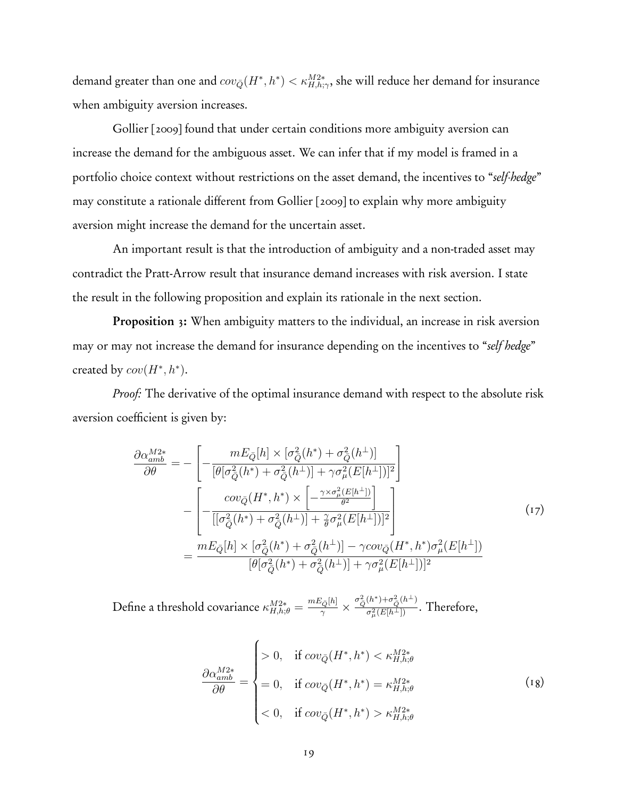demand greater than one and  $cov_{\bar{Q}}(H^*, h^*) < \kappa_{H, h; \gamma}^{M2*}$ , she will reduce her demand for insurance when ambiguity aversion increases.

Gollier [2009] found that under certain conditions more ambiguity aversion can increase the demand for the ambiguous asset. We can infer that if my model is framed in a portfolio choice context without restrictions on the asset demand, the incentives to "*self-hedge*" may constitute a rationale different from Gollier [2009] to explain why more ambiguity aversion might increase the demand for the uncertain asset.

An important result is that the introduction of ambiguity and a non-traded asset may contradict the Pratt-Arrow result that insurance demand increases with risk aversion. I state the result in the following proposition and explain its rationale in the next section.

Proposition 3: When ambiguity matters to the individual, an increase in risk aversion may or may not increase the demand for insurance depending on the incentives to "*self hedge*" created by  $cov(H^*, h^*)$ .

*Proof:* The derivative of the optimal insurance demand with respect to the absolute risk aversion coefficient is given by:

$$
\frac{\partial \alpha_{amb}^{M2*}}{\partial \theta} = -\left[ -\frac{mE_{\bar{Q}}[h] \times [\sigma_{\bar{Q}}^2(h^*) + \sigma_{\bar{Q}}^2(h^{\perp})]}{[\theta[\sigma_{\bar{Q}}^2(h^*) + \sigma_{\bar{Q}}^2(h^{\perp})] + \gamma \sigma_{\mu}^2(E[h^{\perp}])]^2} \right] \n- \left[ -\frac{cov_{\bar{Q}}(H^*,h^*) \times \left[ -\frac{\gamma \times \sigma_{\mu}^2(E[h^{\perp}])}{\theta^2} \right]}{[[\sigma_{\bar{Q}}^2(h^*) + \sigma_{\bar{Q}}^2(h^{\perp})] + \frac{\gamma}{\theta} \sigma_{\mu}^2(E[h^{\perp}])]^2} \right] \n= \frac{mE_{\bar{Q}}[h] \times [\sigma_{\bar{Q}}^2(h^*) + \sigma_{\bar{Q}}^2(h^{\perp})] - \gamma cov_{\bar{Q}}(H^*,h^*) \sigma_{\mu}^2(E[h^{\perp}])}{[\theta[\sigma_{\bar{Q}}^2(h^*) + \sigma_{\bar{Q}}^2(h^{\perp})] + \gamma \sigma_{\mu}^2(E[h^{\perp}])]^2}
$$
\n(17)

 $\text{Define a threshold covariance } \kappa_{H,h;\theta}^{M2*} = \frac{mE_{\bar{Q}}[h]}{\gamma} \times \frac{\sigma_{\bar{Q}}^2(h^*) + \sigma_{\bar{Q}}^2(h^{\perp})}{\sigma_u^2(E[h^{\perp}])}$  $\frac{Q^{(n)}(E[h^{\perp}])}{\sigma_{\mu}^{2}(E[h^{\perp}])}$ . Therefore,

$$
\frac{\partial \alpha_{amb}^{M2*}}{\partial \theta} = \begin{cases}\n> 0, & \text{if } cov_{\bar{Q}}(H^*, h^*) < \kappa_{H, h; \theta}^{M2*} \\
= 0, & \text{if } cov_{\bar{Q}}(H^*, h^*) = \kappa_{H, h; \theta}^{M2*} \\
< 0, & \text{if } cov_{\bar{Q}}(H^*, h^*) > \kappa_{H, h; \theta}^{M2*}\n\end{cases} \tag{18}
$$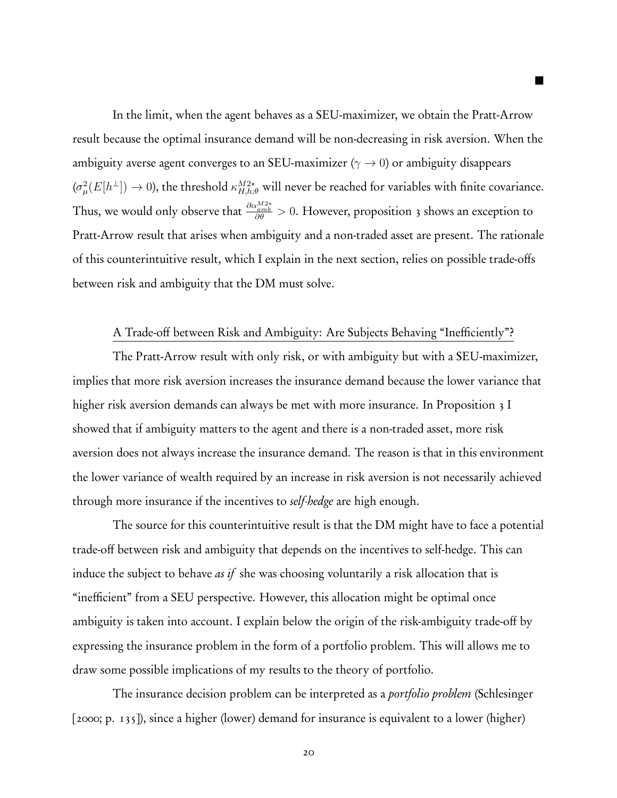In the limit, when the agent behaves as a SEU-maximizer, we obtain the Pratt-Arrow result because the optimal insurance demand will be non-decreasing in risk aversion. When the ambiguity averse agent converges to an SEU-maximizer ( $\gamma \to 0$ ) or ambiguity disappears  $(\sigma^2_\mu(E[h^\perp]) \to 0)$ , the threshold  $\kappa^{M2*}_{H,h;\theta}$  will never be reached for variables with finite covariance. Thus, we would only observe that *∂αM*2<sup>∗</sup> *amb ∂θ >* 0. However, proposition 3 shows an exception to Pratt-Arrow result that arises when ambiguity and a non-traded asset are present. The rationale of this counterintuitive result, which I explain in the next section, relies on possible trade-offs between risk and ambiguity that the DM must solve.

**.** 

# A Trade-off between Risk and Ambiguity: Are Subjects Behaving "Inefficiently"?

The Pratt-Arrow result with only risk, or with ambiguity but with a SEU-maximizer, implies that more risk aversion increases the insurance demand because the lower variance that higher risk aversion demands can always be met with more insurance. In Proposition 3 I showed that if ambiguity matters to the agent and there is a non-traded asset, more risk aversion does not always increase the insurance demand. The reason is that in this environment the lower variance of wealth required by an increase in risk aversion is not necessarily achieved through more insurance if the incentives to *self-hedge* are high enough.

The source for this counterintuitive result is that the DM might have to face a potential trade-off between risk and ambiguity that depends on the incentives to self-hedge. This can induce the subject to behave *as if* she was choosing voluntarily a risk allocation that is "inefficient" from a SEU perspective. However, this allocation might be optimal once ambiguity is taken into account. I explain below the origin of the risk-ambiguity trade-off by expressing the insurance problem in the form of a portfolio problem. This will allows me to draw some possible implications of my results to the theory of portfolio.

The insurance decision problem can be interpreted as a *portfolio problem* (Schlesinger [2000; p. 135]), since a higher (lower) demand for insurance is equivalent to a lower (higher)

20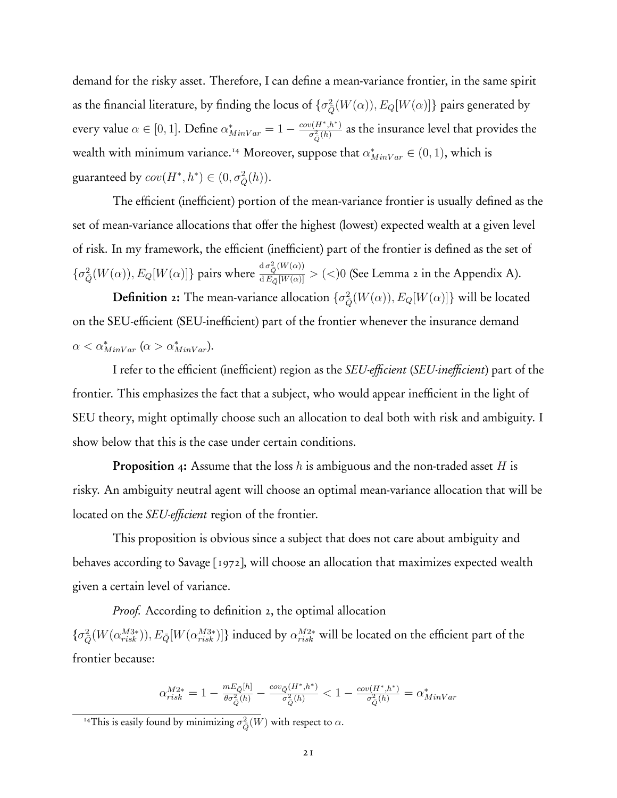demand for the risky asset. Therefore, I can define a mean-variance frontier, in the same spirit as the financial literature, by finding the locus of  $\{\sigma_{\bar{Q}}^2(W(\alpha)), E_Q[W(\alpha)]\}$  pairs generated by every value  $\alpha \in [0,1]$ . Define  $\alpha^*_{MinVar} = 1 - \frac{cov(H^*,h^*)}{\sigma^2_Q(h)}$  as the insurance level that provides the wealth with minimum variance.<sup>14</sup> Moreover, suppose that  $\alpha^*_{MinVar} \in (0,1)$ , which is guaranteed by  $cov(H^*, h^*) \in (0, \sigma_Q^2(h)).$ 

The efficient (inefficient) portion of the mean-variance frontier is usually defined as the set of mean-variance allocations that offer the highest (lowest) expected wealth at a given level of risk. In my framework, the efficient (inefficient) part of the frontier is defined as the set of  $\{\sigma_{\bar{Q}}^2(W(\alpha)), E_Q[W(\alpha)]\}$  pairs where  $\frac{d\sigma_{\bar{Q}}^2(W(\alpha))}{dE_{\bar{Q}}[W(\alpha)]} > (<)0$  (See Lemma 2 in the Appendix A).

 $\bf{Definition 2:}$  The mean-variance allocation  $\{\sigma_{\bar{Q}}^2(W(\alpha)),E_Q[W(\alpha)]\}$  will be located on the SEU-efficient (SEU-inefficient) part of the frontier whenever the insurance demand  $\alpha < \alpha^*_{MinVar}$  ( $\alpha > \alpha^*_{MinVar}$ ).

I refer to the efficient (inefficient) region as the *SEU-efficient* (*SEU-inefficient*) part of the frontier. This emphasizes the fact that a subject, who would appear inefficient in the light of SEU theory, might optimally choose such an allocation to deal both with risk and ambiguity. I show below that this is the case under certain conditions.

Proposition 4: Assume that the loss *h* is ambiguous and the non-traded asset *H* is risky. An ambiguity neutral agent will choose an optimal mean-variance allocation that will be located on the *SEU-efficient* region of the frontier.

This proposition is obvious since a subject that does not care about ambiguity and behaves according to Savage [1972], will choose an allocation that maximizes expected wealth given a certain level of variance.

*Proof.* According to definition 2, the optimal allocation  $\{\sigma_{\bar{Q}}^2(W(\alpha_{risk}^{M3*})), E_{\bar{Q}}[W(\alpha_{risk}^{M3*})]\}$  induced by  $\alpha_{risk}^{M2*}$  will be located on the efficient part of the frontier because:

$$
\alpha_{risk}^{M2*} = 1 - \frac{m E_{\bar{Q}}[h]}{\theta \sigma_{\bar{Q}}^2(h)} - \frac{cov_{\bar{Q}}(H^*,h^*)}{\sigma_{\bar{Q}}^2(h)} < 1 - \frac{cov(H^*,h^*)}{\sigma_{\bar{Q}}^2(h)} = \alpha_{MinVar}^*
$$

<sup>&</sup>lt;sup>14</sup>This is easily found by minimizing  $\sigma_{\bar{Q}}^2(W)$  with respect to  $\alpha$ .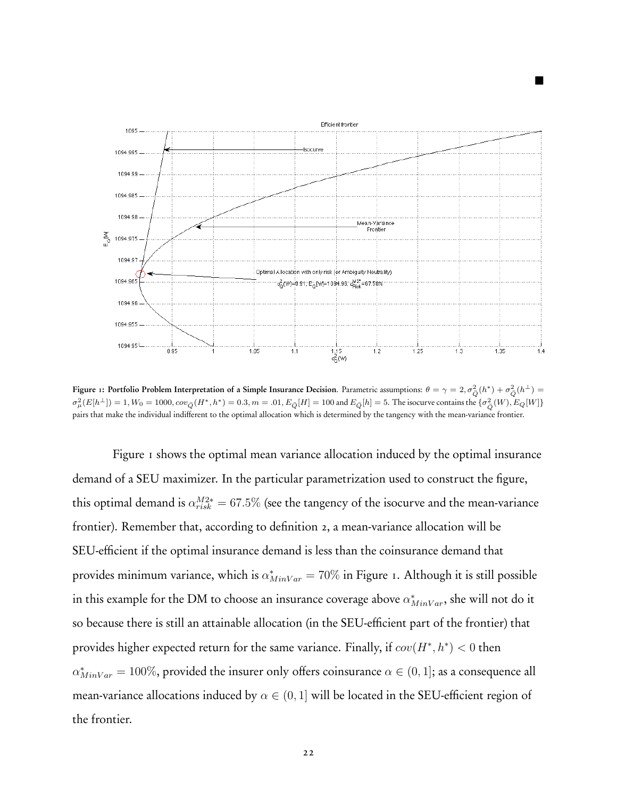

**1** 

Figure 1: Portfolio Problem Interpretation of a Simple Insurance Decision. Parametric assumptions:  $θ = γ = 2, σ_{\bar{Q}}^2(h^*) + σ_{\bar{Q}}^2(h^{\bot}) =$  $\sigma^2_\mu(E[h^\perp])=1, W_0=1000, cov_{\bar{Q}}(H^*,h^*)=0.3, m=.01, E_{\bar{Q}}[H]=100$  and  $E_{\bar{Q}}[h]=5.$  The isocurve contains the  $\{\sigma^2_{\bar{Q}}(W), E_{Q}[W]\}$ pairs that make the individual indifferent to the optimal allocation which is determined by the tangency with the mean-variance frontier.

Figure 1 shows the optimal mean variance allocation induced by the optimal insurance demand of a SEU maximizer. In the particular parametrization used to construct the figure, this optimal demand is  $\alpha_{risk}^{M2*} = 67.5\%$  (see the tangency of the isocurve and the mean-variance frontier). Remember that, according to definition 2, a mean-variance allocation will be SEU-efficient if the optimal insurance demand is less than the coinsurance demand that provides minimum variance, which is  $\alpha^*_{MinVar}=70\%$  in Figure 1. Although it is still possible in this example for the DM to choose an insurance coverage above  $\alpha^*_{MinVar}$ , she will not do it so because there is still an attainable allocation (in the SEU-efficient part of the frontier) that provides higher expected return for the same variance. Finally, if  $cov(H^*, h^*) < 0$  then  $\alpha^*_{MinVar} = 100\%$ , provided the insurer only offers coinsurance  $\alpha \in (0,1]$ ; as a consequence all mean-variance allocations induced by  $\alpha \in (0,1]$  will be located in the SEU-efficient region of the frontier.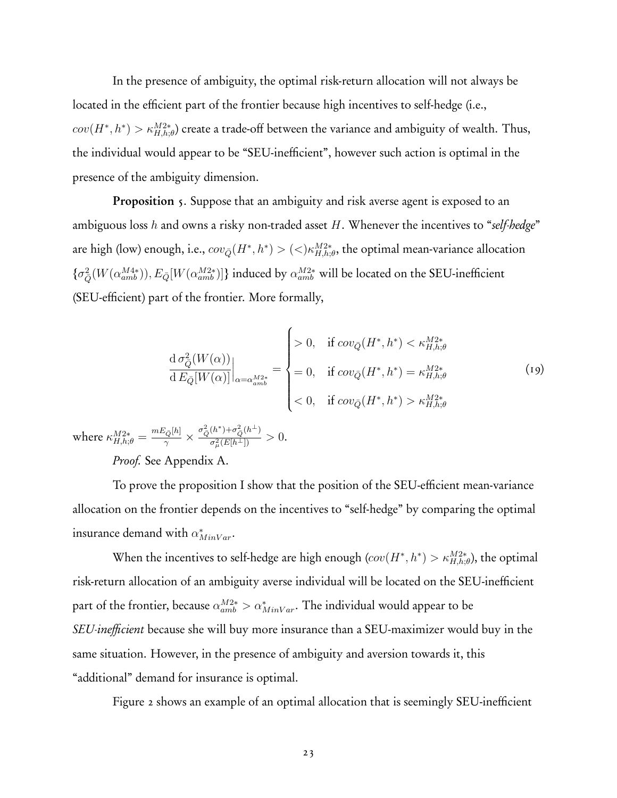In the presence of ambiguity, the optimal risk-return allocation will not always be located in the efficient part of the frontier because high incentives to self-hedge (i.e.,  $cov(H^*, h^*) > \kappa_{H,h;\theta}^{M2*})$  create a trade-off between the variance and ambiguity of wealth. Thus, the individual would appear to be "SEU-inefficient", however such action is optimal in the presence of the ambiguity dimension.

Proposition 5. Suppose that an ambiguity and risk averse agent is exposed to an ambiguous loss *h* and owns a risky non-traded asset *H*. Whenever the incentives to "*self-hedge*" are high (low) enough, i.e.,  $cov_{\bar{Q}}(H^*,h^*)$  >  $(<) \kappa^{M2*}_{H,h;\theta}$ , the optimal mean-variance allocation  $\{\sigma_{\bar{Q}}^2(W(\alpha_{amb}^{M4*})), E_{\bar{Q}}[W(\alpha_{amb}^{M2*})]\}$  induced by  $\alpha_{amb}^{M2*}$  will be located on the SEU-inefficient (SEU-efficient) part of the frontier. More formally,

$$
\frac{\mathrm{d}\,\sigma_{\bar{Q}}^2(W(\alpha))}{\mathrm{d}\,E_{\bar{Q}}[W(\alpha)]}\Big|_{\alpha=\alpha_{amb}^{M2*}} = \begin{cases} > 0, & \text{if } cov_{\bar{Q}}(H^*,h^*) < \kappa_{H,h;\theta}^{M2*} \\ = 0, & \text{if } cov_{\bar{Q}}(H^*,h^*) = \kappa_{H,h;\theta}^{M2*} \\ < 0, & \text{if } cov_{\bar{Q}}(H^*,h^*) > \kappa_{H,h;\theta}^{M2*} \end{cases} \tag{19}
$$

 $\text{where } \kappa_{H,h;\theta}^{M2*} = \frac{mE_{\bar{Q}}[h]}{\gamma} \times \frac{\sigma_{\bar{Q}}^2(h^*) + \sigma_{\bar{Q}}^2(h^{\bot})}{\sigma_u^2(E[h^{\bot}])}$  $\frac{a^2}{\sigma^2_{\mu}(E[h^{\perp}])} > 0.$ 

*Proof.* See Appendix A.

To prove the proposition I show that the position of the SEU-efficient mean-variance allocation on the frontier depends on the incentives to "self-hedge" by comparing the optimal insurance demand with  $\alpha^*_{MinVar}$ .

When the incentives to self-hedge are high enough  $(cov(H^*, h^*) > \kappa_{H,h;\theta}^{M2*})$ , the optimal risk-return allocation of an ambiguity averse individual will be located on the SEU-inefficient part of the frontier, because  $\alpha_{amb}^{M2*} > \alpha_{MinVar}^*$ . The individual would appear to be *SEU-inefficient* because she will buy more insurance than a SEU-maximizer would buy in the same situation. However, in the presence of ambiguity and aversion towards it, this "additional" demand for insurance is optimal.

Figure 2 shows an example of an optimal allocation that is seemingly SEU-inefficient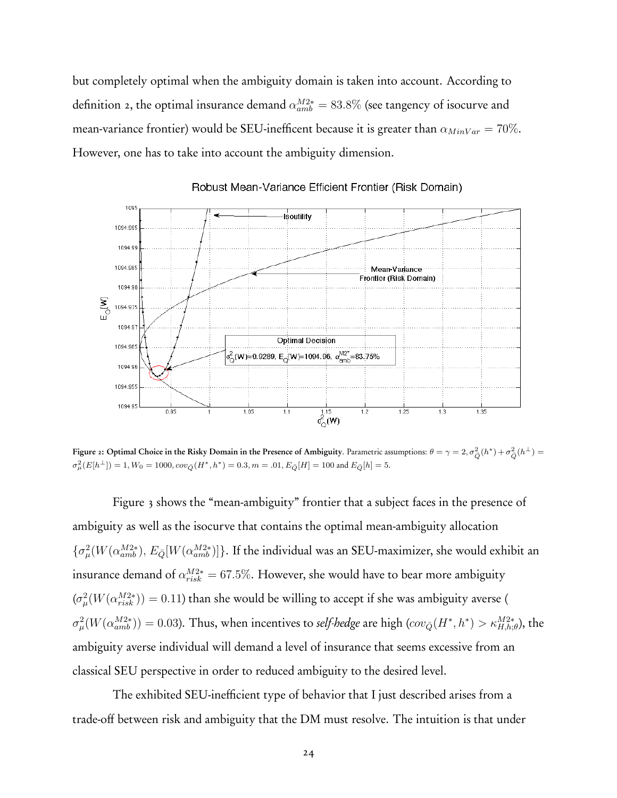but completely optimal when the ambiguity domain is taken into account. According to definition 2, the optimal insurance demand *α<sup>M</sup>*2<sup>∗</sup> *amb* = 83*.*8% (see tangency of isocurve and mean-variance frontier) would be SEU-inefficent because it is greater than  $\alpha_{MinVar} = 70\%$ . However, one has to take into account the ambiguity dimension.



Robust Mean-Variance Efficient Frontier (Risk Domain)

Figure 2: Optimal Choice in the Risky Domain in the Presence of Ambiguity. Parametric assumptions:  $θ = γ = 2, σ<sup>2</sup><sub>Q</sub>(h<sup>*</sup>) + σ<sup>2</sup><sub>Q</sub>(h<sup>⊥</sup>) =$  $\sigma_{\mu}^{2}(E[h^{\perp}]) = 1, W_{0} = 1000, cov_{\bar{Q}}(H^{*}, h^{*}) = 0.3, m = .01, E_{\bar{Q}}[H] = 100$  and  $E_{\bar{Q}}[h] = 5.$ 

Figure 3 shows the "mean-ambiguity" frontier that a subject faces in the presence of ambiguity as well as the isocurve that contains the optimal mean-ambiguity allocation  $\{\sigma_\mu^2(W(\alpha_{amb}^{M2*}), E_{\bar{Q}}[W(\alpha_{amb}^{M2*})]\}.$  If the individual was an SEU-maximizer, she would exhibit an insurance demand of  $\alpha_{risk}^{M2*} = 67.5\%$ . However, she would have to bear more ambiguity  $(\sigma_\mu^2(W(\alpha_{risk}^{M2*})) = 0.11)$  than she would be willing to accept if she was ambiguity averse (  $\sigma_\mu^2(W(\alpha_{amb}^{M2*}))=0.03$ ). Thus, when incentives to *self-hedge* are high  $(cov_{\bar{Q}}(H^*,h^*)> \kappa_{H,h;\theta}^{M2*}),$  the ambiguity averse individual will demand a level of insurance that seems excessive from an classical SEU perspective in order to reduced ambiguity to the desired level.

The exhibited SEU-inefficient type of behavior that I just described arises from a trade-off between risk and ambiguity that the DM must resolve. The intuition is that under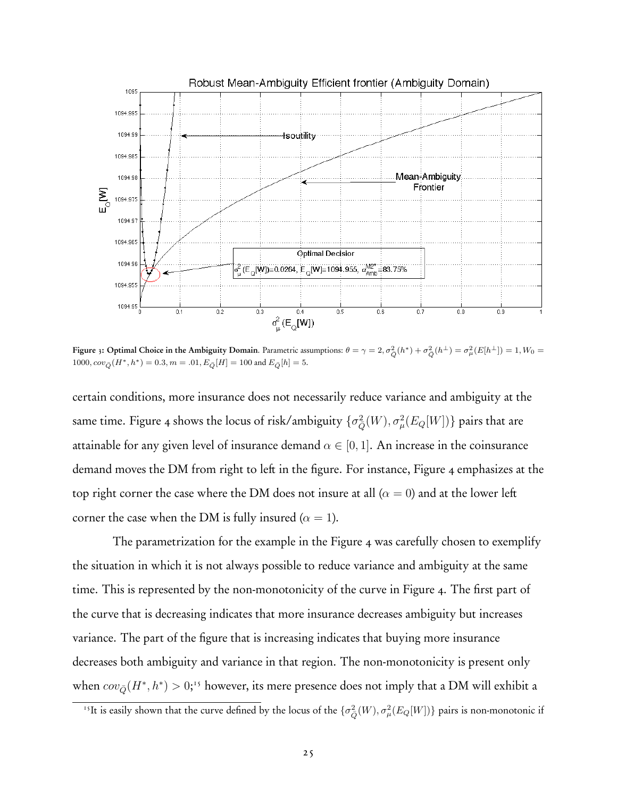

Figure 3: Optimal Choice in the Ambiguity Domain. Parametric assumptions:  $\theta = \gamma = 2, \sigma_{\bar{Q}}^2(h^*) + \sigma_{\bar{Q}}^2(h^{\perp}) = \sigma_{\mu}^2(E[h^{\perp}]) = 1, W_0 = 0$  $1000, cov_{\bar{Q}}(H^*, h^*) = 0.3, m = .01, E_{\bar{Q}}[H] = 100$  and  $E_{\bar{Q}}[h] = 5$ .

certain conditions, more insurance does not necessarily reduce variance and ambiguity at the same time. Figure 4 shows the locus of risk/ambiguity  $\{\sigma_{\bar{Q}}^2(W),\sigma_{\mu}^2(E_Q[W])\}$  pairs that are attainable for any given level of insurance demand  $\alpha \in [0, 1]$ . An increase in the coinsurance demand moves the DM from right to left in the figure. For instance, Figure 4 emphasizes at the top right corner the case where the DM does not insure at all  $(\alpha = 0)$  and at the lower left corner the case when the DM is fully insured ( $\alpha = 1$ ).

The parametrization for the example in the Figure 4 was carefully chosen to exemplify the situation in which it is not always possible to reduce variance and ambiguity at the same time. This is represented by the non-monotonicity of the curve in Figure 4. The first part of the curve that is decreasing indicates that more insurance decreases ambiguity but increases variance. The part of the figure that is increasing indicates that buying more insurance decreases both ambiguity and variance in that region. The non-monotonicity is present only when  $cov_{\bar{Q}}(H^*,h^*) > 0;$ <sup>15</sup> however, its mere presence does not imply that a DM will exhibit a

<sup>&</sup>lt;sup>15</sup>It is easily shown that the curve defined by the locus of the  $\{\sigma_{\bar{Q}}^2(W), \sigma_{\mu}^2(E_Q[W])\}$  pairs is non-monotonic if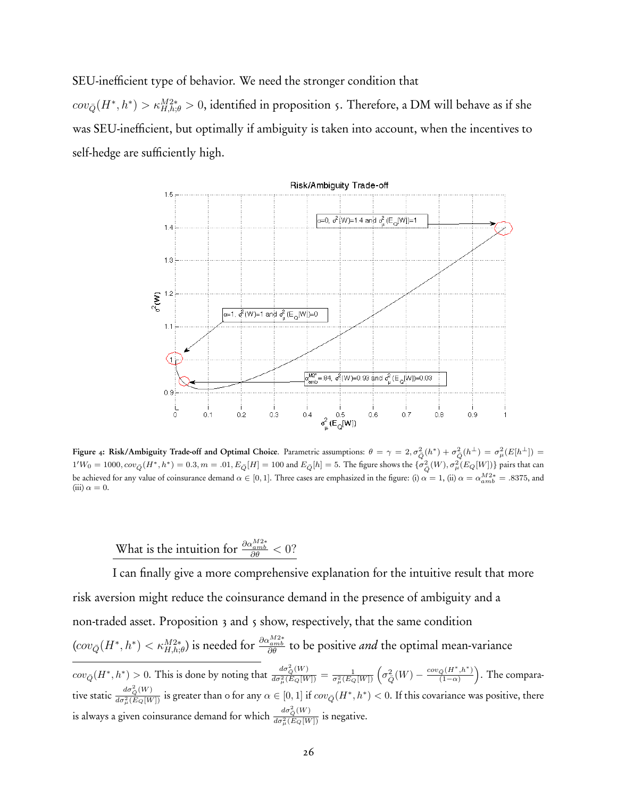SEU-inefficient type of behavior. We need the stronger condition that

 $cov_{\bar{Q}}(H^*,h^*)$  *>*  $\kappa_{H,h;\theta}^{M2*}$  *>* 0, identified in proposition 5. Therefore, a DM will behave as if she was SEU-inefficient, but optimally if ambiguity is taken into account, when the incentives to self-hedge are sufficiently high.



Figure 4: Risk/Ambiguity Trade-off and Optimal Choice. Parametric assumptions:  $\theta = \gamma = 2, \sigma_{\bar{Q}}^2(h^*) + \sigma_{\bar{Q}}^2(h^{\bot}) = \sigma_{\mu}^2(E[h^{\bot}]) =$  $1'W_0=1000, cov_{\bar{Q}}(H^*,h^*)=0.3, m=.01, E_{\bar{Q}}[H]=100$  and  $E_{\bar{Q}}[h]=5.$  The figure shows the  $\{\sigma^2_{\bar{Q}}(W),\sigma^2_{\mu}(E_{Q}[W])\}$  pairs that can be achieved for any value of coinsurance demand  $\alpha \in [0, 1]$ . Three cases are emphasized in the figure: (i)  $\alpha = 1$ , (ii)  $\alpha = \alpha_{amb}^{M2*} = .8375$ , and  $(iii) \alpha = 0.$ 

What is the intuition for  $\frac{\partial \alpha_{amb}^{M2*}}{\partial \theta} < 0$ ?

I can finally give a more comprehensive explanation for the intuitive result that more risk aversion might reduce the coinsurance demand in the presence of ambiguity and a non-traded asset. Proposition 3 and 5 show, respectively, that the same condition  $(cov_{\bar{Q}}(H^*,h^*)<\kappa_{H,h;\theta}^{M2*})$  is needed for  $\frac{\partial\alpha_{amb}^{M2*}}{\partial\theta}$  to be positive *and* the optimal mean-variance  $cov_{\bar{Q}}(H^*,h^*) > 0$ . This is done by noting that  $\frac{d\sigma^2_Q(W)}{d\sigma^2_\mu(E_Q[W])} = \frac{1}{\sigma^2_\mu(E_Q[W])}\left(\sigma^2_{\bar{Q}}(W) - \frac{cov_{\bar{Q}}(H^*,h^*)}{(1-\alpha)}\right)$ : . The comparative static  $\frac{d\sigma^2_Q(W)}{d\sigma^2_\mu(E_Q[W])}$  is greater than 0 for any  $\alpha\in[0,1]$  if  $cov_{\bar{Q}}(H^*,h^*)<0.$  If this covariance was positive, there is always a given coinsurance demand for which  $\frac{d\sigma_Q^2(W)}{d\sigma_\mu^2(E_Q[W])}$  is negative.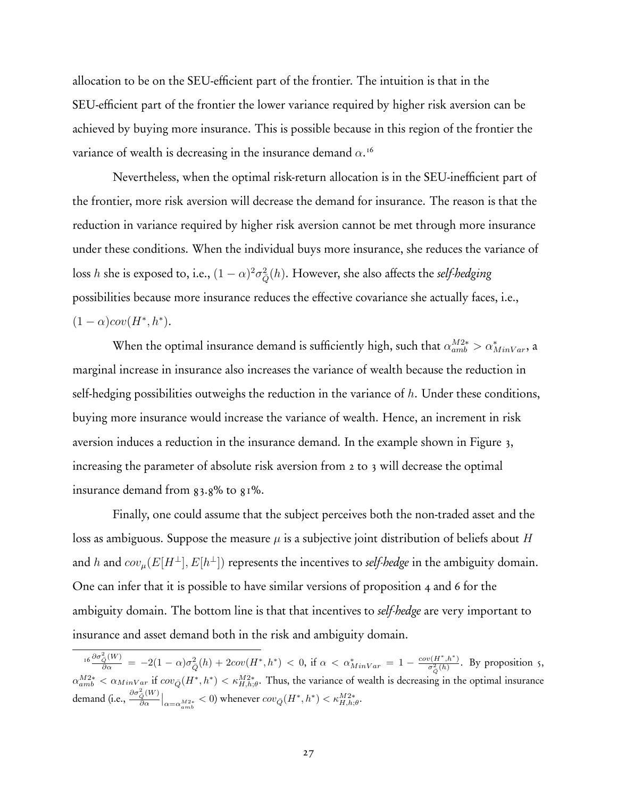allocation to be on the SEU-efficient part of the frontier. The intuition is that in the SEU-efficient part of the frontier the lower variance required by higher risk aversion can be achieved by buying more insurance. This is possible because in this region of the frontier the variance of wealth is decreasing in the insurance demand *α*. 16

Nevertheless, when the optimal risk-return allocation is in the SEU-inefficient part of the frontier, more risk aversion will decrease the demand for insurance. The reason is that the reduction in variance required by higher risk aversion cannot be met through more insurance under these conditions. When the individual buys more insurance, she reduces the variance of loss *h* she is exposed to, i.e.,  $(1-\alpha)^2\sigma_{\bar{Q}}^2(h).$  However, she also affects the *self-hedging* possibilities because more insurance reduces the effective covariance she actually faces, i.e.,  $(1 - \alpha)cov(H^*, h^*).$ 

When the optimal insurance demand is sufficiently high, such that  $\alpha_{amb}^{M2*} > \alpha_{MinVar}^*$ , a marginal increase in insurance also increases the variance of wealth because the reduction in self-hedging possibilities outweighs the reduction in the variance of *h*. Under these conditions, buying more insurance would increase the variance of wealth. Hence, an increment in risk aversion induces a reduction in the insurance demand. In the example shown in Figure 3, increasing the parameter of absolute risk aversion from 2 to 3 will decrease the optimal insurance demand from  $83.8\%$  to  $81\%$ .

Finally, one could assume that the subject perceives both the non-traded asset and the loss as ambiguous. Suppose the measure *µ* is a subjective joint distribution of beliefs about *H* and *h* and  $cov_{\mu}(E[H^{\perp}], E[h^{\perp}])$  represents the incentives to *self-hedge* in the ambiguity domain. One can infer that it is possible to have similar versions of proposition 4 and 6 for the ambiguity domain. The bottom line is that that incentives to *self-hedge* are very important to insurance and asset demand both in the risk and ambiguity domain.

 $\frac{16 \frac{\partial \sigma_{\tilde{Q}}^2(W)}{\partial \alpha}}{2} = -2(1-\alpha)\sigma_{\bar{Q}}^2(h) + 2cov(H^*,h^*) < 0$ , if  $\alpha < \alpha^*_{MinVar} = 1 - \frac{cov(H^*,h^*)}{\sigma_{\bar{Q}}^2(h)}$ . By proposition 5,  $\alpha_{amb}^{M2*} < \alpha_{MinVar}$  if  $cov_{\bar{Q}}(H^*, h^*) < \kappa_{H,h,\theta}^{M2*}$ . Thus, the variance of wealth is decreasing in the optimal insurance  $\left|\frac{\partial \sigma_{\bar{Q}}^2(W)}{\partial \alpha}\right|_{\alpha=\alpha_{amb}^{M2*}} < 0\right)$  whenever  $cov_{\bar{Q}}(H^*,h^*) < \kappa_{H,h;\theta}^{M2*}.$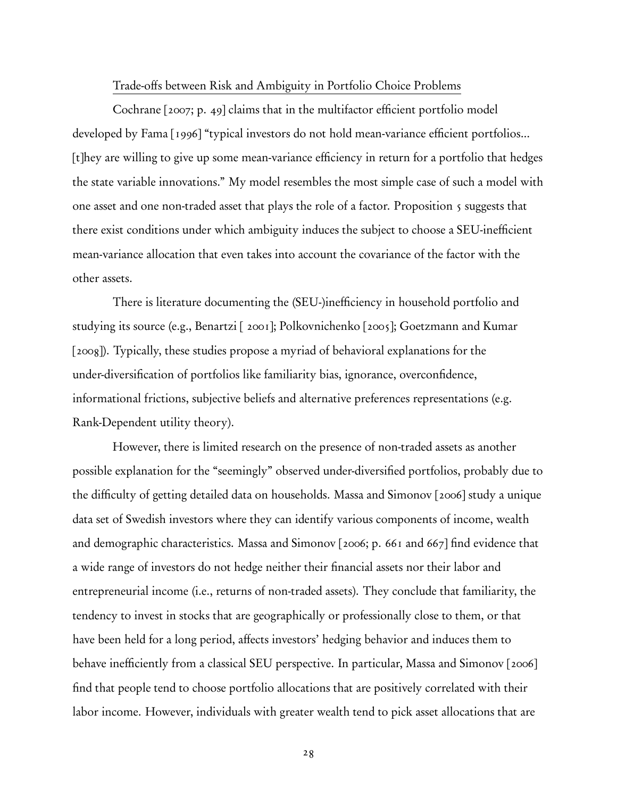#### Trade-offs between Risk and Ambiguity in Portfolio Choice Problems

Cochrane [2007; p. 49] claims that in the multifactor efficient portfolio model developed by Fama [1996] "typical investors do not hold mean-variance efficient portfolios... [t]hey are willing to give up some mean-variance efficiency in return for a portfolio that hedges the state variable innovations." My model resembles the most simple case of such a model with one asset and one non-traded asset that plays the role of a factor. Proposition 5 suggests that there exist conditions under which ambiguity induces the subject to choose a SEU-inefficient mean-variance allocation that even takes into account the covariance of the factor with the other assets.

There is literature documenting the (SEU-)inefficiency in household portfolio and studying its source (e.g., Benartzi [ 2001]; Polkovnichenko [2005]; Goetzmann and Kumar [2008]). Typically, these studies propose a myriad of behavioral explanations for the under-diversification of portfolios like familiarity bias, ignorance, overconfidence, informational frictions, subjective beliefs and alternative preferences representations (e.g. Rank-Dependent utility theory).

However, there is limited research on the presence of non-traded assets as another possible explanation for the "seemingly" observed under-diversified portfolios, probably due to the difficulty of getting detailed data on households. Massa and Simonov [2006] study a unique data set of Swedish investors where they can identify various components of income, wealth and demographic characteristics. Massa and Simonov [2006; p. 661 and 667] find evidence that a wide range of investors do not hedge neither their financial assets nor their labor and entrepreneurial income (i.e., returns of non-traded assets). They conclude that familiarity, the tendency to invest in stocks that are geographically or professionally close to them, or that have been held for a long period, affects investors' hedging behavior and induces them to behave inefficiently from a classical SEU perspective. In particular, Massa and Simonov [2006] find that people tend to choose portfolio allocations that are positively correlated with their labor income. However, individuals with greater wealth tend to pick asset allocations that are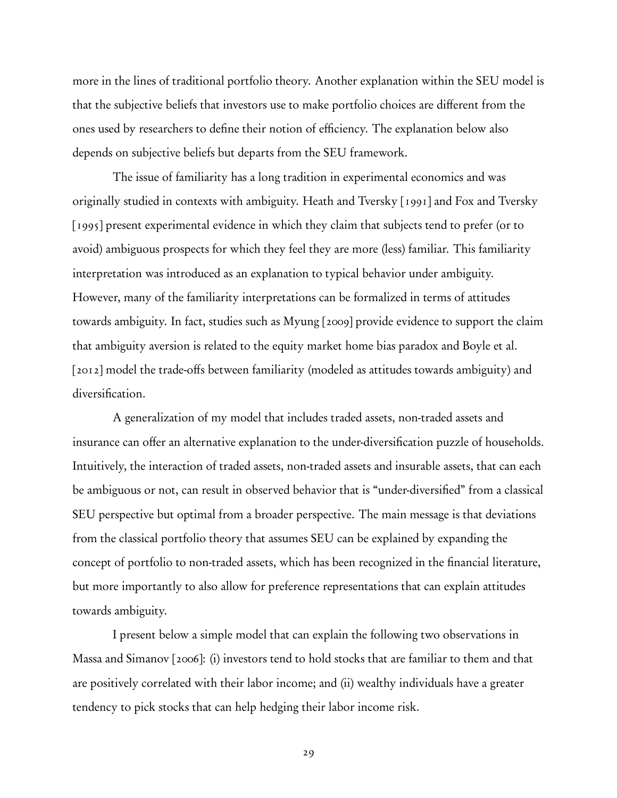more in the lines of traditional portfolio theory. Another explanation within the SEU model is that the subjective beliefs that investors use to make portfolio choices are different from the ones used by researchers to define their notion of efficiency. The explanation below also depends on subjective beliefs but departs from the SEU framework.

The issue of familiarity has a long tradition in experimental economics and was originally studied in contexts with ambiguity. Heath and Tversky [1991] and Fox and Tversky [1995] present experimental evidence in which they claim that subjects tend to prefer (or to avoid) ambiguous prospects for which they feel they are more (less) familiar. This familiarity interpretation was introduced as an explanation to typical behavior under ambiguity. However, many of the familiarity interpretations can be formalized in terms of attitudes towards ambiguity. In fact, studies such as Myung [2009] provide evidence to support the claim that ambiguity aversion is related to the equity market home bias paradox and Boyle et al. [2012] model the trade-offs between familiarity (modeled as attitudes towards ambiguity) and diversification.

A generalization of my model that includes traded assets, non-traded assets and insurance can offer an alternative explanation to the under-diversification puzzle of households. Intuitively, the interaction of traded assets, non-traded assets and insurable assets, that can each be ambiguous or not, can result in observed behavior that is "under-diversified" from a classical SEU perspective but optimal from a broader perspective. The main message is that deviations from the classical portfolio theory that assumes SEU can be explained by expanding the concept of portfolio to non-traded assets, which has been recognized in the financial literature, but more importantly to also allow for preference representations that can explain attitudes towards ambiguity.

I present below a simple model that can explain the following two observations in Massa and Simanov [2006]: (i) investors tend to hold stocks that are familiar to them and that are positively correlated with their labor income; and (ii) wealthy individuals have a greater tendency to pick stocks that can help hedging their labor income risk.

29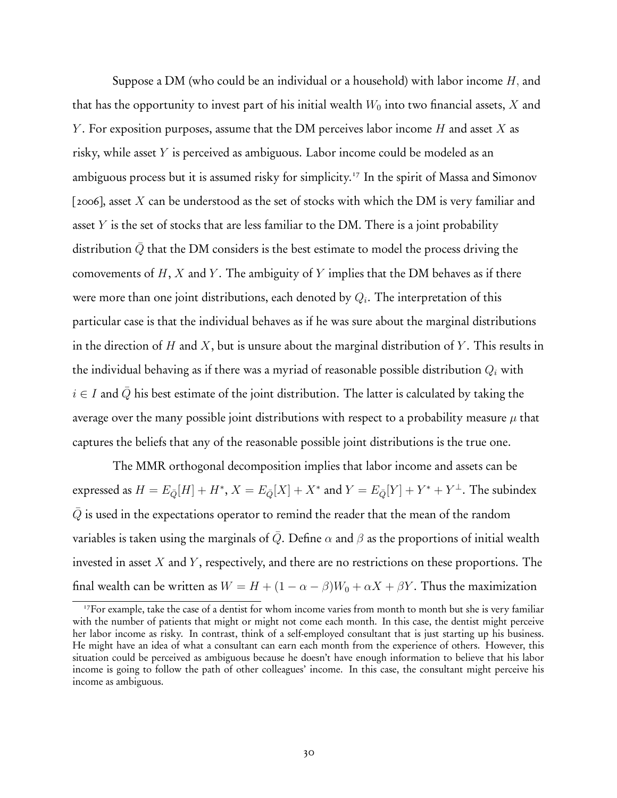Suppose a DM (who could be an individual or a household) with labor income *H,* and that has the opportunity to invest part of his initial wealth  $W_0$  into two financial assets,  $X$  and *Y* . For exposition purposes, assume that the DM perceives labor income *H* and asset *X* as risky, while asset *Y* is perceived as ambiguous. Labor income could be modeled as an ambiguous process but it is assumed risky for simplicity.<sup>17</sup> In the spirit of Massa and Simonov [2006], asset *X* can be understood as the set of stocks with which the DM is very familiar and asset *Y* is the set of stocks that are less familiar to the DM. There is a joint probability distribution  $\overline{Q}$  that the DM considers is the best estimate to model the process driving the comovements of *H*, *X* and *Y* . The ambiguity of *Y* implies that the DM behaves as if there were more than one joint distributions, each denoted by *Qi*. The interpretation of this particular case is that the individual behaves as if he was sure about the marginal distributions in the direction of *H* and *X*, but is unsure about the marginal distribution of *Y* . This results in the individual behaving as if there was a myriad of reasonable possible distribution *Q<sup>i</sup>* with  $i \in I$  and  $\overline{Q}$  his best estimate of the joint distribution. The latter is calculated by taking the average over the many possible joint distributions with respect to a probability measure  $\mu$  that captures the beliefs that any of the reasonable possible joint distributions is the true one.

The MMR orthogonal decomposition implies that labor income and assets can be expressed as  $H = E_{\bar{Q}}[H] + H^*, X = E_{\bar{Q}}[X] + X^*$  and  $Y = E_{\bar{Q}}[Y] + Y^* + Y^{\perp}$ . The subindex *Q* is used in the expectations operator to remind the reader that the mean of the random variables is taken using the marginals of  $\overline{Q}$ . Define  $\alpha$  and  $\beta$  as the proportions of initial wealth invested in asset *X* and *Y* , respectively, and there are no restrictions on these proportions. The final wealth can be written as  $W = H + (1 - \alpha - \beta)W_0 + \alpha X + \beta Y$ . Thus the maximization

<sup>&</sup>lt;sup>17</sup>For example, take the case of a dentist for whom income varies from month to month but she is very familiar with the number of patients that might or might not come each month. In this case, the dentist might perceive her labor income as risky. In contrast, think of a self-employed consultant that is just starting up his business. He might have an idea of what a consultant can earn each month from the experience of others. However, this situation could be perceived as ambiguous because he doesn't have enough information to believe that his labor income is going to follow the path of other colleagues' income. In this case, the consultant might perceive his income as ambiguous.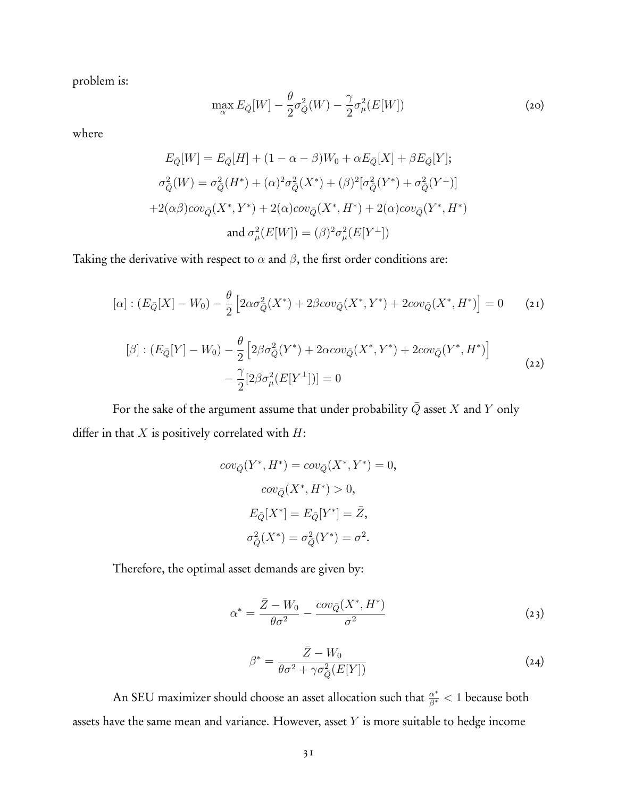problem is:

$$
\max_{\alpha} E_{\bar{Q}}[W] - \frac{\theta}{2}\sigma_{\bar{Q}}^2(W) - \frac{\gamma}{2}\sigma_{\mu}^2(E[W])
$$
\n(20)

where

$$
E_{\bar{Q}}[W] = E_{\bar{Q}}[H] + (1 - \alpha - \beta)W_0 + \alpha E_{\bar{Q}}[X] + \beta E_{\bar{Q}}[Y];
$$
  
\n
$$
\sigma_{\bar{Q}}^2(W) = \sigma_{\bar{Q}}^2(H^*) + (\alpha)^2 \sigma_{\bar{Q}}^2(X^*) + (\beta)^2 [\sigma_{\bar{Q}}^2(Y^*) + \sigma_{\bar{Q}}^2(Y^{\perp})]
$$
  
\n
$$
+ 2(\alpha \beta) cov_{\bar{Q}}(X^*, Y^*) + 2(\alpha) cov_{\bar{Q}}(X^*, H^*) + 2(\alpha) cov_{\bar{Q}}(Y^*, H^*)
$$
  
\nand 
$$
\sigma_{\mu}^2(E[W]) = (\beta)^2 \sigma_{\mu}^2(E[Y^{\perp}])
$$

Taking the derivative with respect to  $\alpha$  and  $\beta$ , the first order conditions are:

$$
[\alpha] : (E_{\bar{Q}}[X] - W_0) - \frac{\theta}{2} \left[ 2\alpha \sigma_{\bar{Q}}^2(X^*) + 2\beta cov_{\bar{Q}}(X^*, Y^*) + 2cov_{\bar{Q}}(X^*, H^*) \right] = 0 \qquad (21)
$$

$$
[\beta] : (E_{\bar{Q}}[Y] - W_0) - \frac{\theta}{2} \left[ 2\beta \sigma_{\bar{Q}}^2(Y^*) + 2\alpha cov_{\bar{Q}}(X^*, Y^*) + 2cov_{\bar{Q}}(Y^*, H^*) \right] - \frac{\gamma}{2} [2\beta \sigma_{\mu}^2(E[Y^{\perp}])] = 0
$$
\n(22)

For the sake of the argument assume that under probability  $\bar{Q}$  asset  $X$  and  $Y$  only differ in that *X* is positively correlated with *H*:

$$
cov_{\bar{Q}}(Y^*, H^*) = cov_{\bar{Q}}(X^*, Y^*) = 0,
$$

$$
cov_{\bar{Q}}(X^*, H^*) > 0,
$$

$$
E_{\bar{Q}}[X^*] = E_{\bar{Q}}[Y^*] = \bar{Z},
$$

$$
\sigma_{\bar{Q}}^2(X^*) = \sigma_{\bar{Q}}^2(Y^*) = \sigma^2.
$$

Therefore, the optimal asset demands are given by:

$$
\alpha^* = \frac{\bar{Z} - W_0}{\theta \sigma^2} - \frac{cov_{\bar{Q}}(X^*, H^*)}{\sigma^2} \tag{23}
$$

$$
\beta^* = \frac{\bar{Z} - W_0}{\theta \sigma^2 + \gamma \sigma_{\bar{Q}}^2(E[Y])} \tag{24}
$$

An SEU maximizer should choose an asset allocation such that *<sup>α</sup>*<sup>∗</sup> *<sup>β</sup>*<sup>∗</sup> *<* 1 because both assets have the same mean and variance. However, asset *Y* is more suitable to hedge income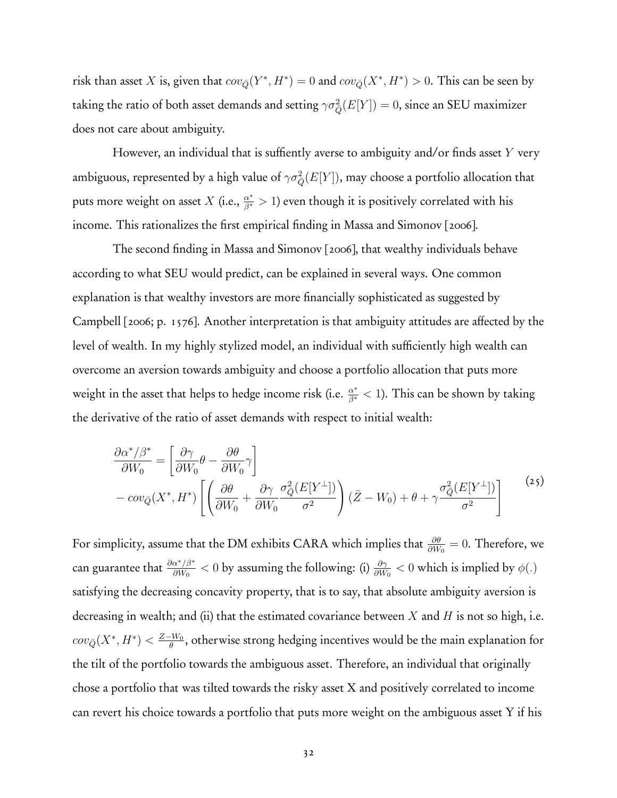risk than asset *X* is, given that  $cov_{\bar{Q}}(Y^*, H^*)=0$  and  $cov_{\bar{Q}}(X^*, H^*)>0$ . This can be seen by taking the ratio of both asset demands and setting  $\gamma\sigma_{\bar{Q}}^2(E[Y])=0,$  since an SEU maximizer does not care about ambiguity.

However, an individual that is suffiently averse to ambiguity and/or finds asset *Y* very ambiguous, represented by a high value of  $\gamma\sigma_{\bar{Q}}^2(E[Y])$ , may choose a portfolio allocation that puts more weight on asset  $X$  (i.e.,  $\frac{\alpha^*}{\beta^*} > 1$ ) even though it is positively correlated with his income. This rationalizes the first empirical finding in Massa and Simonov [2006].

The second finding in Massa and Simonov [2006], that wealthy individuals behave according to what SEU would predict, can be explained in several ways. One common explanation is that wealthy investors are more financially sophisticated as suggested by Campbell [2006; p. 1576]. Another interpretation is that ambiguity attitudes are affected by the level of wealth. In my highly stylized model, an individual with sufficiently high wealth can overcome an aversion towards ambiguity and choose a portfolio allocation that puts more weight in the asset that helps to hedge income risk (i.e. *<sup>α</sup>*<sup>∗</sup> *<sup>β</sup>*<sup>∗</sup> *<* 1). This can be shown by taking the derivative of the ratio of asset demands with respect to initial wealth:

$$
\frac{\partial \alpha^* / \beta^*}{\partial W_0} = \left[ \frac{\partial \gamma}{\partial W_0} \theta - \frac{\partial \theta}{\partial W_0} \gamma \right] \n- cov_{\bar{Q}}(X^*, H^*) \left[ \left( \frac{\partial \theta}{\partial W_0} + \frac{\partial \gamma}{\partial W_0} \frac{\sigma_{\bar{Q}}^2 (E[Y^{\perp}])}{\sigma^2} \right) (\bar{Z} - W_0) + \theta + \gamma \frac{\sigma_{\bar{Q}}^2 (E[Y^{\perp}])}{\sigma^2} \right]
$$
\n(25)

For simplicity, assume that the DM exhibits CARA which implies that *∂θ ∂W*<sup>0</sup> = 0. Therefore, we can guarantee that  $\frac{\partial a^*/\beta^*}{\partial W_0} < 0$  by assuming the following: (i)  $\frac{\partial \gamma}{\partial W_0} < 0$  which is implied by  $\phi(.)$ satisfying the decreasing concavity property, that is to say, that absolute ambiguity aversion is decreasing in wealth; and (ii) that the estimated covariance between *X* and *H* is not so high, i.e.  $cov_{\bar{Q}}(X^*,H^*) < \frac{Z-W_0}{\theta}$ , otherwise strong hedging incentives would be the main explanation for the tilt of the portfolio towards the ambiguous asset. Therefore, an individual that originally chose a portfolio that was tilted towards the risky asset X and positively correlated to income can revert his choice towards a portfolio that puts more weight on the ambiguous asset Y if his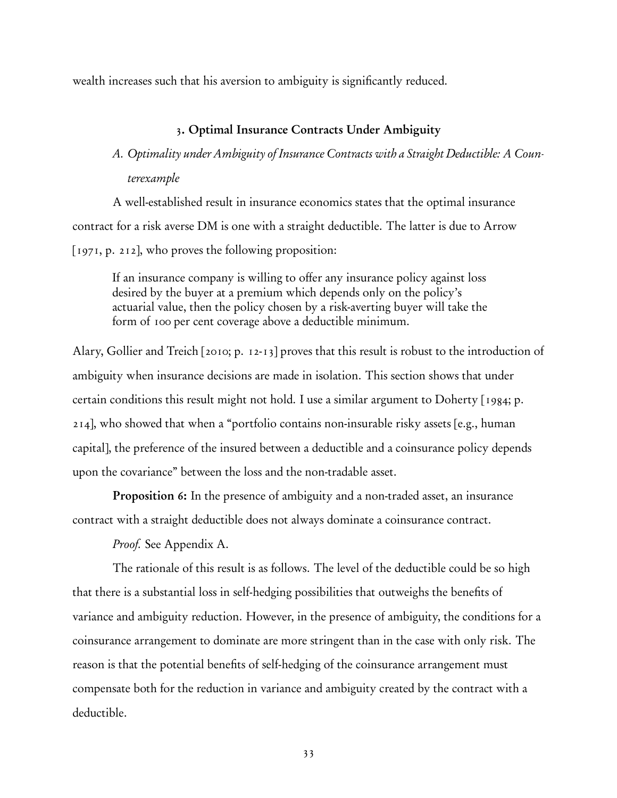wealth increases such that his aversion to ambiguity is significantly reduced.

# 3. Optimal Insurance Contracts Under Ambiguity

# *A. Optimality under Ambiguity of Insurance Contracts with a Straight Deductible: A Counterexample*

A well-established result in insurance economics states that the optimal insurance contract for a risk averse DM is one with a straight deductible. The latter is due to Arrow [1971, p. 212], who proves the following proposition:

If an insurance company is willing to offer any insurance policy against loss desired by the buyer at a premium which depends only on the policy's actuarial value, then the policy chosen by a risk-averting buyer will take the form of 100 per cent coverage above a deductible minimum.

Alary, Gollier and Treich [2010; p. 12-13] proves that this result is robust to the introduction of ambiguity when insurance decisions are made in isolation. This section shows that under certain conditions this result might not hold. I use a similar argument to Doherty [1984; p. 214], who showed that when a "portfolio contains non-insurable risky assets [e.g., human capital], the preference of the insured between a deductible and a coinsurance policy depends upon the covariance" between the loss and the non-tradable asset.

Proposition 6: In the presence of ambiguity and a non-traded asset, an insurance contract with a straight deductible does not always dominate a coinsurance contract.

*Proof.* See Appendix A.

The rationale of this result is as follows. The level of the deductible could be so high that there is a substantial loss in self-hedging possibilities that outweighs the benefits of variance and ambiguity reduction. However, in the presence of ambiguity, the conditions for a coinsurance arrangement to dominate are more stringent than in the case with only risk. The reason is that the potential benefits of self-hedging of the coinsurance arrangement must compensate both for the reduction in variance and ambiguity created by the contract with a deductible.

33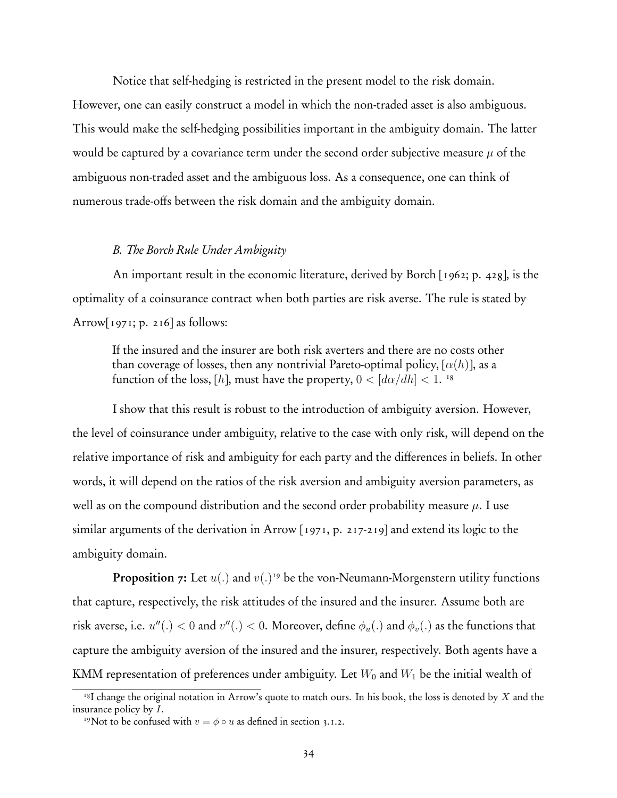Notice that self-hedging is restricted in the present model to the risk domain. However, one can easily construct a model in which the non-traded asset is also ambiguous. This would make the self-hedging possibilities important in the ambiguity domain. The latter would be captured by a covariance term under the second order subjective measure  $\mu$  of the ambiguous non-traded asset and the ambiguous loss. As a consequence, one can think of numerous trade-offs between the risk domain and the ambiguity domain.

## *B. The Borch Rule Under Ambiguity*

An important result in the economic literature, derived by Borch [1962; p. 428], is the optimality of a coinsurance contract when both parties are risk averse. The rule is stated by Arrow $[1971; p. 216]$  as follows:

If the insured and the insurer are both risk averters and there are no costs other than coverage of losses, then any nontrivial Pareto-optimal policy,  $[\alpha(h)]$ , as a function of the loss, [h], must have the property,  $0 < [d\alpha/dh] < 1$ . <sup>18</sup>

I show that this result is robust to the introduction of ambiguity aversion. However, the level of coinsurance under ambiguity, relative to the case with only risk, will depend on the relative importance of risk and ambiguity for each party and the differences in beliefs. In other words, it will depend on the ratios of the risk aversion and ambiguity aversion parameters, as well as on the compound distribution and the second order probability measure  $\mu$ . I use similar arguments of the derivation in Arrow [1971, p. 217-219] and extend its logic to the ambiguity domain.

Proposition 7: Let  $u(.)$  and  $v(.)$ <sup>19</sup> be the von-Neumann-Morgenstern utility functions that capture, respectively, the risk attitudes of the insured and the insurer. Assume both are risk averse, i.e.  $u''(.) < 0$  and  $v''(.) < 0$ . Moreover, define  $\phi_u(.)$  and  $\phi_v(.)$  as the functions that capture the ambiguity aversion of the insured and the insurer, respectively. Both agents have a KMM representation of preferences under ambiguity. Let  $W_0$  and  $W_1$  be the initial wealth of

<sup>18</sup>I change the original notation in Arrow's quote to match ours. In his book, the loss is denoted by *X* and the insurance policy by *I*.

<sup>&</sup>lt;sup>19</sup>Not to be confused with  $v = \phi \circ u$  as defined in section 3.1.2.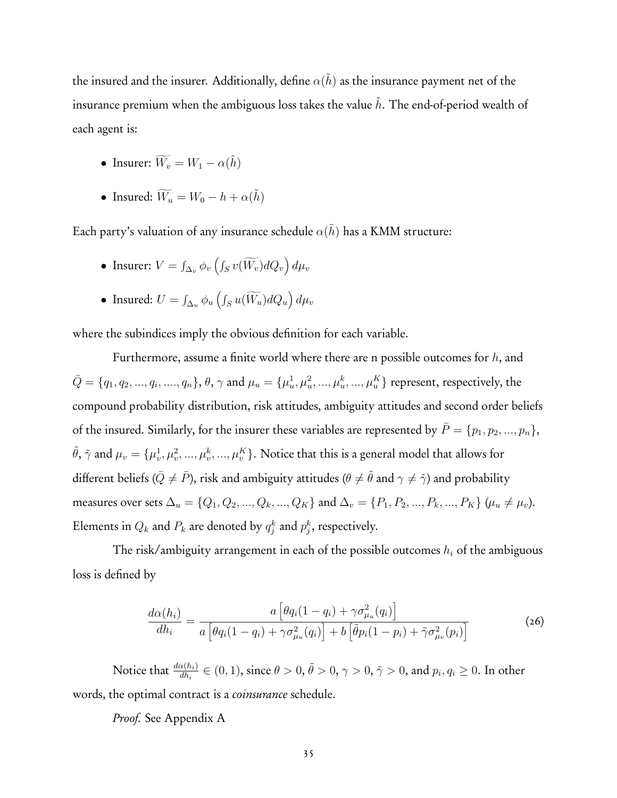the insured and the insurer. Additionally, define  $\alpha(h)$  as the insurance payment net of the insurance premium when the ambiguous loss takes the value *h*. The end-of-period wealth of each agent is:

- Insurer:  $\widetilde{W_v} = W_1 \alpha(\tilde{h})$
- Insured:  $\widetilde{W}_u = W_0 h + \alpha(\tilde{h})$

Each party's valuation of any insurance schedule  $\alpha(\tilde{h})$  has a KMM structure:

- Insurer:  $V = \int_{\Delta_v} \phi_v \left( \int_S v(\widetilde{W_v}) dQ_v \right) d\mu_v$
- Insured:  $U = \int_{\Delta_u} \phi_u \left( \int_S u(\widetilde{W}_u) dQ_u \right) d\mu_v$

where the subindices imply the obvious definition for each variable.

Furthermore, assume a finite world where there are n possible outcomes for *h*, and  $\bar{Q}=\{q_1,q_2,...,q_i,...,q_n\},$   $\theta,\,\gamma$  and  $\mu_u=\{\mu_u^1,\mu_u^2,...,\mu_u^k,...,\mu_u^K\}$  represent, respectively, the compound probability distribution, risk attitudes, ambiguity attitudes and second order beliefs of the insured. Similarly, for the insurer these variables are represented by  $\bar{P} = \{p_1, p_2, ..., p_n\}$ ,  $\tilde{\theta}$ ,  $\tilde{\gamma}$  and  $\mu_v = \{\mu_v^1, \mu_v^2, ..., \mu_v^k, ..., \mu_v^K\}$ . Notice that this is a general model that allows for different beliefs ( $\bar{Q} \neq \bar{P}$ ), risk and ambiguity attitudes ( $\theta \neq \tilde{\theta}$  and  $\gamma \neq \tilde{\gamma}$ ) and probability measures over sets  $\Delta_u = \{Q_1, Q_2, ..., Q_k, ..., Q_K\}$  and  $\Delta_v = \{P_1, P_2, ..., P_k, ..., P_K\}$  ( $\mu_u \neq \mu_v$ ). Elements in  $Q_k$  and  $P_k$  are denoted by  $q_j^k$  and  $p_j^k$ , respectively.

The risk/ambiguity arrangement in each of the possible outcomes *h<sup>i</sup>* of the ambiguous loss is defined by

$$
\frac{d\alpha(h_i)}{dh_i} = \frac{a\left[\theta q_i(1-q_i) + \gamma \sigma_{\mu_u}^2(q_i)\right]}{a\left[\theta q_i(1-q_i) + \gamma \sigma_{\mu_u}^2(q_i)\right] + b\left[\tilde{\theta} p_i(1-p_i) + \tilde{\gamma} \sigma_{\mu_v}^2(p_i)\right]}
$$
(26)

Notice that  $\frac{d\alpha(h_i)}{dh_i} \in (0,1)$ , since  $\theta > 0$ ,  $\tilde{\theta} > 0$ ,  $\gamma > 0$ ,  $\tilde{\gamma} > 0$ , and  $p_i, q_i \geq 0$ . In other words, the optimal contract is a *coinsurance* schedule.

*Proof.* See Appendix A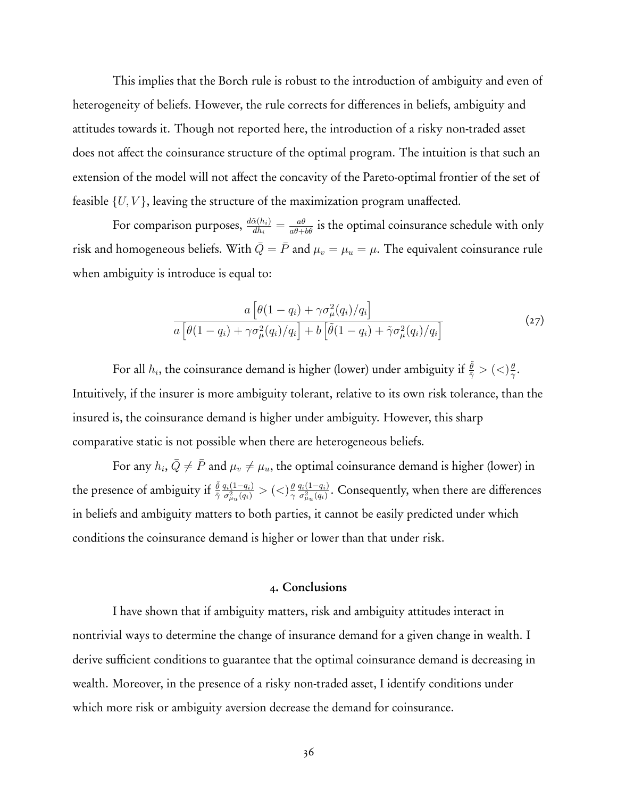This implies that the Borch rule is robust to the introduction of ambiguity and even of heterogeneity of beliefs. However, the rule corrects for differences in beliefs, ambiguity and attitudes towards it. Though not reported here, the introduction of a risky non-traded asset does not affect the coinsurance structure of the optimal program. The intuition is that such an extension of the model will not affect the concavity of the Pareto-optimal frontier of the set of feasible {*U, V* }, leaving the structure of the maximization program unaffected.

For comparison purposes,  $\frac{d\tilde\alpha(h_i)}{dh_i}=\frac{a\theta}{a\theta+b\tilde\theta}$  is the optimal coinsurance schedule with only risk and homogeneous beliefs. With  $\overline{Q} = \overline{P}$  and  $\mu_v = \mu_u = \mu$ . The equivalent coinsurance rule when ambiguity is introduce is equal to:

$$
\frac{a\left[\theta(1-q_i)+\gamma\sigma_{\mu}^2(q_i)/q_i\right]}{a\left[\theta(1-q_i)+\gamma\sigma_{\mu}^2(q_i)/q_i\right]+b\left[\tilde{\theta}(1-q_i)+\tilde{\gamma}\sigma_{\mu}^2(q_i)/q_i\right]}
$$
(27)

For all  $h_i$ , the coinsurance demand is higher (lower) under ambiguity if  $\frac{\tilde{\theta}}{\tilde{\gamma}}>(<)\frac{\theta}{\gamma}$ . Intuitively, if the insurer is more ambiguity tolerant, relative to its own risk tolerance, than the insured is, the coinsurance demand is higher under ambiguity. However, this sharp comparative static is not possible when there are heterogeneous beliefs.

For any  $h_i$ ,  $\overline{Q} \neq \overline{P}$  and  $\mu_v \neq \mu_u$ , the optimal coinsurance demand is higher (lower) in the presence of ambiguity if *<sup>θ</sup>* ˜  $\frac{\tilde{\theta}}{\tilde{\gamma}}\frac{q_i(1-q_i)}{\sigma_{\mu_u}^2(q_i)}>(<) \frac{\theta}{\gamma}\frac{q_i(1-q_i)}{\sigma_{\mu_u}^2(q_i)}.$  Consequently, when there are differences in beliefs and ambiguity matters to both parties, it cannot be easily predicted under which conditions the coinsurance demand is higher or lower than that under risk.

## 4. Conclusions

I have shown that if ambiguity matters, risk and ambiguity attitudes interact in nontrivial ways to determine the change of insurance demand for a given change in wealth. I derive sufficient conditions to guarantee that the optimal coinsurance demand is decreasing in wealth. Moreover, in the presence of a risky non-traded asset, I identify conditions under which more risk or ambiguity aversion decrease the demand for coinsurance.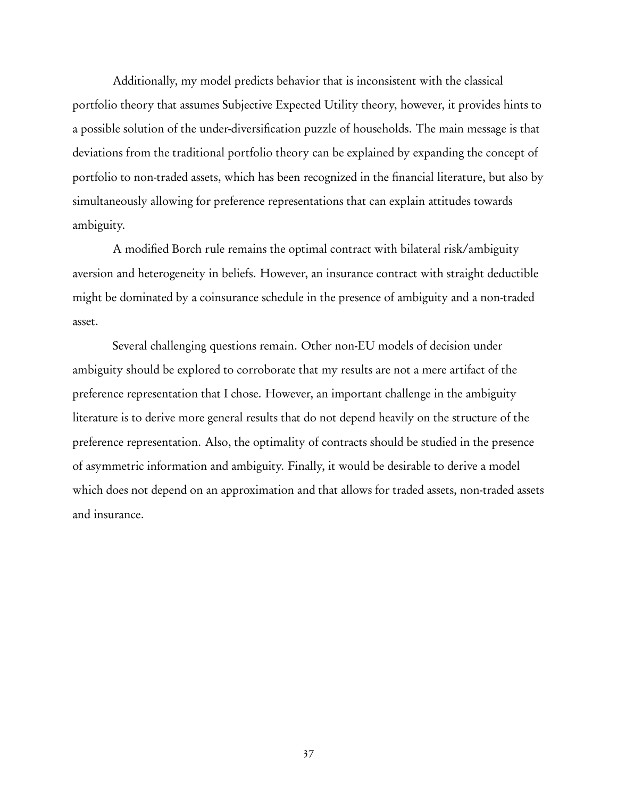Additionally, my model predicts behavior that is inconsistent with the classical portfolio theory that assumes Subjective Expected Utility theory, however, it provides hints to a possible solution of the under-diversification puzzle of households. The main message is that deviations from the traditional portfolio theory can be explained by expanding the concept of portfolio to non-traded assets, which has been recognized in the financial literature, but also by simultaneously allowing for preference representations that can explain attitudes towards ambiguity.

A modified Borch rule remains the optimal contract with bilateral risk/ambiguity aversion and heterogeneity in beliefs. However, an insurance contract with straight deductible might be dominated by a coinsurance schedule in the presence of ambiguity and a non-traded asset.

Several challenging questions remain. Other non-EU models of decision under ambiguity should be explored to corroborate that my results are not a mere artifact of the preference representation that I chose. However, an important challenge in the ambiguity literature is to derive more general results that do not depend heavily on the structure of the preference representation. Also, the optimality of contracts should be studied in the presence of asymmetric information and ambiguity. Finally, it would be desirable to derive a model which does not depend on an approximation and that allows for traded assets, non-traded assets and insurance.

37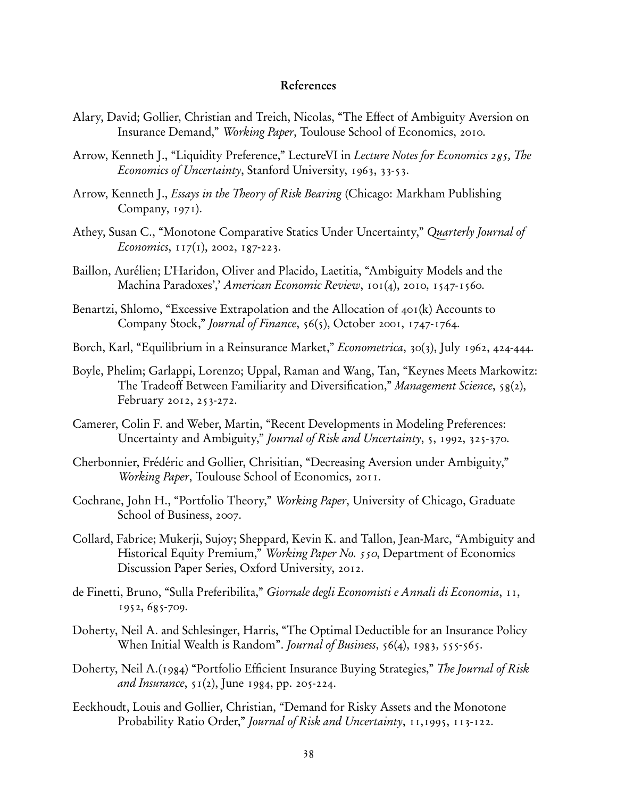# References

- Alary, David; Gollier, Christian and Treich, Nicolas, "The Effect of Ambiguity Aversion on Insurance Demand," *Working Paper*, Toulouse School of Economics, 2010.
- Arrow, Kenneth J., "Liquidity Preference," LectureVI in *Lecture Notes for Economics 285, The Economics of Uncertainty*, Stanford University, 1963, 33-53.
- Arrow, Kenneth J., *Essays in the Theory of Risk Bearing* (Chicago: Markham Publishing Company, 1971).
- Athey, Susan C., "Monotone Comparative Statics Under Uncertainty," *Quarterly Journal of Economics*, 117(1), 2002, 187-223.
- Baillon, Aurélien; L'Haridon, Oliver and Placido, Laetitia, "Ambiguity Models and the Machina Paradoxes',' *American Economic Review*, 101(4), 2010, 1547-1560.
- Benartzi, Shlomo, "Excessive Extrapolation and the Allocation of 401(k) Accounts to Company Stock," *Journal of Finance*, 56(5), October 2001, 1747-1764.
- Borch, Karl, "Equilibrium in a Reinsurance Market," *Econometrica*, 30(3), July 1962, 424-444.
- Boyle, Phelim; Garlappi, Lorenzo; Uppal, Raman and Wang, Tan, "Keynes Meets Markowitz: The Tradeoff Between Familiarity and Diversification," *Management Science*, 58(2), February 2012, 253-272.
- Camerer, Colin F. and Weber, Martin, "Recent Developments in Modeling Preferences: Uncertainty and Ambiguity," *Journal of Risk and Uncertainty*, 5, 1992, 325-370.
- Cherbonnier, Frédéric and Gollier, Chrisitian, "Decreasing Aversion under Ambiguity," *Working Paper*, Toulouse School of Economics, 2011.
- Cochrane, John H., "Portfolio Theory," *Working Paper*, University of Chicago, Graduate School of Business, 2007.
- Collard, Fabrice; Mukerji, Sujoy; Sheppard, Kevin K. and Tallon, Jean-Marc, "Ambiguity and Historical Equity Premium," *Working Paper No. 550*, Department of Economics Discussion Paper Series, Oxford University, 2012.
- de Finetti, Bruno, "Sulla Preferibilita," *Giornale degli Economisti e Annali di Economia*, 11, 1952, 685-709.
- Doherty, Neil A. and Schlesinger, Harris, "The Optimal Deductible for an Insurance Policy When Initial Wealth is Random". *Journal of Business*, 56(4), 1983, 555-565.
- Doherty, Neil A.(1984) "Portfolio Efficient Insurance Buying Strategies," *The Journal of Risk and Insurance*, 51(2), June 1984, pp. 205-224.
- Eeckhoudt, Louis and Gollier, Christian, "Demand for Risky Assets and the Monotone Probability Ratio Order," *Journal of Risk and Uncertainty*, 11,1995, 113-122.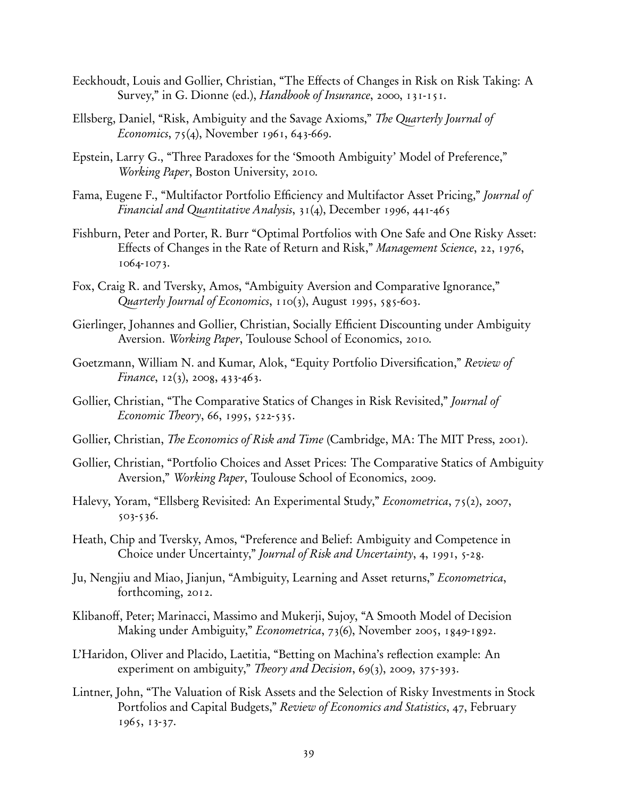- Eeckhoudt, Louis and Gollier, Christian, "The Effects of Changes in Risk on Risk Taking: A Survey," in G. Dionne (ed.), *Handbook of Insurance*, 2000, 131-151.
- Ellsberg, Daniel, "Risk, Ambiguity and the Savage Axioms," *The Quarterly Journal of Economics*, 75(4), November 1961, 643-669.
- Epstein, Larry G., "Three Paradoxes for the 'Smooth Ambiguity' Model of Preference," *Working Paper*, Boston University, 2010.
- Fama, Eugene F., "Multifactor Portfolio Efficiency and Multifactor Asset Pricing," *Journal of Financial and Quantitative Analysis*, 31(4), December 1996, 441-465
- Fishburn, Peter and Porter, R. Burr "Optimal Portfolios with One Safe and One Risky Asset: Effects of Changes in the Rate of Return and Risk," *Management Science*, 22, 1976, 1064-1073.
- Fox, Craig R. and Tversky, Amos, "Ambiguity Aversion and Comparative Ignorance," *Quarterly Journal of Economics*, 110(3), August 1995, 585-603.
- Gierlinger, Johannes and Gollier, Christian, Socially Efficient Discounting under Ambiguity Aversion. *Working Paper*, Toulouse School of Economics, 2010.
- Goetzmann, William N. and Kumar, Alok, "Equity Portfolio Diversification," *Review of Finance*, 12(3), 2008, 433-463.
- Gollier, Christian, "The Comparative Statics of Changes in Risk Revisited," *Journal of Economic Theory*, 66, 1995, 522-535.
- Gollier, Christian, *The Economics of Risk and Time* (Cambridge, MA: The MIT Press, 2001).
- Gollier, Christian, "Portfolio Choices and Asset Prices: The Comparative Statics of Ambiguity Aversion," *Working Paper*, Toulouse School of Economics, 2009.
- Halevy, Yoram, "Ellsberg Revisited: An Experimental Study," *Econometrica*, 75(2), 2007, 503-536.
- Heath, Chip and Tversky, Amos, "Preference and Belief: Ambiguity and Competence in Choice under Uncertainty," *Journal of Risk and Uncertainty*, 4, 1991, 5-28.
- Ju, Nengjiu and Miao, Jianjun, "Ambiguity, Learning and Asset returns," *Econometrica*, forthcoming, 2012.
- Klibanoff, Peter; Marinacci, Massimo and Mukerji, Sujoy, "A Smooth Model of Decision Making under Ambiguity," *Econometrica*, 73(6), November 2005, 1849-1892.
- L'Haridon, Oliver and Placido, Laetitia, "Betting on Machina's reflection example: An experiment on ambiguity," *Theory and Decision*, 69(3), 2009, 375-393.
- Lintner, John, "The Valuation of Risk Assets and the Selection of Risky Investments in Stock Portfolios and Capital Budgets," *Review of Economics and Statistics*, 47, February 1965, 13-37.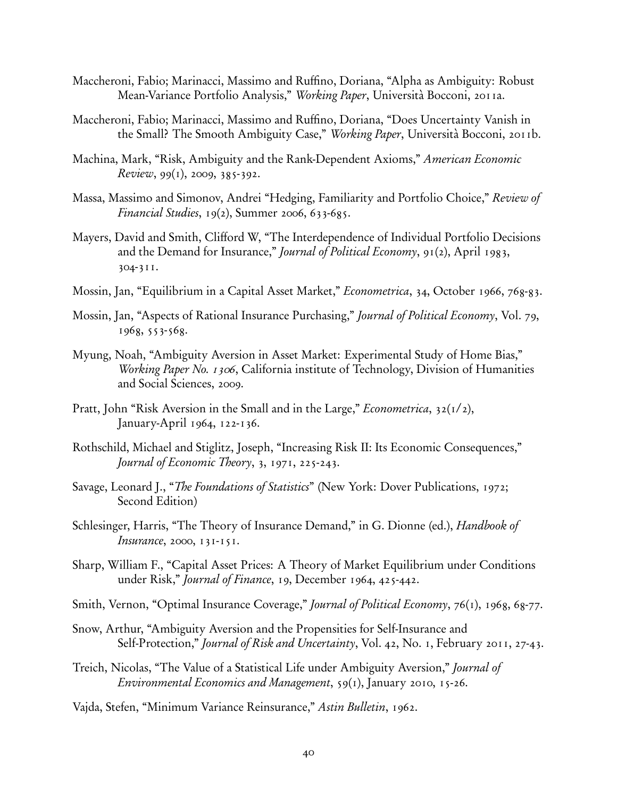- Maccheroni, Fabio; Marinacci, Massimo and Ruffino, Doriana, "Alpha as Ambiguity: Robust Mean-Variance Portfolio Analysis," *Working Paper*, Università Bocconi, 2011a.
- Maccheroni, Fabio; Marinacci, Massimo and Ruffino, Doriana, "Does Uncertainty Vanish in the Small? The Smooth Ambiguity Case," *Working Paper*, Università Bocconi, 2011b.
- Machina, Mark, "Risk, Ambiguity and the Rank-Dependent Axioms," *American Economic Review*, 99(1), 2009, 385-392.
- Massa, Massimo and Simonov, Andrei "Hedging, Familiarity and Portfolio Choice," *Review of Financial Studies*, 19(2), Summer 2006, 633-685.
- Mayers, David and Smith, Clifford W, "The Interdependence of Individual Portfolio Decisions and the Demand for Insurance," *Journal of Political Economy*, 91(2), April 1983, 304-311.
- Mossin, Jan, "Equilibrium in a Capital Asset Market," *Econometrica*, 34, October 1966, 768-83.
- Mossin, Jan, "Aspects of Rational Insurance Purchasing," *Journal of Political Economy*, Vol. 79, 1968, 553-568.
- Myung, Noah, "Ambiguity Aversion in Asset Market: Experimental Study of Home Bias," *Working Paper No. 1306*, California institute of Technology, Division of Humanities and Social Sciences, 2009.
- Pratt, John "Risk Aversion in the Small and in the Large," *Econometrica*, 32(1/2), January-April 1964, 122-136.
- Rothschild, Michael and Stiglitz, Joseph, "Increasing Risk II: Its Economic Consequences," *Journal of Economic Theory*, 3, 1971, 225-243.
- Savage, Leonard J., "*The Foundations of Statistics*" (New York: Dover Publications, 1972; Second Edition)
- Schlesinger, Harris, "The Theory of Insurance Demand," in G. Dionne (ed.), *Handbook of Insurance*, 2000, 131-151.
- Sharp, William F., "Capital Asset Prices: A Theory of Market Equilibrium under Conditions under Risk," *Journal of Finance*, 19, December 1964, 425-442.
- Smith, Vernon, "Optimal Insurance Coverage," *Journal of Political Economy*, 76(1), 1968, 68-77.
- Snow, Arthur, "Ambiguity Aversion and the Propensities for Self-Insurance and Self-Protection," *Journal of Risk and Uncertainty*, Vol. 42, No. 1, February 2011, 27-43.
- Treich, Nicolas, "The Value of a Statistical Life under Ambiguity Aversion," *Journal of Environmental Economics and Management*, 59(1), January 2010, 15-26.
- Vajda, Stefen, "Minimum Variance Reinsurance," *Astin Bulletin*, 1962.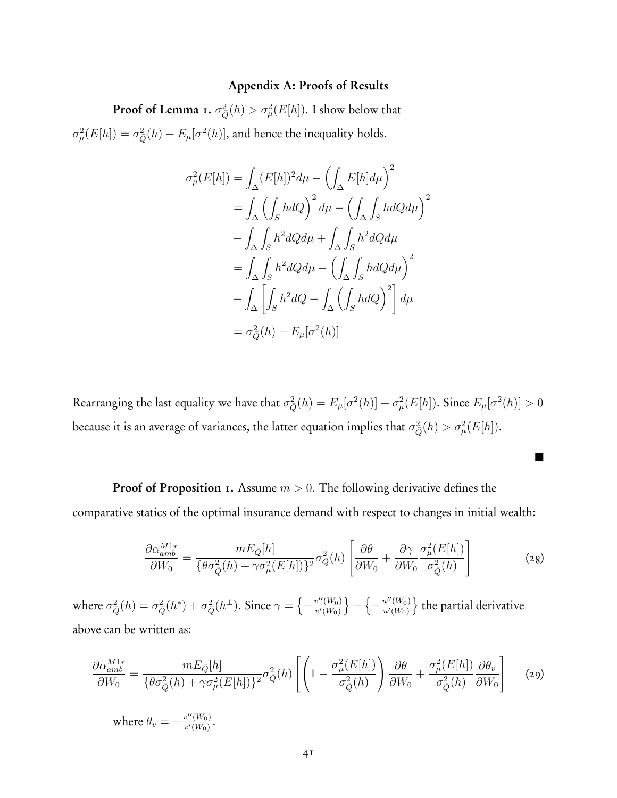#### Appendix A: Proofs of Results

**Proof of Lemma** 1.  $\sigma_{\bar{Q}}^2(h) > \sigma_{\mu}^2(E[h])$ . I show below that  $\sigma_{\mu}^{2}(E[h]) = \sigma_{\bar{Q}}^{2}(h) - E_{\mu}[\sigma^{2}(h)]$ , and hence the inequality holds.

$$
\sigma_{\mu}^{2}(E[h]) = \int_{\Delta} (E[h])^{2} d\mu - \left(\int_{\Delta} E[h] d\mu\right)^{2}
$$

$$
= \int_{\Delta} \left(\int_{S} hdQ\right)^{2} d\mu - \left(\int_{\Delta} \int_{S} hdQ d\mu\right)^{2}
$$

$$
- \int_{\Delta} \int_{S} h^{2} dQ d\mu + \int_{\Delta} \int_{S} h^{2} dQ d\mu
$$

$$
= \int_{\Delta} \int_{S} h^{2} dQ d\mu - \left(\int_{\Delta} \int_{S} hdQ d\mu\right)^{2}
$$

$$
- \int_{\Delta} \left[\int_{S} h^{2} dQ - \int_{\Delta} \left(\int_{S} hdQ\right)^{2}\right] d\mu
$$

$$
= \sigma_{Q}^{2}(h) - E_{\mu}[\sigma^{2}(h)]
$$

 $R$ earranging the last equality we have that  $\sigma_{\bar{Q}}^2(h) = E_\mu[\sigma^2(h)] + \sigma_\mu^2(E[h]).$  Since  $E_\mu[\sigma^2(h)] > 0$ because it is an average of variances, the latter equation implies that  $\sigma_Q^2(h) > \sigma_\mu^2(E[h]).$ 

Proof of Proposition 1. Assume  $m > 0$ . The following derivative defines the comparative statics of the optimal insurance demand with respect to changes in initial wealth:

$$
\frac{\partial \alpha_{amb}^{M1*}}{\partial W_0} = \frac{mE_{\bar{Q}}[h]}{\{\theta \sigma_{\bar{Q}}^2(h) + \gamma \sigma_{\mu}^2(E[h])\}^2} \sigma_{\bar{Q}}^2(h) \left[ \frac{\partial \theta}{\partial W_0} + \frac{\partial \gamma}{\partial W_0} \frac{\sigma_{\mu}^2(E[h])}{\sigma_{\bar{Q}}^2(h)} \right]
$$
(28)

**.** 

where  $\sigma_{\bar{Q}}^2(h)=\sigma_{\bar{Q}}^2(h^*)+\sigma_{\bar{Q}}^2(h^\perp).$  Since  $\gamma=\left\{-\frac{v''(W_0)}{v'(W_0)}\right\}-\left\{-\frac{u''(W_0)}{u'(W_0)}\right\}$  the partial derivative above can be written as:

$$
\frac{\partial \alpha_{amb}^{M1*}}{\partial W_0} = \frac{mE_{\bar{Q}}[h]}{\{\theta \sigma_{\bar{Q}}^2(h) + \gamma \sigma_{\mu}^2(E[h])\}^2} \sigma_{\bar{Q}}^2(h) \left[ \left( 1 - \frac{\sigma_{\mu}^2(E[h])}{\sigma_{\bar{Q}}^2(h)} \right) \frac{\partial \theta}{\partial W_0} + \frac{\sigma_{\mu}^2(E[h])}{\sigma_{\bar{Q}}^2(h)} \frac{\partial \theta_v}{\partial W_0} \right] \tag{29}
$$

where  $\theta_v = -\frac{v''(W_0)}{v'(W_0)}$ .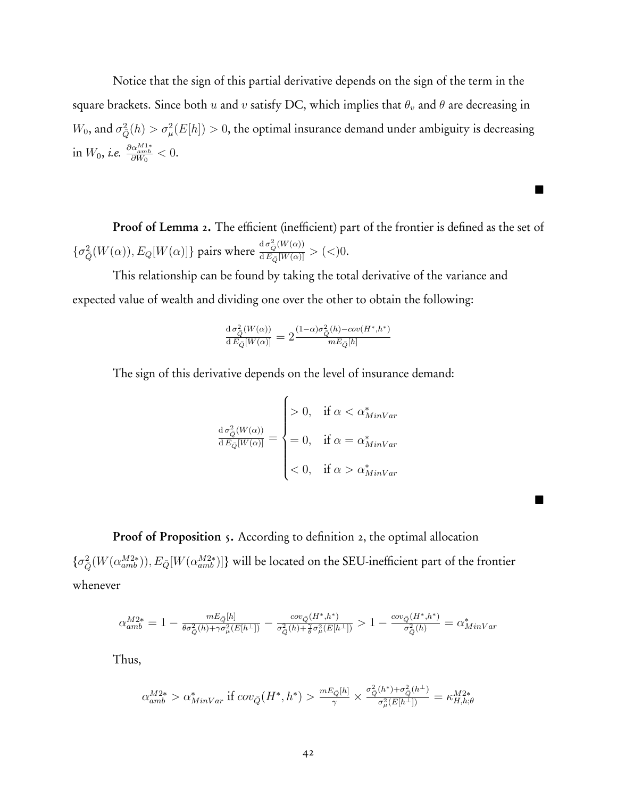Notice that the sign of this partial derivative depends on the sign of the term in the square brackets. Since both *u* and *v* satisfy DC, which implies that  $\theta$ <sup>*v*</sup> and  $\theta$  are decreasing in  $W_0$ , and  $\sigma_{\bar{Q}}^2(h) > \sigma_{\mu}^2(E[h]) > 0$ , the optimal insurance demand under ambiguity is decreasing  $\text{in } W_0, \text{ i.e. } \frac{\partial \alpha_{amb}^{M1*}}{\partial W_0} < 0.$ 

Proof of Lemma 2. The efficient (inefficient) part of the frontier is defined as the set of  $\{\sigma_{\bar{Q}}^2(W(\alpha)), E_Q[W(\alpha)]\}$  pairs where  $\frac{d\sigma_{\bar{Q}}^2(W(\alpha))}{dE_{\bar{Q}}[W(\alpha)]} > (<)0$ .

п.

**1** 

This relationship can be found by taking the total derivative of the variance and expected value of wealth and dividing one over the other to obtain the following:

$$
\frac{\mathrm{d}\,\sigma_{\bar{Q}}^2(W(\alpha))}{\mathrm{d}\,E_{\bar{Q}}[W(\alpha)]} = 2\frac{(1-\alpha)\sigma_{\bar{Q}}^2(h)-cov(H^*,h^*)}{mE_{\bar{Q}}[h]}
$$

The sign of this derivative depends on the level of insurance demand:

$$
\frac{\mathrm{d}\,\sigma_{\overline{Q}}^2(W(\alpha))}{\mathrm{d}\,E_{\overline{Q}}[W(\alpha)]} = \begin{cases} > 0, & \text{if } \alpha < \alpha^*_{MinVar} \\ = 0, & \text{if } \alpha = \alpha^*_{MinVar} \\ < 0, & \text{if } \alpha > \alpha^*_{MinVar} \end{cases}
$$

Proof of Proposition 5. According to definition 2, the optimal allocation  $\{\sigma^2_{\bar{Q}}(W(\alpha_{amb}^{M2*})), E_{\bar{Q}}[W(\alpha_{amb}^{M2*})]\}$  will be located on the SEU-inefficient part of the frontier whenever

$$
\alpha_{amb}^{M2*}=1-\tfrac{m E_{\bar{Q}}[h]}{\theta \sigma_{\bar{Q}}^2(h)+\gamma \sigma_{\mu}^2(E[h^\perp])}-\tfrac{cov_{\bar{Q}}(H^*,h^*)}{\sigma_{\bar{Q}}^2(h)+\widetilde{\sigma}\sigma_{\mu}^2(E[h^\perp])}>1-\tfrac{cov_{\bar{Q}}(H^*,h^*)}{\sigma_{\bar{Q}}^2(h)}=\alpha_{MinVar}^*
$$

Thus,

$$
\alpha_{amb}^{M2*} > \alpha_{MinVar}^* \text{ if } cov_{\bar{Q}}(H^*, h^*) > \frac{mE_{\bar{Q}}[h]}{\gamma} \times \frac{\sigma_{\bar{Q}}^2(h^*) + \sigma_{\bar{Q}}^2(h^{\perp})}{\sigma_{\mu}^2(E[h^{\perp}])} = \kappa_{H,h;\theta}^{M2*}
$$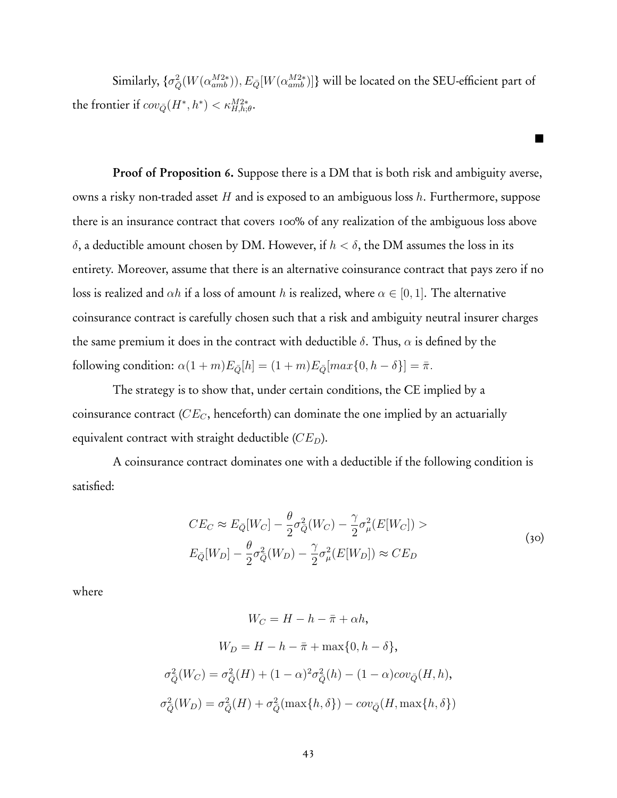Similarly,  $\{\sigma_{\bar{Q}}^2(W(\alpha_{amb}^{M2*})), E_{\bar{Q}}[W(\alpha_{amb}^{M2*})]\}$  will be located on the SEU-efficient part of the frontier if  $cov_{\bar{Q}}(H^*, h^*) < \kappa_{H,h;\theta}^{M2*}$ .

**.** 

Proof of Proposition 6. Suppose there is a DM that is both risk and ambiguity averse, owns a risky non-traded asset *H* and is exposed to an ambiguous loss *h*. Furthermore, suppose there is an insurance contract that covers 100% of any realization of the ambiguous loss above *δ*, a deductible amount chosen by DM. However, if *h < δ*, the DM assumes the loss in its entirety. Moreover, assume that there is an alternative coinsurance contract that pays zero if no loss is realized and  $\alpha h$  if a loss of amount *h* is realized, where  $\alpha \in [0, 1]$ . The alternative coinsurance contract is carefully chosen such that a risk and ambiguity neutral insurer charges the same premium it does in the contract with deductible  $\delta$ . Thus,  $\alpha$  is defined by the  $f_{\bar{Q}}[{\text{column condition: }} \alpha(1+m)E_{\bar{Q}}[h] = (1+m)E_{\bar{Q}}[{\text{max}}\{0, h-\delta\}] = \bar{\pi}.$ 

The strategy is to show that, under certain conditions, the CE implied by a coinsurance contract (*CEC*, henceforth) can dominate the one implied by an actuarially equivalent contract with straight deductible (*CED*).

A coinsurance contract dominates one with a deductible if the following condition is satisfied:

$$
CE_C \approx E_{\bar{Q}}[W_C] - \frac{\theta}{2}\sigma_{\bar{Q}}^2(W_C) - \frac{\gamma}{2}\sigma_{\mu}^2(E[W_C]) >
$$
  
\n
$$
E_{\bar{Q}}[W_D] - \frac{\theta}{2}\sigma_{\bar{Q}}^2(W_D) - \frac{\gamma}{2}\sigma_{\mu}^2(E[W_D]) \approx CE_D
$$
\n(30)

where

$$
W_C = H - h - \bar{\pi} + \alpha h,
$$
  
\n
$$
W_D = H - h - \bar{\pi} + \max\{0, h - \delta\},
$$
  
\n
$$
\sigma_{\bar{Q}}^2(W_C) = \sigma_{\bar{Q}}^2(H) + (1 - \alpha)^2 \sigma_{\bar{Q}}^2(h) - (1 - \alpha)cov_{\bar{Q}}(H, h),
$$
  
\n
$$
\sigma_{\bar{Q}}^2(W_D) = \sigma_{\bar{Q}}^2(H) + \sigma_{\bar{Q}}^2(\max\{h, \delta\}) - cov_{\bar{Q}}(H, \max\{h, \delta\})
$$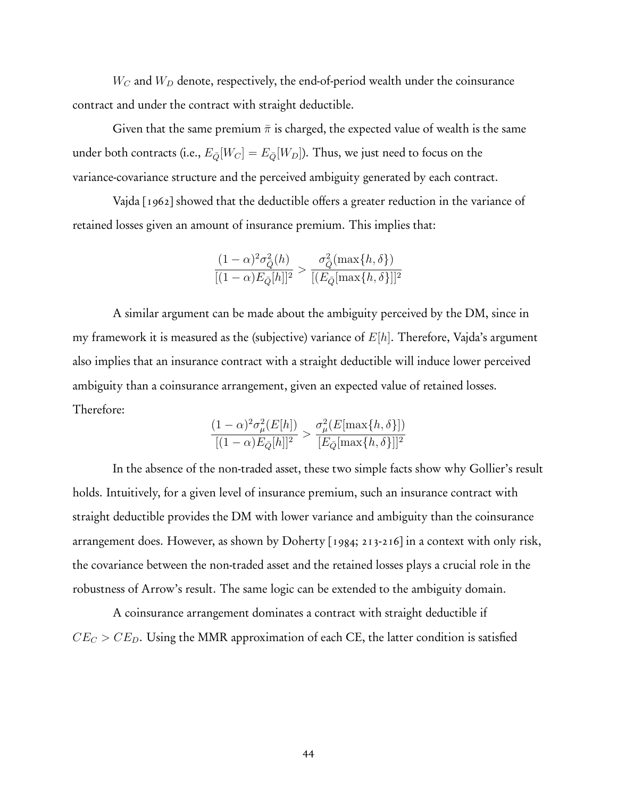*W<sup>C</sup>* and *W<sup>D</sup>* denote, respectively, the end-of-period wealth under the coinsurance contract and under the contract with straight deductible.

Given that the same premium  $\bar{\pi}$  is charged, the expected value of wealth is the same under both contracts (i.e.,  $E_{\bar{Q}}[W_C] = E_{\bar{Q}}[W_D]$ ). Thus, we just need to focus on the variance-covariance structure and the perceived ambiguity generated by each contract.

Vajda [1962] showed that the deductible offers a greater reduction in the variance of retained losses given an amount of insurance premium. This implies that:

$$
\frac{(1-\alpha)^2 \sigma_{\bar{Q}}^2(h)}{[(1-\alpha)E_{\bar{Q}}[h]]^2} > \frac{\sigma_{\bar{Q}}^2(\max\{h,\delta\})}{[(E_{\bar{Q}}[\max\{h,\delta\}]]^2]}
$$

A similar argument can be made about the ambiguity perceived by the DM, since in my framework it is measured as the (subjective) variance of *E*[*h*]. Therefore, Vajda's argument also implies that an insurance contract with a straight deductible will induce lower perceived ambiguity than a coinsurance arrangement, given an expected value of retained losses. Therefore:

$$
\frac{(1-\alpha)^2 \sigma_\mu^2(E[h])}{[(1-\alpha)E_{\bar{Q}}[h]]^2} > \frac{\sigma_\mu^2(E[\max\{h,\delta\}])}{[E_{\bar{Q}}[\max\{h,\delta\}]]^2}
$$

In the absence of the non-traded asset, these two simple facts show why Gollier's result holds. Intuitively, for a given level of insurance premium, such an insurance contract with straight deductible provides the DM with lower variance and ambiguity than the coinsurance arrangement does. However, as shown by Doherty [1984; 213-216] in a context with only risk, the covariance between the non-traded asset and the retained losses plays a crucial role in the robustness of Arrow's result. The same logic can be extended to the ambiguity domain.

A coinsurance arrangement dominates a contract with straight deductible if  $CE_C > CE_D$ . Using the MMR approximation of each CE, the latter condition is satisfied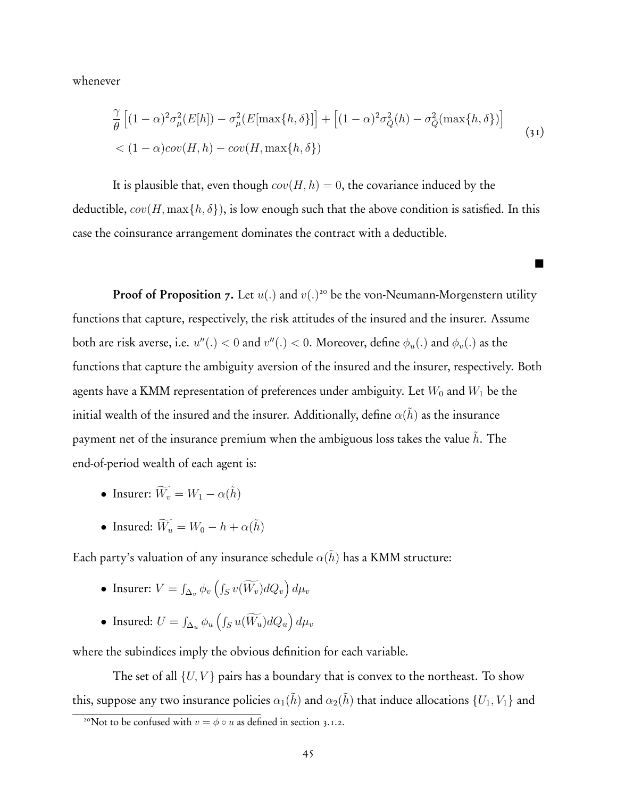whenever

$$
\frac{\gamma}{\theta} \left[ (1 - \alpha)^2 \sigma_\mu^2(E[h]) - \sigma_\mu^2(E[\max\{h,\delta\}]] + \left[ (1 - \alpha)^2 \sigma_{\bar{Q}}^2(h) - \sigma_{\bar{Q}}^2(\max\{h,\delta\}) \right] \right]
$$
\n
$$
< (1 - \alpha)\text{cov}(H, h) - \text{cov}(H, \max\{h,\delta\})
$$
\n
$$
(31)
$$

**.** 

It is plausible that, even though  $cov(H, h) = 0$ , the covariance induced by the deductible,  $cov(H, \max\{h, \delta\})$ , is low enough such that the above condition is satisfied. In this case the coinsurance arrangement dominates the contract with a deductible.

**Proof of Proposition 7.** Let  $u(.)$  and  $v(.)^{20}$  be the von-Neumann-Morgenstern utility functions that capture, respectively, the risk attitudes of the insured and the insurer. Assume both are risk averse, i.e.  $u''(.) < 0$  and  $v''(.) < 0$ . Moreover, define  $\phi_u(.)$  and  $\phi_v(.)$  as the functions that capture the ambiguity aversion of the insured and the insurer, respectively. Both agents have a KMM representation of preferences under ambiguity. Let  $W_0$  and  $W_1$  be the initial wealth of the insured and the insurer. Additionally, define  $\alpha(\tilde{h})$  as the insurance payment net of the insurance premium when the ambiguous loss takes the value *h*. The end-of-period wealth of each agent is:

- Insurer:  $\widetilde{W_v} = W_1 \alpha(\tilde{h})$
- Insured:  $\widetilde{W}_u = W_0 h + \alpha(\tilde{h})$

Each party's valuation of any insurance schedule  $\alpha(\tilde{h})$  has a KMM structure:

- Insurer:  $V = \int_{\Delta_v} \phi_v \left( \int_S v(\widetilde{W_v}) dQ_v \right) d\mu_v$
- Insured:  $U = \int_{\Delta_u} \phi_u \left( \int_S u(\widetilde{W}_u) dQ_u \right) d\mu_v$

where the subindices imply the obvious definition for each variable.

The set of all  $\{U, V\}$  pairs has a boundary that is convex to the northeast. To show this, suppose any two insurance policies  $\alpha_1(\tilde{h})$  and  $\alpha_2(\tilde{h})$  that induce allocations  $\{U_1, V_1\}$  and

<sup>&</sup>lt;sup>20</sup>Not to be confused with  $v = \phi \circ u$  as defined in section 3.1.2.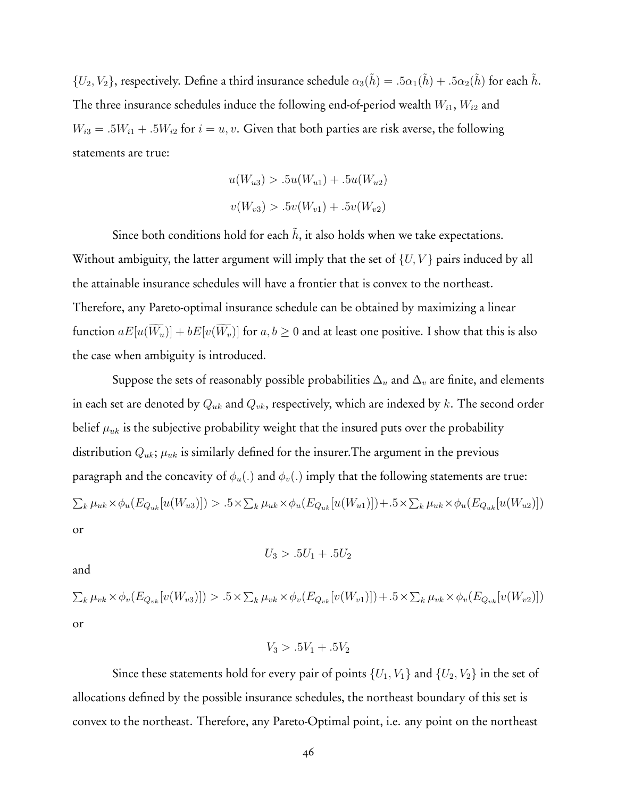${U_2, V_2}$ , respectively. Define a third insurance schedule  $\alpha_3(h) = .5\alpha_1(h) + .5\alpha_2(h)$  for each *h*. The three insurance schedules induce the following end-of-period wealth *Wi*<sup>1</sup>, *Wi*<sup>2</sup> and  $W_{i3} = .5W_{i1} + .5W_{i2}$  for  $i = u, v$ . Given that both parties are risk averse, the following statements are true:

$$
u(W_{u3}) > .5u(W_{u1}) + .5u(W_{u2})
$$
  

$$
v(W_{v3}) > .5v(W_{v1}) + .5v(W_{v2})
$$

Since both conditions hold for each  $h$ , it also holds when we take expectations. Without ambiguity, the latter argument will imply that the set of {*U, V* } pairs induced by all the attainable insurance schedules will have a frontier that is convex to the northeast. Therefore, any Pareto-optimal insurance schedule can be obtained by maximizing a linear function  $aE[u(W_u)] + bE[v(W_v)]$  for  $a, b \ge 0$  and at least one positive. I show that this is also the case when ambiguity is introduced.

Suppose the sets of reasonably possible probabilities ∆*<sup>u</sup>* and ∆*<sup>v</sup>* are finite, and elements in each set are denoted by *Quk* and *Qvk*, respectively, which are indexed by *k*. The second order belief  $\mu_{uk}$  is the subjective probability weight that the insured puts over the probability distribution  $Q_{uk}$ ;  $\mu_{uk}$  is similarly defined for the insurer. The argument in the previous paragraph and the concavity of  $\phi_u(.)$  and  $\phi_v(.)$  imply that the following statements are true:  $\sum_{k} \mu_{uk} \times \phi_u(E_{Q_{uk}}[u(W_{u3})]) > .5 \times \sum_{k} \mu_{uk} \times \phi_u(E_{Q_{uk}}[u(W_{u1})]) + .5 \times \sum_{k} \mu_{uk} \times \phi_u(E_{Q_{uk}}[u(W_{u2})])$ or

$$
U_3 > .5U_1 + .5U_2
$$

and

 $\sum_{k} \mu_{vk} \times \phi_v(E_{Q_{vk}}[v(W_{v3})]) > .5 \times \sum_{k} \mu_{vk} \times \phi_v(E_{Q_{vk}}[v(W_{v1})]) + .5 \times \sum_{k} \mu_{vk} \times \phi_v(E_{Q_{vk}}[v(W_{v2})])$ or

$$
V_3 > .5V_1 + .5V_2
$$

Since these statements hold for every pair of points  $\{U_1, V_1\}$  and  $\{U_2, V_2\}$  in the set of allocations defined by the possible insurance schedules, the northeast boundary of this set is convex to the northeast. Therefore, any Pareto-Optimal point, i.e. any point on the northeast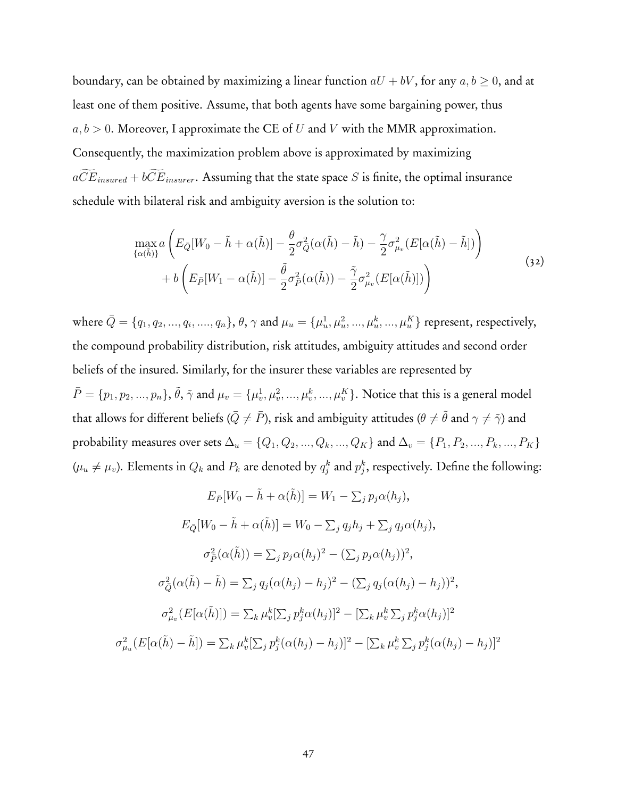boundary, can be obtained by maximizing a linear function  $aU + bV$ , for any  $a, b \ge 0$ , and at least one of them positive. Assume, that both agents have some bargaining power, thus *a, b >* 0. Moreover, I approximate the CE of *U* and *V* with the MMR approximation. Consequently, the maximization problem above is approximated by maximizing  $a\widetilde{CE}_{insured} + b\widetilde{CE}_{insurer}$ . Assuming that the state space *S* is finite, the optimal insurance schedule with bilateral risk and ambiguity aversion is the solution to:

$$
\max_{\{\alpha(\tilde{h})\}} a\left(E_{\bar{Q}}[W_0 - \tilde{h} + \alpha(\tilde{h})] - \frac{\theta}{2}\sigma_{\bar{Q}}^2(\alpha(\tilde{h}) - \tilde{h}) - \frac{\gamma}{2}\sigma_{\mu_v}^2(E[\alpha(\tilde{h}) - \tilde{h}])\right) + b\left(E_{\bar{P}}[W_1 - \alpha(\tilde{h})] - \frac{\tilde{\theta}}{2}\sigma_{\bar{P}}^2(\alpha(\tilde{h})) - \frac{\tilde{\gamma}}{2}\sigma_{\mu_v}^2(E[\alpha(\tilde{h})])\right)
$$
\n(32)

where  $\bar{Q}=\{q_1,q_2,...,q_i,...,q_n\},$   $\theta,\gamma$  and  $\mu_u=\{\mu_u^1,\mu_u^2,...,\mu_u^k,...,\mu_u^K\}$  represent, respectively, the compound probability distribution, risk attitudes, ambiguity attitudes and second order beliefs of the insured. Similarly, for the insurer these variables are represented by  $\bar{P}=\{p_1,p_2,...,p_n\},$   $\tilde{\theta},$   $\tilde{\gamma}$  and  $\mu_v=\{\mu_v^1,\mu_v^2,...,\mu_v^k,...,\mu_v^K\}.$  Notice that this is a general model that allows for different beliefs ( $\bar{Q} \neq \bar{P}$ ), risk and ambiguity attitudes ( $\theta \neq \tilde{\theta}$  and  $\gamma \neq \tilde{\gamma}$ ) and probability measures over sets  $\Delta_u = \{Q_1, Q_2, ..., Q_k, ..., Q_K\}$  and  $\Delta_v = \{P_1, P_2, ..., P_k, ..., P_K\}$  $(\mu_u \neq \mu_v)$ . Elements in  $Q_k$  and  $P_k$  are denoted by  $q_j^k$  and  $p_j^k$ , respectively. Define the following:

$$
E_{\bar{P}}[W_0 - \tilde{h} + \alpha(\tilde{h})] = W_1 - \sum_j p_j \alpha(h_j),
$$
  
\n
$$
E_{\bar{Q}}[W_0 - \tilde{h} + \alpha(\tilde{h})] = W_0 - \sum_j q_j h_j + \sum_j q_j \alpha(h_j),
$$
  
\n
$$
\sigma_{\bar{P}}^2(\alpha(\tilde{h})) = \sum_j p_j \alpha(h_j)^2 - (\sum_j p_j \alpha(h_j))^2,
$$
  
\n
$$
\sigma_{\bar{Q}}^2(\alpha(\tilde{h}) - \tilde{h}) = \sum_j q_j (\alpha(h_j) - h_j)^2 - (\sum_j q_j (\alpha(h_j) - h_j))^2,
$$
  
\n
$$
\sigma_{\mu_v}^2(E[\alpha(\tilde{h})]) = \sum_k \mu_v^k [\sum_j p_j^k \alpha(h_j)]^2 - [\sum_k \mu_v^k \sum_j p_j^k \alpha(h_j)]^2
$$
  
\n
$$
\sigma_{\mu_u}^2(E[\alpha(\tilde{h}) - \tilde{h}]) = \sum_k \mu_v^k [\sum_j p_j^k (\alpha(h_j) - h_j)]^2 - [\sum_k \mu_v^k \sum_j p_j^k (\alpha(h_j) - h_j)]^2
$$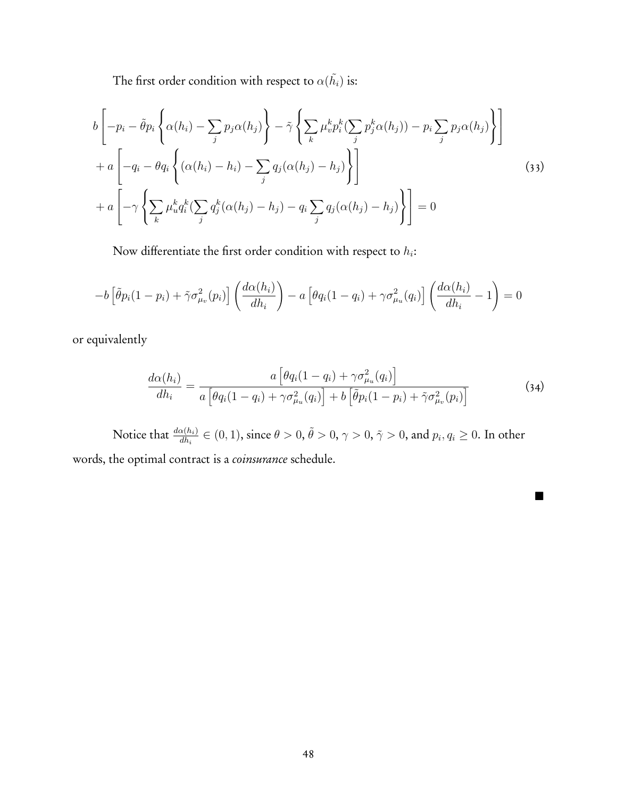The first order condition with respect to  $\alpha(\tilde{h_i})$  is:

$$
b\left[-p_i - \tilde{\theta}p_i\left\{\alpha(h_i) - \sum_j p_j\alpha(h_j)\right\} - \tilde{\gamma}\left\{\sum_k \mu_v^k p_i^k (\sum_j p_j^k \alpha(h_j)) - p_i \sum_j p_j\alpha(h_j)\right\}\right] + a\left[-q_i - \theta q_i\left\{(\alpha(h_i) - h_i) - \sum_j q_j(\alpha(h_j) - h_j)\right\}\right] + a\left[-\gamma\left\{\sum_k \mu_u^k q_i^k (\sum_j q_j^k (\alpha(h_j) - h_j) - q_i \sum_j q_j(\alpha(h_j) - h_j)\right\}\right] = 0
$$
\n(33)

Now differentiate the first order condition with respect to *hi*:

$$
-b\left[\tilde{\theta}p_i(1-p_i) + \tilde{\gamma}\sigma_{\mu_v}^2(p_i)\right]\left(\frac{d\alpha(h_i)}{dh_i}\right) - a\left[\theta q_i(1-q_i) + \gamma\sigma_{\mu_u}^2(q_i)\right]\left(\frac{d\alpha(h_i)}{dh_i} - 1\right) = 0
$$

or equivalently

$$
\frac{d\alpha(h_i)}{dh_i} = \frac{a\left[\theta q_i(1-q_i) + \gamma \sigma_{\mu_u}^2(q_i)\right]}{a\left[\theta q_i(1-q_i) + \gamma \sigma_{\mu_u}^2(q_i)\right] + b\left[\tilde{\theta} p_i(1-p_i) + \tilde{\gamma} \sigma_{\mu_v}^2(p_i)\right]}
$$
\n(34)

.

Notice that  $\frac{d\alpha(h_i)}{dh_i}\in(0,1),$  since  $\theta>0,$   $\tilde\theta>0,$   $\gamma>0,$   $\tilde\gamma>0,$  and  $p_i,q_i\geq0.$  In other words, the optimal contract is a *coinsurance* schedule.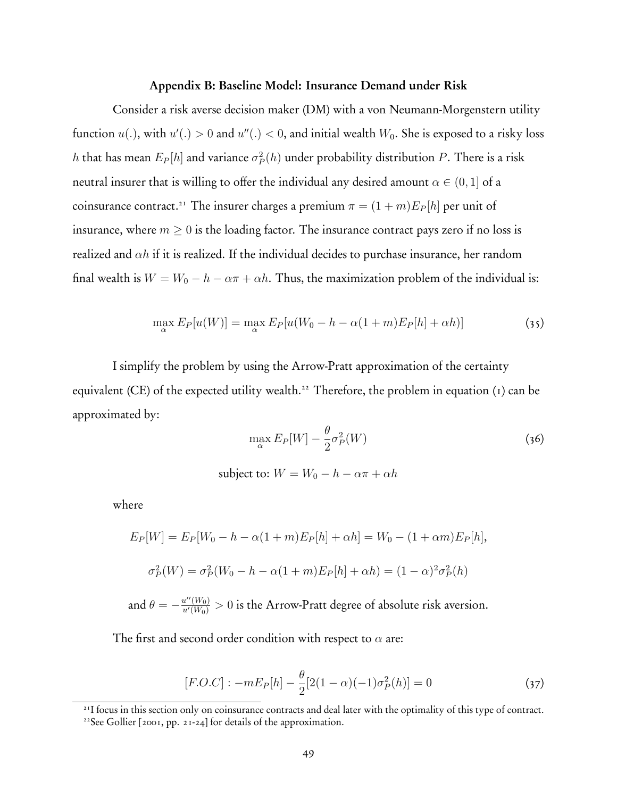#### Appendix B: Baseline Model: Insurance Demand under Risk

Consider a risk averse decision maker (DM) with a von Neumann-Morgenstern utility function  $u(.)$ , with  $u'(.) > 0$  and  $u''(.) < 0,$  and initial wealth  $W_0.$  She is exposed to a risky loss *h* that has mean  $E_P[h]$  and variance  $\sigma_P^2(h)$  under probability distribution  $P.$  There is a risk neutral insurer that is willing to offer the individual any desired amount  $\alpha \in (0,1]$  of a coinsurance contract.<sup>21</sup> The insurer charges a premium  $\pi = (1 + m)E_P[h]$  per unit of insurance, where  $m \geq 0$  is the loading factor. The insurance contract pays zero if no loss is realized and *αh* if it is realized. If the individual decides to purchase insurance, her random final wealth is  $W = W_0 - h - \alpha \pi + \alpha h$ . Thus, the maximization problem of the individual is:

$$
\max_{\alpha} E_P[u(W)] = \max_{\alpha} E_P[u(W_0 - h - \alpha(1+m)E_P[h] + \alpha h)] \tag{35}
$$

I simplify the problem by using the Arrow-Pratt approximation of the certainty equivalent (CE) of the expected utility wealth.<sup>22</sup> Therefore, the problem in equation (1) can be approximated by:

$$
\max_{\alpha} E_P[W] - \frac{\theta}{2} \sigma_P^2(W) \tag{36}
$$

subject to:  $W = W_0 - h - \alpha \pi + \alpha h$ 

where

$$
E_P[W] = E_P[W_0 - h - \alpha(1+m)E_P[h] + \alpha h] = W_0 - (1+\alpha m)E_P[h],
$$
  

$$
\sigma_P^2(W) = \sigma_P^2(W_0 - h - \alpha(1+m)E_P[h] + \alpha h) = (1-\alpha)^2 \sigma_P^2(h)
$$
  
and  $\theta = -\frac{u''(W_0)}{u'(W_0)} > 0$  is the Arrow-Pratt degree of absolute risk aversion.

The first and second order condition with respect to *α* are:

$$
[F.O.C] : -mE_P[h] - \frac{\theta}{2}[2(1-\alpha)(-1)\sigma_P^2(h)] = 0 \tag{37}
$$

21I focus in this section only on coinsurance contracts and deal later with the optimality of this type of contract.

<sup>&</sup>lt;sup>22</sup>See Gollier [2001, pp. 21-24] for details of the approximation.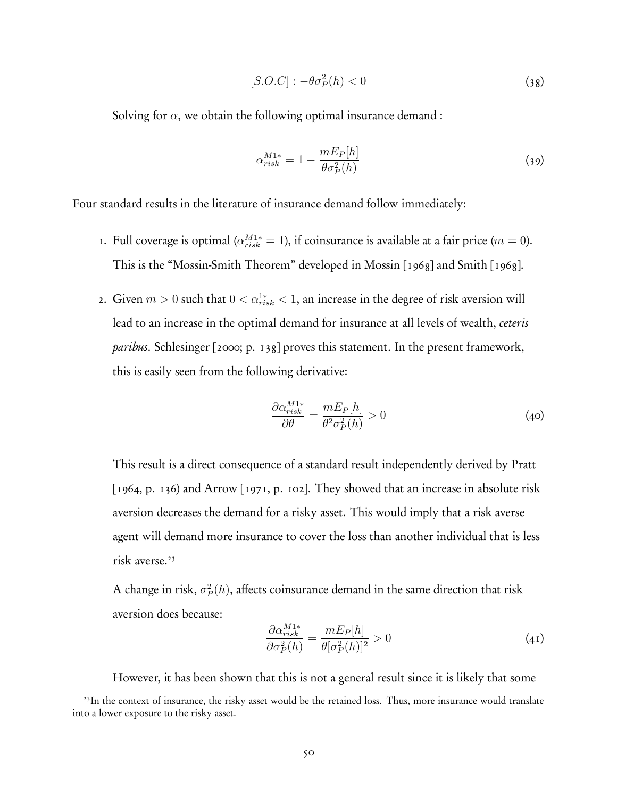$$
[S.O.C] : -\theta \sigma_P^2(h) < 0 \tag{38}
$$

Solving for  $\alpha$ , we obtain the following optimal insurance demand :

$$
\alpha_{risk}^{M1*} = 1 - \frac{mE_P[h]}{\theta \sigma_P^2(h)}\tag{39}
$$

Four standard results in the literature of insurance demand follow immediately:

- 1. Full coverage is optimal ( $\alpha_{risk}^{M1*} = 1$ ), if coinsurance is available at a fair price ( $m = 0$ ). This is the "Mossin-Smith Theorem" developed in Mossin [1968] and Smith [1968].
- 2. Given  $m > 0$  such that  $0 < \alpha_{risk}^{1*} < 1$ , an increase in the degree of risk aversion will lead to an increase in the optimal demand for insurance at all levels of wealth, *ceteris paribus*. Schlesinger [2000; p. 138] proves this statement. In the present framework, this is easily seen from the following derivative:

$$
\frac{\partial \alpha_{risk}^{M1*}}{\partial \theta} = \frac{mE_P[h]}{\theta^2 \sigma_P^2(h)} > 0
$$
\n(40)

This result is a direct consequence of a standard result independently derived by Pratt [1964, p. 136) and Arrow [1971, p. 102]. They showed that an increase in absolute risk aversion decreases the demand for a risky asset. This would imply that a risk averse agent will demand more insurance to cover the loss than another individual that is less risk averse.<sup>23</sup>

A change in risk,  $\sigma_P^2(h)$ , affects coinsurance demand in the same direction that risk aversion does because:

$$
\frac{\partial \alpha_{risk}^{M1*}}{\partial \sigma_P^2(h)} = \frac{mE_P[h]}{\theta[\sigma_P^2(h)]^2} > 0
$$
\n(41)

However, it has been shown that this is not a general result since it is likely that some

<sup>&</sup>lt;sup>23</sup>In the context of insurance, the risky asset would be the retained loss. Thus, more insurance would translate into a lower exposure to the risky asset.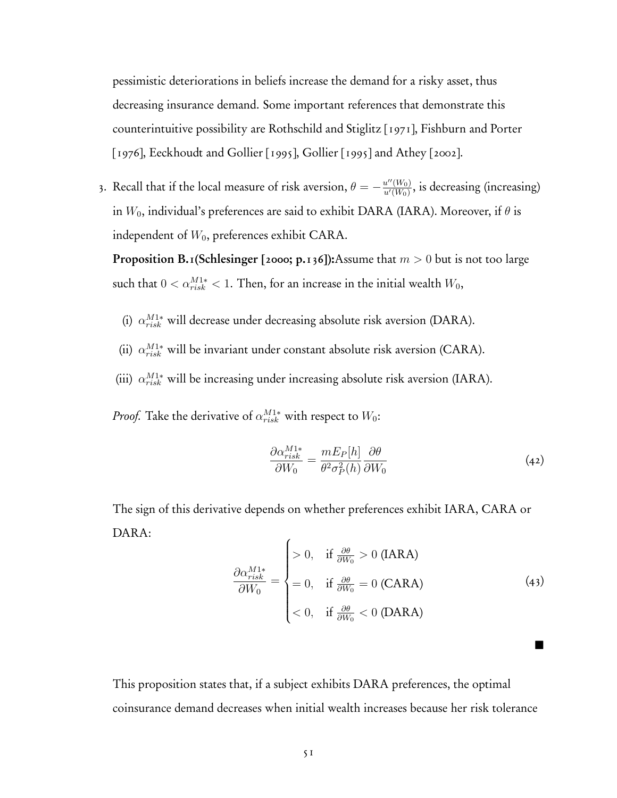pessimistic deteriorations in beliefs increase the demand for a risky asset, thus decreasing insurance demand. Some important references that demonstrate this counterintuitive possibility are Rothschild and Stiglitz [1971], Fishburn and Porter [1976], Eeckhoudt and Gollier [1995], Gollier [1995] and Athey [2002].

3. Recall that if the local measure of risk aversion,  $\theta = -\frac{u''(W_0)}{u'(W_0)}$ , is decreasing (increasing) in *W*0, individual's preferences are said to exhibit DARA (IARA). Moreover, if *θ* is independent of  $W_0$ , preferences exhibit CARA.

Proposition B.1(Schlesinger [2000; p.136]):Assume that *m >* 0 but is not too large such that  $0 < \alpha_{risk}^{M1*} < 1$ . Then, for an increase in the initial wealth  $W_0$ ,

- (i) *α<sup>M</sup>*1<sup>∗</sup> *risk* will decrease under decreasing absolute risk aversion (DARA).
- (ii)  $\alpha_{risk}^{M1*}$  will be invariant under constant absolute risk aversion (CARA).
- (iii) *α<sup>M</sup>*1<sup>∗</sup> *risk* will be increasing under increasing absolute risk aversion (IARA).

*Proof.* Take the derivative of  $\alpha_{risk}^{M1*}$  with respect to  $W_0$ :

$$
\frac{\partial \alpha_{risk}^{M1*}}{\partial W_0} = \frac{mE_P[h]}{\theta^2 \sigma_P^2(h)} \frac{\partial \theta}{\partial W_0}
$$
(42)

The sign of this derivative depends on whether preferences exhibit IARA, CARA or DARA:

$$
\frac{\partial \alpha_{risk}^{M1*}}{\partial W_0} = \begin{cases}\n> 0, & \text{if } \frac{\partial \theta}{\partial W_0} > 0 \text{ (IARA)} \\
= 0, & \text{if } \frac{\partial \theta}{\partial W_0} = 0 \text{ (CARA)} \\
< 0, & \text{if } \frac{\partial \theta}{\partial W_0} < 0 \text{ (DARA)}\n\end{cases}
$$
\n(43)

**1** 

This proposition states that, if a subject exhibits DARA preferences, the optimal coinsurance demand decreases when initial wealth increases because her risk tolerance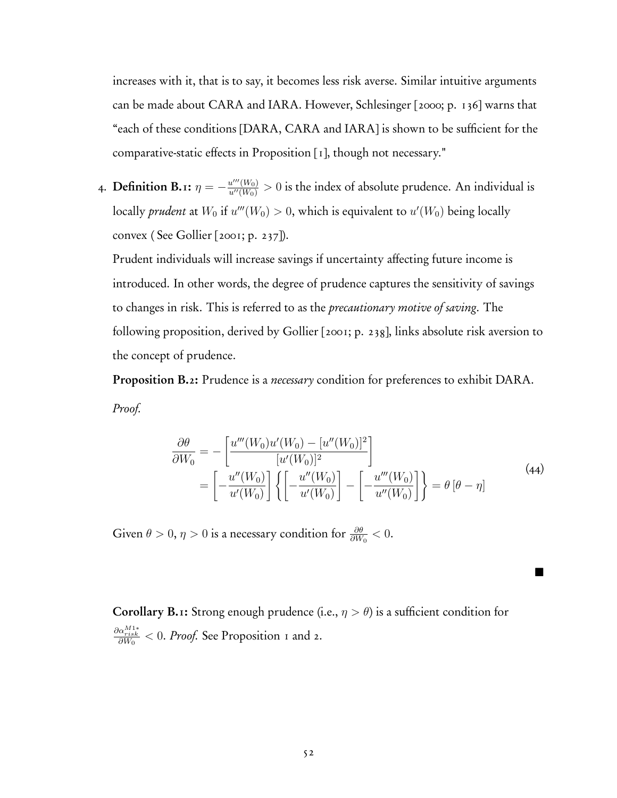increases with it, that is to say, it becomes less risk averse. Similar intuitive arguments can be made about CARA and IARA. However, Schlesinger [2000; p. 136] warns that "each of these conditions [DARA, CARA and IARA] is shown to be sufficient for the comparative-static effects in Proposition [1], though not necessary."

4. Definition B.1:  $\eta = -\frac{u'''(W_0)}{u''(W_0)} > 0$  is the index of absolute prudence. An individual is locally *prudent* at  $W_0$  if  $u'''(W_0) > 0,$  which is equivalent to  $u'(W_0)$  being locally convex ( See Gollier [2001; p. 237]).

Prudent individuals will increase savings if uncertainty affecting future income is introduced. In other words, the degree of prudence captures the sensitivity of savings to changes in risk. This is referred to as the *precautionary motive of saving*. The following proposition, derived by Gollier [2001; p. 238], links absolute risk aversion to the concept of prudence.

Proposition B.2: Prudence is a *necessary* condition for preferences to exhibit DARA. *Proof.*

$$
\frac{\partial \theta}{\partial W_0} = -\left[\frac{u'''(W_0)u'(W_0) - [u''(W_0)]^2}{[u'(W_0)]^2}\right] \n= \left[-\frac{u''(W_0)}{u'(W_0)}\right] \left\{ \left[-\frac{u''(W_0)}{u'(W_0)}\right] - \left[-\frac{u'''(W_0)}{u''(W_0)}\right] \right\} = \theta \left[\theta - \eta\right]
$$
\n(44)

**.** 

Given  $\theta > 0$ ,  $\eta > 0$  is a necessary condition for  $\frac{\partial \theta}{\partial W_0} < 0$ .

Corollary B.1: Strong enough prudence (i.e.,  $\eta > \theta$ ) is a sufficient condition for *∂αM*1<sup>∗</sup> *risk ∂W*<sup>0</sup> *<* 0. *Proof.* See Proposition 1 and 2.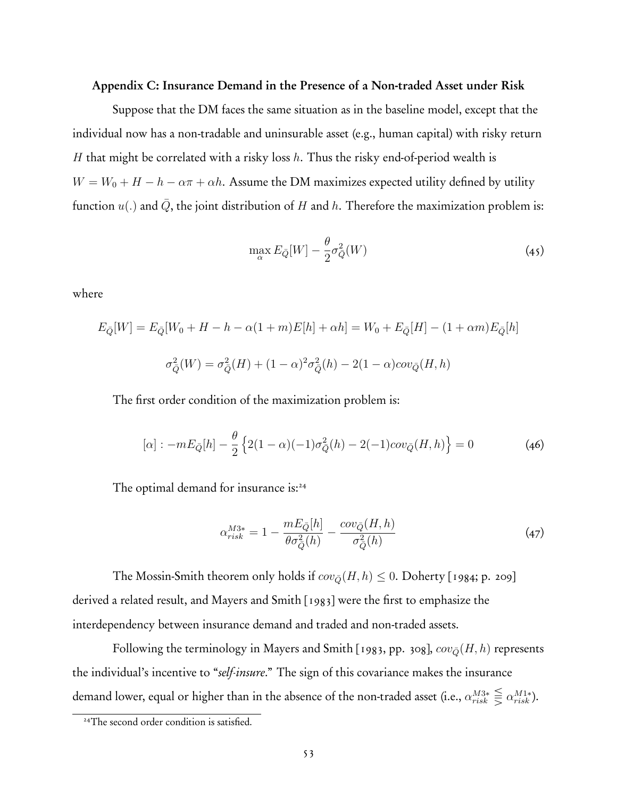#### Appendix C: Insurance Demand in the Presence of a Non-traded Asset under Risk

Suppose that the DM faces the same situation as in the baseline model, except that the individual now has a non-tradable and uninsurable asset (e.g., human capital) with risky return *H* that might be correlated with a risky loss *h*. Thus the risky end-of-period wealth is  $W = W_0 + H - h - \alpha \pi + \alpha h$ . Assume the DM maximizes expected utility defined by utility function  $u(.)$  and  $\overline{Q}$ , the joint distribution of *H* and *h*. Therefore the maximization problem is:

$$
\max_{\alpha} E_{\bar{Q}}[W] - \frac{\theta}{2} \sigma_{\bar{Q}}^2(W) \tag{45}
$$

where

$$
E_{\bar{Q}}[W] = E_{\bar{Q}}[W_0 + H - h - \alpha(1+m)E[h] + \alpha h] = W_0 + E_{\bar{Q}}[H] - (1+\alpha m)E_{\bar{Q}}[h]
$$

$$
\sigma_{\bar{Q}}^2(W) = \sigma_{\bar{Q}}^2(H) + (1-\alpha)^2 \sigma_{\bar{Q}}^2(h) - 2(1-\alpha)cov_{\bar{Q}}(H, h)
$$

The first order condition of the maximization problem is:

$$
[\alpha] : -mE_{\bar{Q}}[h] - \frac{\theta}{2} \left\{ 2(1-\alpha)(-1)\sigma_{\bar{Q}}^2(h) - 2(-1)cov_{\bar{Q}}(H,h) \right\} = 0 \tag{46}
$$

The optimal demand for insurance is:<sup>24</sup>

$$
\alpha_{risk}^{M3*} = 1 - \frac{mE_{\bar{Q}}[h]}{\theta \sigma_{\bar{Q}}^2(h)} - \frac{cov_{\bar{Q}}(H, h)}{\sigma_{\bar{Q}}^2(h)}\tag{47}
$$

The Mossin-Smith theorem only holds if  $cov_{\bar{Q}}(H, h) \leq 0$ . Doherty [1984; p. 209] derived a related result, and Mayers and Smith [1983] were the first to emphasize the interdependency between insurance demand and traded and non-traded assets.

Following the terminology in Mayers and Smith [1983, pp. 308],  $cov_{\bar{Q}}(H, h)$  represents the individual's incentive to "*self-insure*." The sign of this covariance makes the insurance demand lower, equal or higher than in the absence of the non-traded asset (i.e.,  $\alpha_{risk}^{M3*} \leq \alpha_{risk}^{M1*}$ ).

<sup>&</sup>lt;sup>24</sup>The second order condition is satisfied.